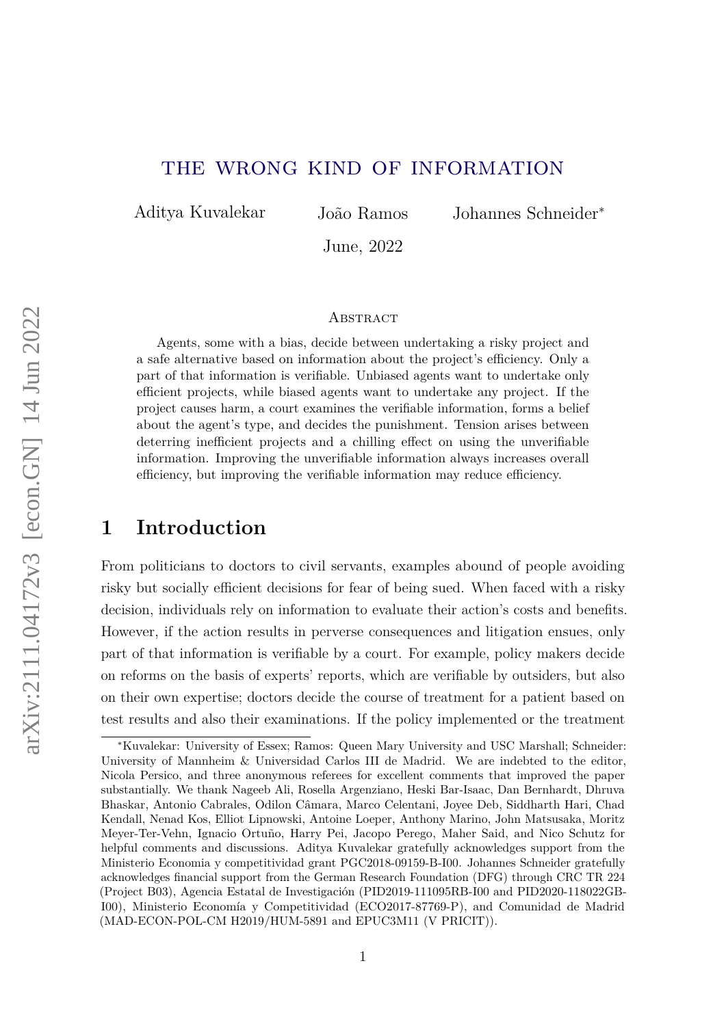## the wrong kind of information

Aditya Kuvalekar João Ramos Johannes Schneider<sup>∗</sup>

June, 2022

#### **ABSTRACT**

Agents, some with a bias, decide between undertaking a risky project and a safe alternative based on information about the project's efficiency. Only a part of that information is verifiable. Unbiased agents want to undertake only efficient projects, while biased agents want to undertake any project. If the project causes harm, a court examines the verifiable information, forms a belief about the agent's type, and decides the punishment. Tension arises between deterring inefficient projects and a chilling effect on using the unverifiable information. Improving the unverifiable information always increases overall efficiency, but improving the verifiable information may reduce efficiency.

## **1 Introduction**

From politicians to doctors to civil servants, examples abound of people avoiding risky but socially efficient decisions for fear of being sued. When faced with a risky decision, individuals rely on information to evaluate their action's costs and benefits. However, if the action results in perverse consequences and litigation ensues, only part of that information is verifiable by a court. For example, policy makers decide on reforms on the basis of experts' reports, which are verifiable by outsiders, but also on their own expertise; doctors decide the course of treatment for a patient based on test results and also their examinations. If the policy implemented or the treatment

<sup>∗</sup>Kuvalekar: University of Essex; Ramos: Queen Mary University and USC Marshall; Schneider: University of Mannheim & Universidad Carlos III de Madrid. We are indebted to the editor, Nicola Persico, and three anonymous referees for excellent comments that improved the paper substantially. We thank Nageeb Ali, Rosella Argenziano, Heski Bar-Isaac, Dan Bernhardt, Dhruva Bhaskar, Antonio Cabrales, Odilon Câmara, Marco Celentani, Joyee Deb, Siddharth Hari, Chad Kendall, Nenad Kos, Elliot Lipnowski, Antoine Loeper, Anthony Marino, John Matsusaka, Moritz Meyer-Ter-Vehn, Ignacio Ortuño, Harry Pei, Jacopo Perego, Maher Said, and Nico Schutz for helpful comments and discussions. Aditya Kuvalekar gratefully acknowledges support from the Ministerio Economia y competitividad grant PGC2018-09159-B-I00. Johannes Schneider gratefully acknowledges financial support from the German Research Foundation (DFG) through CRC TR 224 (Project B03), Agencia Estatal de Investigación (PID2019-111095RB-I00 and PID2020-118022GB-I00), Ministerio Economía y Competitividad (ECO2017-87769-P), and Comunidad de Madrid (MAD-ECON-POL-CM H2019/HUM-5891 and EPUC3M11 (V PRICIT)).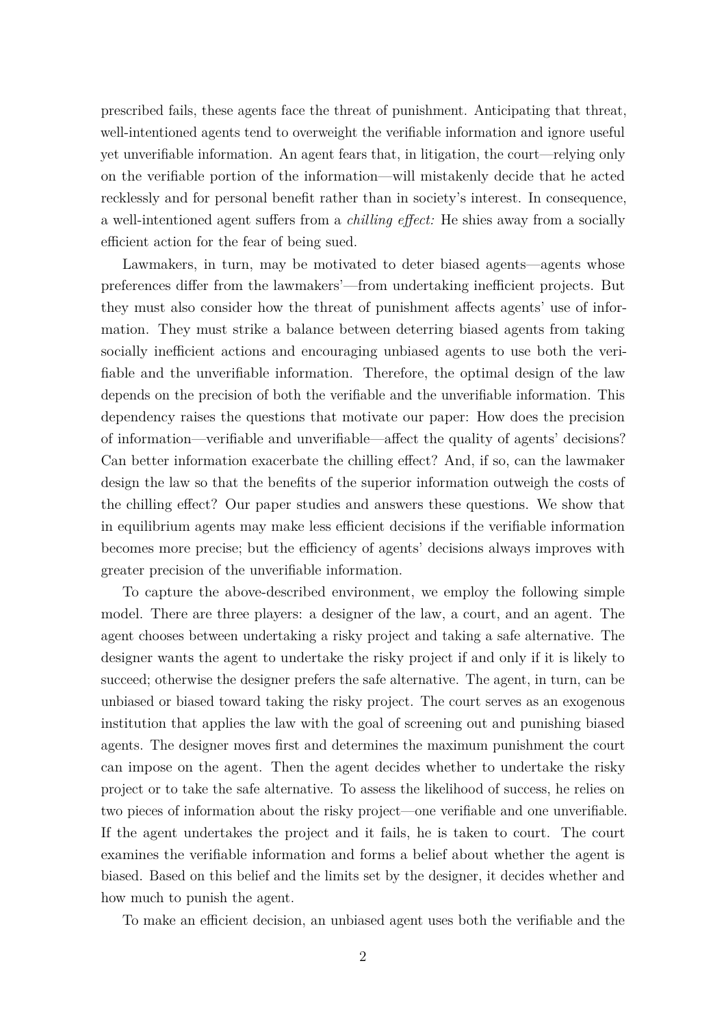prescribed fails, these agents face the threat of punishment. Anticipating that threat, well-intentioned agents tend to overweight the verifiable information and ignore useful yet unverifiable information. An agent fears that, in litigation, the court—relying only on the verifiable portion of the information—will mistakenly decide that he acted recklessly and for personal benefit rather than in society's interest. In consequence, a well-intentioned agent suffers from a *chilling effect:* He shies away from a socially efficient action for the fear of being sued.

Lawmakers, in turn, may be motivated to deter biased agents—agents whose preferences differ from the lawmakers'—from undertaking inefficient projects. But they must also consider how the threat of punishment affects agents' use of information. They must strike a balance between deterring biased agents from taking socially inefficient actions and encouraging unbiased agents to use both the verifiable and the unverifiable information. Therefore, the optimal design of the law depends on the precision of both the verifiable and the unverifiable information. This dependency raises the questions that motivate our paper: How does the precision of information—verifiable and unverifiable—affect the quality of agents' decisions? Can better information exacerbate the chilling effect? And, if so, can the lawmaker design the law so that the benefits of the superior information outweigh the costs of the chilling effect? Our paper studies and answers these questions. We show that in equilibrium agents may make less efficient decisions if the verifiable information becomes more precise; but the efficiency of agents' decisions always improves with greater precision of the unverifiable information.

To capture the above-described environment, we employ the following simple model. There are three players: a designer of the law, a court, and an agent. The agent chooses between undertaking a risky project and taking a safe alternative. The designer wants the agent to undertake the risky project if and only if it is likely to succeed; otherwise the designer prefers the safe alternative. The agent, in turn, can be unbiased or biased toward taking the risky project. The court serves as an exogenous institution that applies the law with the goal of screening out and punishing biased agents. The designer moves first and determines the maximum punishment the court can impose on the agent. Then the agent decides whether to undertake the risky project or to take the safe alternative. To assess the likelihood of success, he relies on two pieces of information about the risky project—one verifiable and one unverifiable. If the agent undertakes the project and it fails, he is taken to court. The court examines the verifiable information and forms a belief about whether the agent is biased. Based on this belief and the limits set by the designer, it decides whether and how much to punish the agent.

To make an efficient decision, an unbiased agent uses both the verifiable and the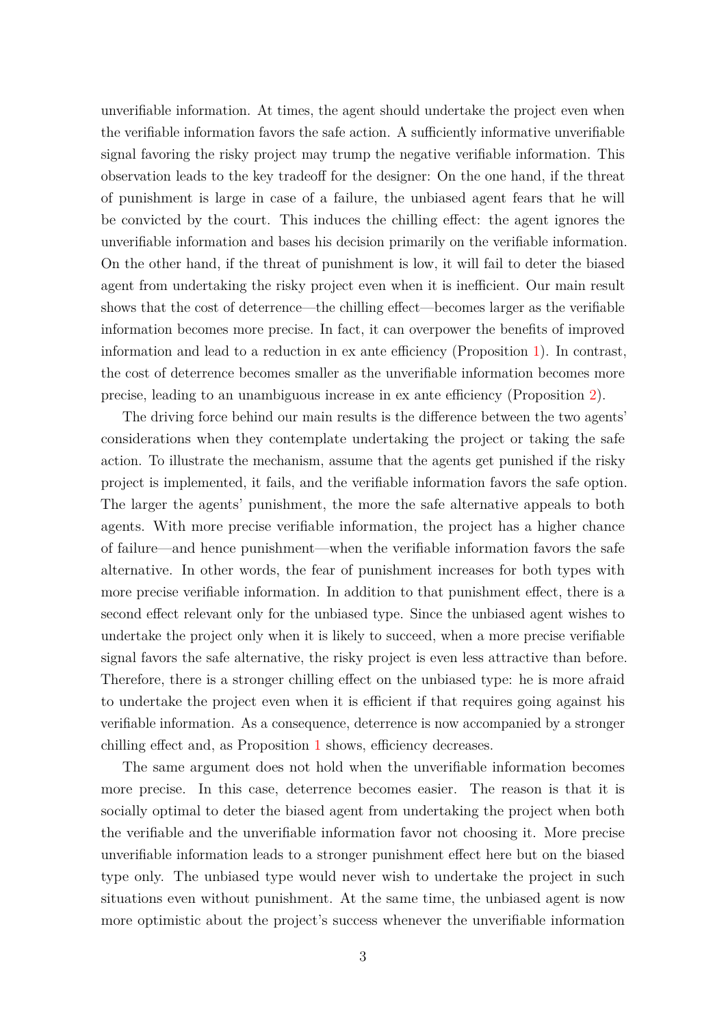unverifiable information. At times, the agent should undertake the project even when the verifiable information favors the safe action. A sufficiently informative unverifiable signal favoring the risky project may trump the negative verifiable information. This observation leads to the key tradeoff for the designer: On the one hand, if the threat of punishment is large in case of a failure, the unbiased agent fears that he will be convicted by the court. This induces the chilling effect: the agent ignores the unverifiable information and bases his decision primarily on the verifiable information. On the other hand, if the threat of punishment is low, it will fail to deter the biased agent from undertaking the risky project even when it is inefficient. Our main result shows that the cost of deterrence—the chilling effect—becomes larger as the verifiable information becomes more precise. In fact, it can overpower the benefits of improved information and lead to a reduction in ex ante efficiency (Proposition [1\)](#page-14-0). In contrast, the cost of deterrence becomes smaller as the unverifiable information becomes more precise, leading to an unambiguous increase in ex ante efficiency (Proposition [2\)](#page-14-1).

The driving force behind our main results is the difference between the two agents' considerations when they contemplate undertaking the project or taking the safe action. To illustrate the mechanism, assume that the agents get punished if the risky project is implemented, it fails, and the verifiable information favors the safe option. The larger the agents' punishment, the more the safe alternative appeals to both agents. With more precise verifiable information, the project has a higher chance of failure—and hence punishment—when the verifiable information favors the safe alternative. In other words, the fear of punishment increases for both types with more precise verifiable information. In addition to that punishment effect, there is a second effect relevant only for the unbiased type. Since the unbiased agent wishes to undertake the project only when it is likely to succeed, when a more precise verifiable signal favors the safe alternative, the risky project is even less attractive than before. Therefore, there is a stronger chilling effect on the unbiased type: he is more afraid to undertake the project even when it is efficient if that requires going against his verifiable information. As a consequence, deterrence is now accompanied by a stronger chilling effect and, as Proposition [1](#page-14-0) shows, efficiency decreases.

The same argument does not hold when the unverifiable information becomes more precise. In this case, deterrence becomes easier. The reason is that it is socially optimal to deter the biased agent from undertaking the project when both the verifiable and the unverifiable information favor not choosing it. More precise unverifiable information leads to a stronger punishment effect here but on the biased type only. The unbiased type would never wish to undertake the project in such situations even without punishment. At the same time, the unbiased agent is now more optimistic about the project's success whenever the unverifiable information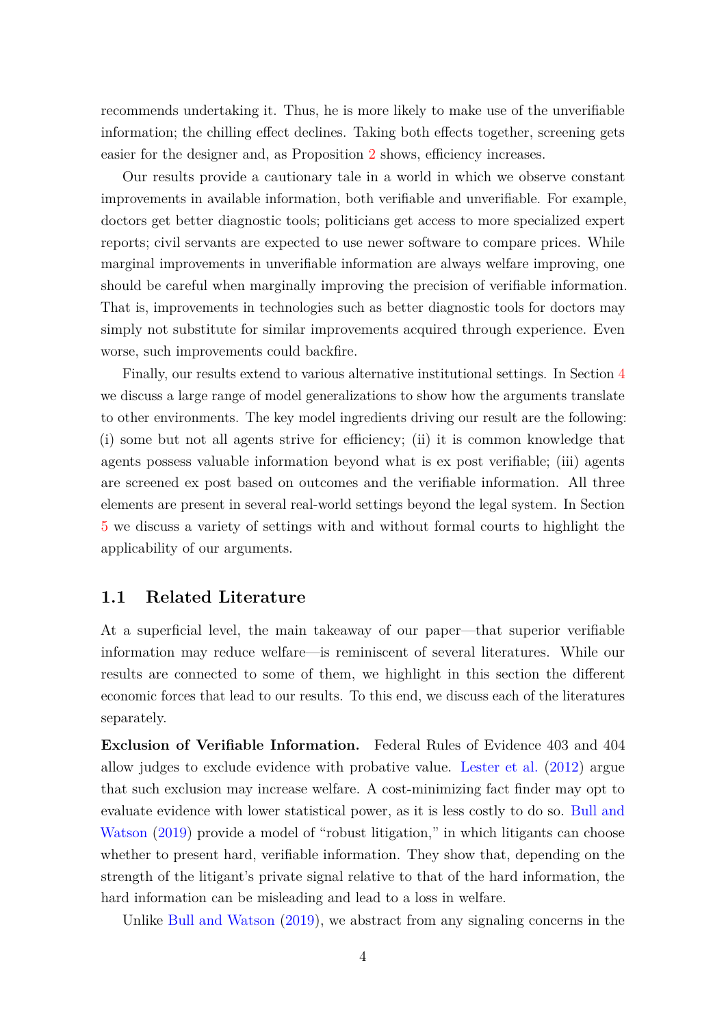<span id="page-3-0"></span>recommends undertaking it. Thus, he is more likely to make use of the unverifiable information; the chilling effect declines. Taking both effects together, screening gets easier for the designer and, as Proposition [2](#page-14-1) shows, efficiency increases.

Our results provide a cautionary tale in a world in which we observe constant improvements in available information, both verifiable and unverifiable. For example, doctors get better diagnostic tools; politicians get access to more specialized expert reports; civil servants are expected to use newer software to compare prices. While marginal improvements in unverifiable information are always welfare improving, one should be careful when marginally improving the precision of verifiable information. That is, improvements in technologies such as better diagnostic tools for doctors may simply not substitute for similar improvements acquired through experience. Even worse, such improvements could backfire.

Finally, our results extend to various alternative institutional settings. In Section [4](#page-16-0) we discuss a large range of model generalizations to show how the arguments translate to other environments. The key model ingredients driving our result are the following: (i) some but not all agents strive for efficiency; (ii) it is common knowledge that agents possess valuable information beyond what is ex post verifiable; (iii) agents are screened ex post based on outcomes and the verifiable information. All three elements are present in several real-world settings beyond the legal system. In Section [5](#page-24-0) we discuss a variety of settings with and without formal courts to highlight the applicability of our arguments.

### **1.1 Related Literature**

At a superficial level, the main takeaway of our paper—that superior verifiable information may reduce welfare—is reminiscent of several literatures. While our results are connected to some of them, we highlight in this section the different economic forces that lead to our results. To this end, we discuss each of the literatures separately.

**Exclusion of Verifiable Information.** Federal Rules of Evidence 403 and 404 allow judges to exclude evidence with probative value. [Lester et al.](#page-44-0) [\(2012\)](#page-44-0) argue that such exclusion may increase welfare. A cost-minimizing fact finder may opt to evaluate evidence with lower statistical power, as it is less costly to do so. [Bull and](#page-43-0) [Watson](#page-43-0) [\(2019\)](#page-43-0) provide a model of "robust litigation," in which litigants can choose whether to present hard, verifiable information. They show that, depending on the strength of the litigant's private signal relative to that of the hard information, the hard information can be misleading and lead to a loss in welfare.

Unlike [Bull and Watson](#page-43-0) [\(2019\)](#page-43-0), we abstract from any signaling concerns in the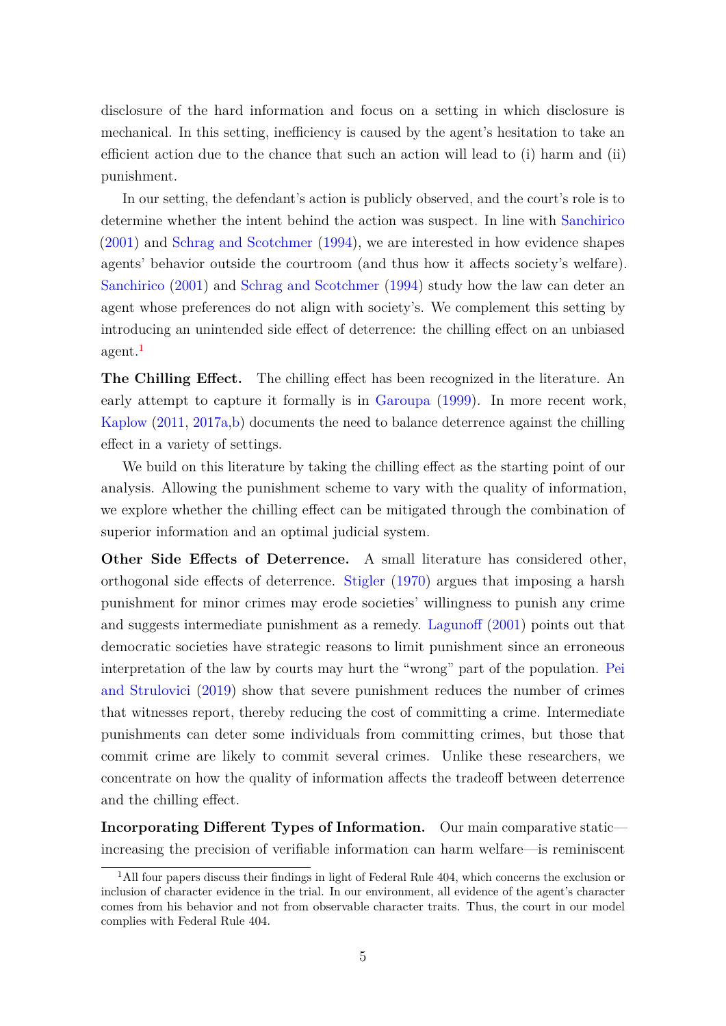<span id="page-4-1"></span>disclosure of the hard information and focus on a setting in which disclosure is mechanical. In this setting, inefficiency is caused by the agent's hesitation to take an efficient action due to the chance that such an action will lead to (i) harm and (ii) punishment.

In our setting, the defendant's action is publicly observed, and the court's role is to determine whether the intent behind the action was suspect. In line with [Sanchirico](#page-44-1) [\(2001\)](#page-44-1) and [Schrag and Scotchmer](#page-44-2) [\(1994\)](#page-44-2), we are interested in how evidence shapes agents' behavior outside the courtroom (and thus how it affects society's welfare). [Sanchirico](#page-44-1) [\(2001\)](#page-44-1) and [Schrag and Scotchmer](#page-44-2) [\(1994\)](#page-44-2) study how the law can deter an agent whose preferences do not align with society's. We complement this setting by introducing an unintended side effect of deterrence: the chilling effect on an unbiased agent.<sup>[1](#page-4-0)</sup>

**The Chilling Effect.** The chilling effect has been recognized in the literature. An early attempt to capture it formally is in [Garoupa](#page-43-1) [\(1999\)](#page-43-1). In more recent work, [Kaplow](#page-44-3) [\(2011,](#page-44-3) [2017a](#page-44-4)[,b\)](#page-44-5) documents the need to balance deterrence against the chilling effect in a variety of settings.

We build on this literature by taking the chilling effect as the starting point of our analysis. Allowing the punishment scheme to vary with the quality of information, we explore whether the chilling effect can be mitigated through the combination of superior information and an optimal judicial system.

**Other Side Effects of Deterrence.** A small literature has considered other, orthogonal side effects of deterrence. [Stigler](#page-44-6) [\(1970\)](#page-44-6) argues that imposing a harsh punishment for minor crimes may erode societies' willingness to punish any crime and suggests intermediate punishment as a remedy. [Lagunoff](#page-44-7) [\(2001\)](#page-44-7) points out that democratic societies have strategic reasons to limit punishment since an erroneous interpretation of the law by courts may hurt the "wrong" part of the population. [Pei](#page-44-8) [and Strulovici](#page-44-8) [\(2019\)](#page-44-8) show that severe punishment reduces the number of crimes that witnesses report, thereby reducing the cost of committing a crime. Intermediate punishments can deter some individuals from committing crimes, but those that commit crime are likely to commit several crimes. Unlike these researchers, we concentrate on how the quality of information affects the tradeoff between deterrence and the chilling effect.

**Incorporating Different Types of Information.** Our main comparative static increasing the precision of verifiable information can harm welfare—is reminiscent

<span id="page-4-0"></span><sup>&</sup>lt;sup>1</sup>All four papers discuss their findings in light of Federal Rule 404, which concerns the exclusion or inclusion of character evidence in the trial. In our environment, all evidence of the agent's character comes from his behavior and not from observable character traits. Thus, the court in our model complies with Federal Rule 404.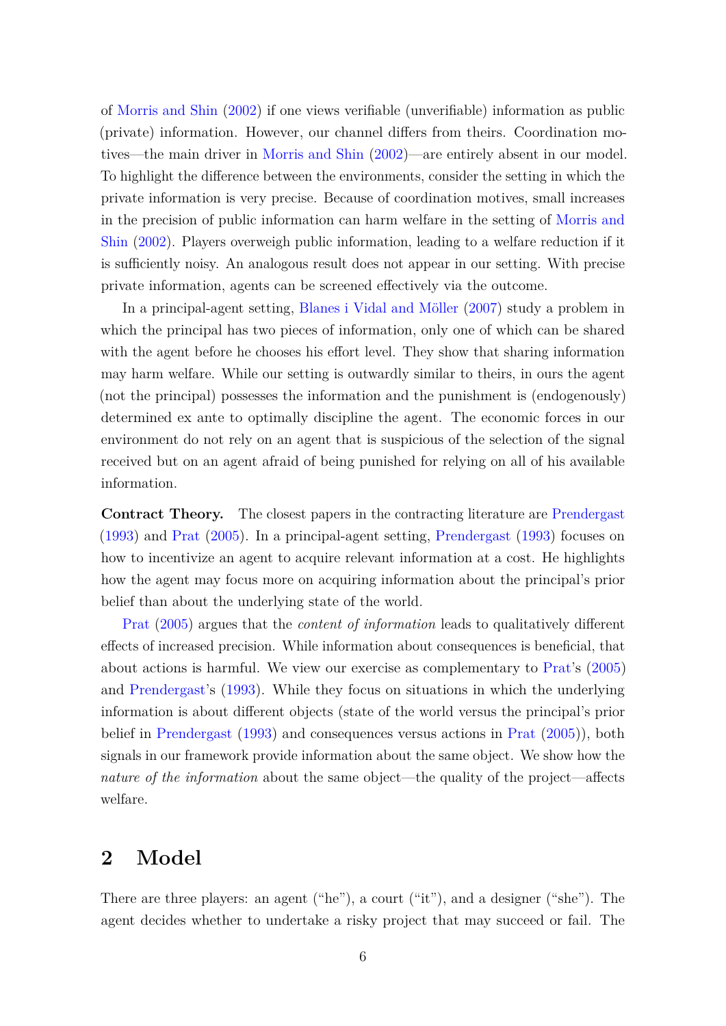<span id="page-5-0"></span>of [Morris and Shin](#page-44-9) [\(2002\)](#page-44-9) if one views verifiable (unverifiable) information as public (private) information. However, our channel differs from theirs. Coordination motives—the main driver in [Morris and Shin](#page-44-9) [\(2002\)](#page-44-9)—are entirely absent in our model. To highlight the difference between the environments, consider the setting in which the private information is very precise. Because of coordination motives, small increases in the precision of public information can harm welfare in the setting of [Morris and](#page-44-9) [Shin](#page-44-9) [\(2002\)](#page-44-9). Players overweigh public information, leading to a welfare reduction if it is sufficiently noisy. An analogous result does not appear in our setting. With precise private information, agents can be screened effectively via the outcome.

In a principal-agent setting, [Blanes i Vidal and Möller](#page-43-2) [\(2007\)](#page-43-2) study a problem in which the principal has two pieces of information, only one of which can be shared with the agent before he chooses his effort level. They show that sharing information may harm welfare. While our setting is outwardly similar to theirs, in ours the agent (not the principal) possesses the information and the punishment is (endogenously) determined ex ante to optimally discipline the agent. The economic forces in our environment do not rely on an agent that is suspicious of the selection of the signal received but on an agent afraid of being punished for relying on all of his available information.

**Contract Theory.** The closest papers in the contracting literature are [Prendergast](#page-44-10) [\(1993\)](#page-44-10) and [Prat](#page-44-11) [\(2005\)](#page-44-11). In a principal-agent setting, [Prendergast](#page-44-10) [\(1993\)](#page-44-10) focuses on how to incentivize an agent to acquire relevant information at a cost. He highlights how the agent may focus more on acquiring information about the principal's prior belief than about the underlying state of the world.

[Prat](#page-44-11) [\(2005\)](#page-44-11) argues that the *content of information* leads to qualitatively different effects of increased precision. While information about consequences is beneficial, that about actions is harmful. We view our exercise as complementary to [Prat'](#page-44-11)s [\(2005\)](#page-44-11) and [Prendergast'](#page-44-10)s [\(1993\)](#page-44-10). While they focus on situations in which the underlying information is about different objects (state of the world versus the principal's prior belief in [Prendergast](#page-44-10) [\(1993\)](#page-44-10) and consequences versus actions in [Prat](#page-44-11) [\(2005\)](#page-44-11)), both signals in our framework provide information about the same object. We show how the *nature of the information* about the same object—the quality of the project—affects welfare.

## **2 Model**

There are three players: an agent ("he"), a court ("it"), and a designer ("she"). The agent decides whether to undertake a risky project that may succeed or fail. The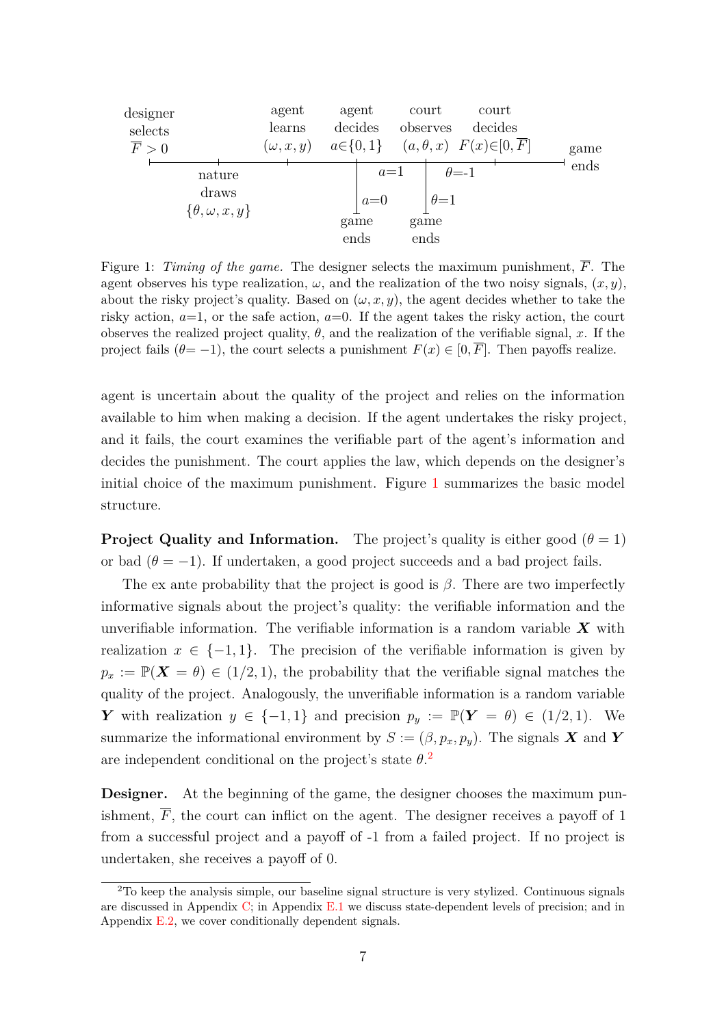<span id="page-6-0"></span>

| designer<br>selects<br>$\overline{F} > 0$ |                                     | agent<br>learns<br>$(\omega, x, y)$ | agent<br>decides | court<br>observes |               | court<br>decides<br>$a \in \{0, 1\}$ $(a, \theta, x)$ $F(x) \in [0, \overline{F}]$ | game |
|-------------------------------------------|-------------------------------------|-------------------------------------|------------------|-------------------|---------------|------------------------------------------------------------------------------------|------|
|                                           | nature                              |                                     | $a=1$            |                   | $\theta = -1$ |                                                                                    | ends |
|                                           | draws<br>$\{\theta, \omega, x, y\}$ |                                     | $a=0$            |                   | $\theta = 1$  |                                                                                    |      |
|                                           |                                     |                                     | game<br>ends     | game<br>ends      |               |                                                                                    |      |

Figure 1: *Timing of the game.* The designer selects the maximum punishment, *F*. The agent observes his type realization,  $\omega$ , and the realization of the two noisy signals,  $(x, y)$ , about the risky project's quality. Based on  $(\omega, x, y)$ , the agent decides whether to take the risky action,  $a=1$ , or the safe action,  $a=0$ . If the agent takes the risky action, the court observes the realized project quality,  $\theta$ , and the realization of the verifiable signal,  $x$ . If the project fails  $(\theta = -1)$ , the court selects a punishment  $F(x) \in [0, \overline{F}]$ . Then payoffs realize.

agent is uncertain about the quality of the project and relies on the information available to him when making a decision. If the agent undertakes the risky project, and it fails, the court examines the verifiable part of the agent's information and decides the punishment. The court applies the law, which depends on the designer's initial choice of the maximum punishment. Figure [1](#page-6-0) summarizes the basic model structure.

**Project Quality and Information.** The project's quality is either good  $(\theta = 1)$ or bad  $(\theta = -1)$ . If undertaken, a good project succeeds and a bad project fails.

The ex ante probability that the project is good is *β*. There are two imperfectly informative signals about the project's quality: the verifiable information and the unverifiable information. The verifiable information is a random variable *X* with realization  $x \in \{-1, 1\}$ . The precision of the verifiable information is given by  $p_x := \mathbb{P}(\mathbf{X} = \theta) \in (1/2, 1)$ , the probability that the verifiable signal matches the quality of the project. Analogously, the unverifiable information is a random variable *Y* with realization  $y \in \{-1, 1\}$  and precision  $p_y := \mathbb{P}(Y = \theta) \in (1/2, 1)$ . We summarize the informational environment by  $S := (\beta, p_x, p_y)$ . The signals **X** and **Y** are independent conditional on the project's state *θ*. [2](#page-6-1)

**Designer.** At the beginning of the game, the designer chooses the maximum punishment,  $\overline{F}$ , the court can inflict on the agent. The designer receives a payoff of 1 from a successful project and a payoff of -1 from a failed project. If no project is undertaken, she receives a payoff of 0.

<span id="page-6-1"></span><sup>2</sup>To keep the analysis simple, our baseline signal structure is very stylized. Continuous signals are discussed in Appendix [C;](#page-33-0) in Appendix [E.1](#page-42-0) we discuss state-dependent levels of precision; and in Appendix [E.2,](#page-42-1) we cover conditionally dependent signals.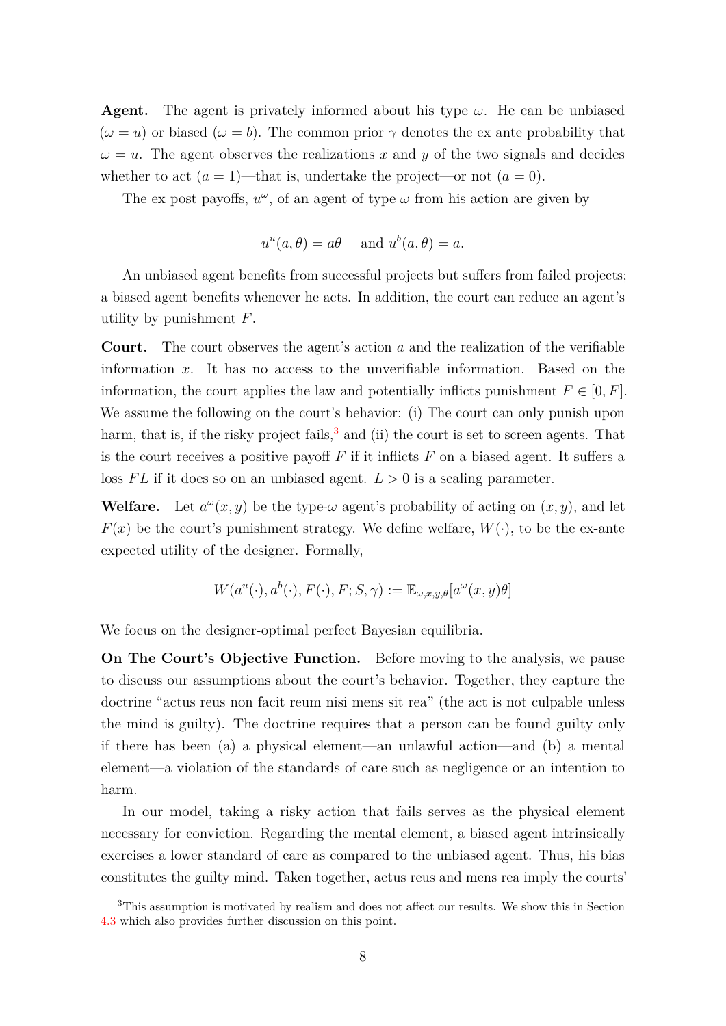**Agent.** The agent is privately informed about his type  $\omega$ . He can be unbiased  $(\omega = u)$  or biased  $(\omega = b)$ . The common prior  $\gamma$  denotes the ex ante probability that  $\omega = u$ . The agent observes the realizations *x* and *y* of the two signals and decides whether to act  $(a = 1)$ —that is, undertake the project—or not  $(a = 0)$ .

The ex post payoffs,  $u^{\omega}$ , of an agent of type  $\omega$  from his action are given by

$$
u^u(a,\theta) = a\theta \quad \text{and } u^b(a,\theta) = a.
$$

An unbiased agent benefits from successful projects but suffers from failed projects; a biased agent benefits whenever he acts. In addition, the court can reduce an agent's utility by punishment *F*.

**Court.** The court observes the agent's action *a* and the realization of the verifiable information *x*. It has no access to the unverifiable information. Based on the information, the court applies the law and potentially inflicts punishment  $F \in [0, \overline{F}]$ . We assume the following on the court's behavior: (i) The court can only punish upon harm, that is, if the risky project fails,  $3$  and (ii) the court is set to screen agents. That is the court receives a positive payoff  $F$  if it inflicts  $F$  on a biased agent. It suffers a loss  $FL$  if it does so on an unbiased agent.  $L > 0$  is a scaling parameter.

**Welfare.** Let  $a^{\omega}(x, y)$  be the type- $\omega$  agent's probability of acting on  $(x, y)$ , and let  $F(x)$  be the court's punishment strategy. We define welfare,  $W(\cdot)$ , to be the ex-ante expected utility of the designer. Formally,

$$
W(a^u(\cdot), a^b(\cdot), F(\cdot), \overline{F}; S, \gamma) := \mathbb{E}_{\omega, x, y, \theta}[a^{\omega}(x, y)\theta]
$$

We focus on the designer-optimal perfect Bayesian equilibria.

**On The Court's Objective Function.** Before moving to the analysis, we pause to discuss our assumptions about the court's behavior. Together, they capture the doctrine "actus reus non facit reum nisi mens sit rea" (the act is not culpable unless the mind is guilty). The doctrine requires that a person can be found guilty only if there has been (a) a physical element—an unlawful action—and (b) a mental element—a violation of the standards of care such as negligence or an intention to harm.

In our model, taking a risky action that fails serves as the physical element necessary for conviction. Regarding the mental element, a biased agent intrinsically exercises a lower standard of care as compared to the unbiased agent. Thus, his bias constitutes the guilty mind. Taken together, actus reus and mens rea imply the courts'

<span id="page-7-0"></span><sup>3</sup>This assumption is motivated by realism and does not affect our results. We show this in Section [4.3](#page-22-0) which also provides further discussion on this point.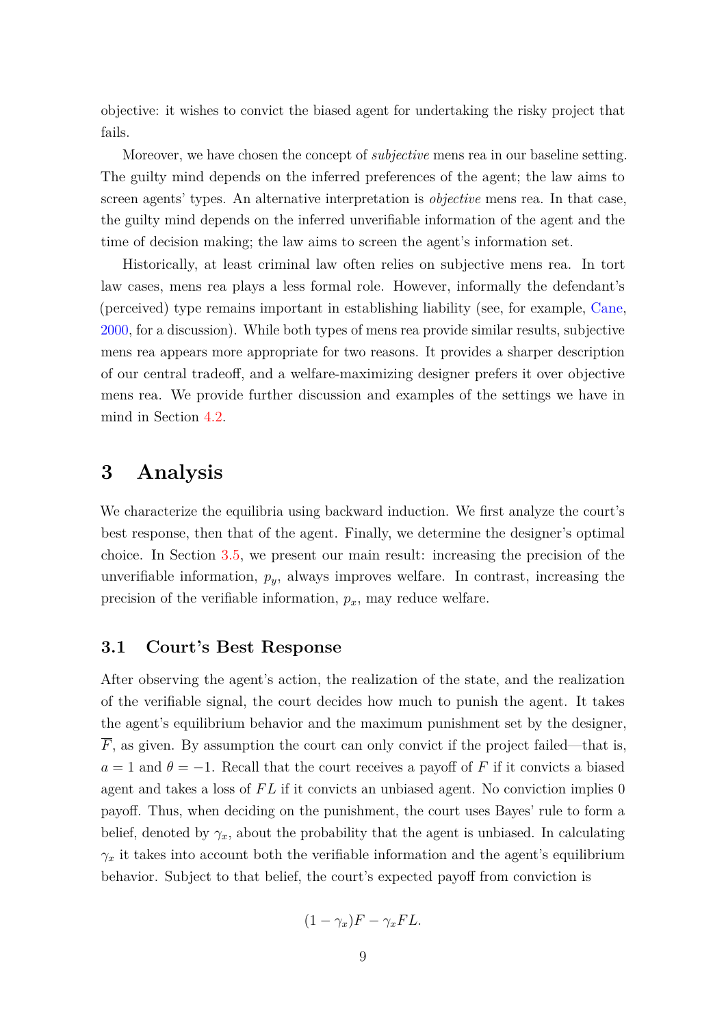<span id="page-8-0"></span>objective: it wishes to convict the biased agent for undertaking the risky project that fails.

Moreover, we have chosen the concept of *subjective* mens rea in our baseline setting. The guilty mind depends on the inferred preferences of the agent; the law aims to screen agents' types. An alternative interpretation is *objective* mens rea. In that case, the guilty mind depends on the inferred unverifiable information of the agent and the time of decision making; the law aims to screen the agent's information set.

Historically, at least criminal law often relies on subjective mens rea. In tort law cases, mens rea plays a less formal role. However, informally the defendant's (perceived) type remains important in establishing liability (see, for example, [Cane,](#page-43-3) [2000,](#page-43-3) for a discussion). While both types of mens rea provide similar results, subjective mens rea appears more appropriate for two reasons. It provides a sharper description of our central tradeoff, and a welfare-maximizing designer prefers it over objective mens rea. We provide further discussion and examples of the settings we have in mind in Section [4.2.](#page-19-0)

## **3 Analysis**

We characterize the equilibria using backward induction. We first analyze the court's best response, then that of the agent. Finally, we determine the designer's optimal choice. In Section [3.5,](#page-12-0) we present our main result: increasing the precision of the unverifiable information, *py*, always improves welfare. In contrast, increasing the precision of the verifiable information, *px*, may reduce welfare.

### **3.1 Court's Best Response**

After observing the agent's action, the realization of the state, and the realization of the verifiable signal, the court decides how much to punish the agent. It takes the agent's equilibrium behavior and the maximum punishment set by the designer,  $\overline{F}$ , as given. By assumption the court can only convict if the project failed—that is,  $a = 1$  and  $\theta = -1$ . Recall that the court receives a payoff of *F* if it convicts a biased agent and takes a loss of FL if it convicts an unbiased agent. No conviction implies 0 payoff. Thus, when deciding on the punishment, the court uses Bayes' rule to form a belief, denoted by  $\gamma_x$ , about the probability that the agent is unbiased. In calculating  $\gamma_x$  it takes into account both the verifiable information and the agent's equilibrium behavior. Subject to that belief, the court's expected payoff from conviction is

$$
(1 - \gamma_x)F - \gamma_x FL.
$$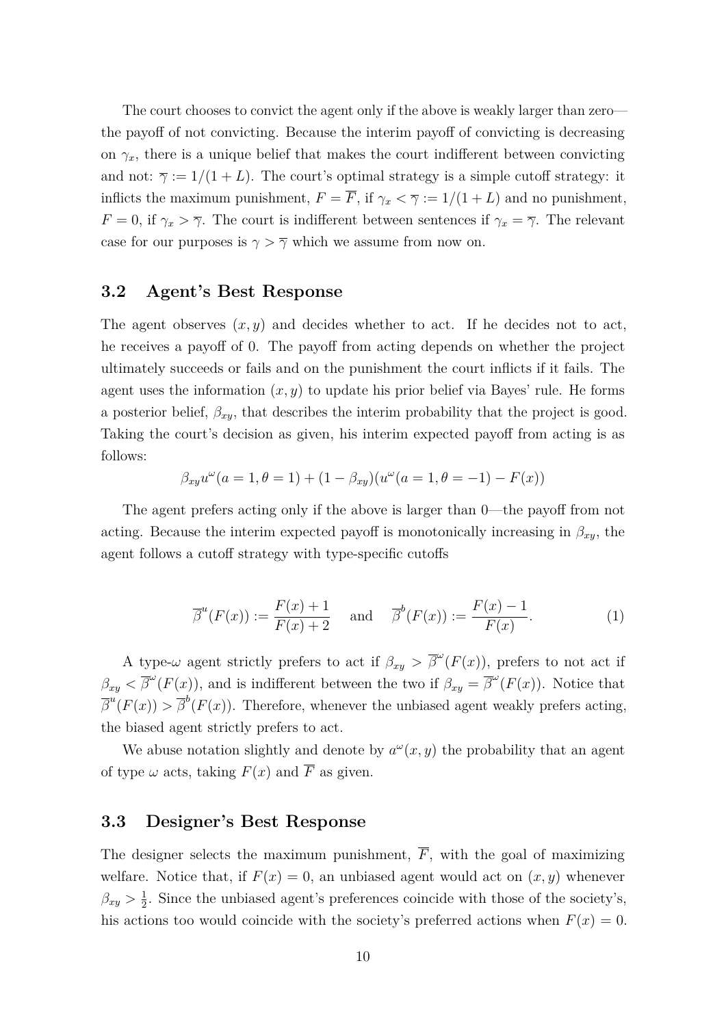The court chooses to convict the agent only if the above is weakly larger than zero the payoff of not convicting. Because the interim payoff of convicting is decreasing on  $\gamma_x$ , there is a unique belief that makes the court indifferent between convicting and not:  $\overline{\gamma} := 1/(1 + L)$ . The court's optimal strategy is a simple cutoff strategy: it inflicts the maximum punishment,  $F = \overline{F}$ , if  $\gamma_x < \overline{\gamma} := 1/(1+L)$  and no punishment, *F* = 0, if  $\gamma_x > \overline{\gamma}$ . The court is indifferent between sentences if  $\gamma_x = \overline{\gamma}$ . The relevant case for our purposes is  $\gamma > \overline{\gamma}$  which we assume from now on.

### **3.2 Agent's Best Response**

The agent observes  $(x, y)$  and decides whether to act. If he decides not to act, he receives a payoff of 0. The payoff from acting depends on whether the project ultimately succeeds or fails and on the punishment the court inflicts if it fails. The agent uses the information  $(x, y)$  to update his prior belief via Bayes' rule. He forms a posterior belief,  $\beta_{xy}$ , that describes the interim probability that the project is good. Taking the court's decision as given, his interim expected payoff from acting is as follows:

$$
\beta_{xy}u^{\omega}(a=1,\theta=1) + (1 - \beta_{xy})(u^{\omega}(a=1,\theta=-1) - F(x))
$$

The agent prefers acting only if the above is larger than 0—the payoff from not acting. Because the interim expected payoff is monotonically increasing in  $\beta_{xy}$ , the agent follows a cutoff strategy with type-specific cutoffs

<span id="page-9-0"></span>
$$
\overline{\beta}^u(F(x)) := \frac{F(x) + 1}{F(x) + 2} \quad \text{and} \quad \overline{\beta}^b(F(x)) := \frac{F(x) - 1}{F(x)}.
$$
 (1)

A type- $\omega$  agent strictly prefers to act if  $\beta_{xy} > \overline{\beta}^{\omega}(F(x))$ , prefers to not act if  $\beta_{xy}$  <  $\overline{\beta}^{\omega}(F(x))$ , and is indifferent between the two if  $\beta_{xy} = \overline{\beta}^{\omega}(F(x))$ . Notice that  $\overline{\beta}^u(F(x)) > \overline{\beta}^b(F(x))$ . Therefore, whenever the unbiased agent weakly prefers acting, the biased agent strictly prefers to act.

We abuse notation slightly and denote by  $a^{\omega}(x, y)$  the probability that an agent of type  $\omega$  acts, taking  $F(x)$  and  $\overline{F}$  as given.

### **3.3 Designer's Best Response**

The designer selects the maximum punishment,  $\overline{F}$ , with the goal of maximizing welfare. Notice that, if  $F(x) = 0$ , an unbiased agent would act on  $(x, y)$  whenever  $\beta_{xy} > \frac{1}{2}$  $\frac{1}{2}$ . Since the unbiased agent's preferences coincide with those of the society's, his actions too would coincide with the society's preferred actions when  $F(x) = 0$ .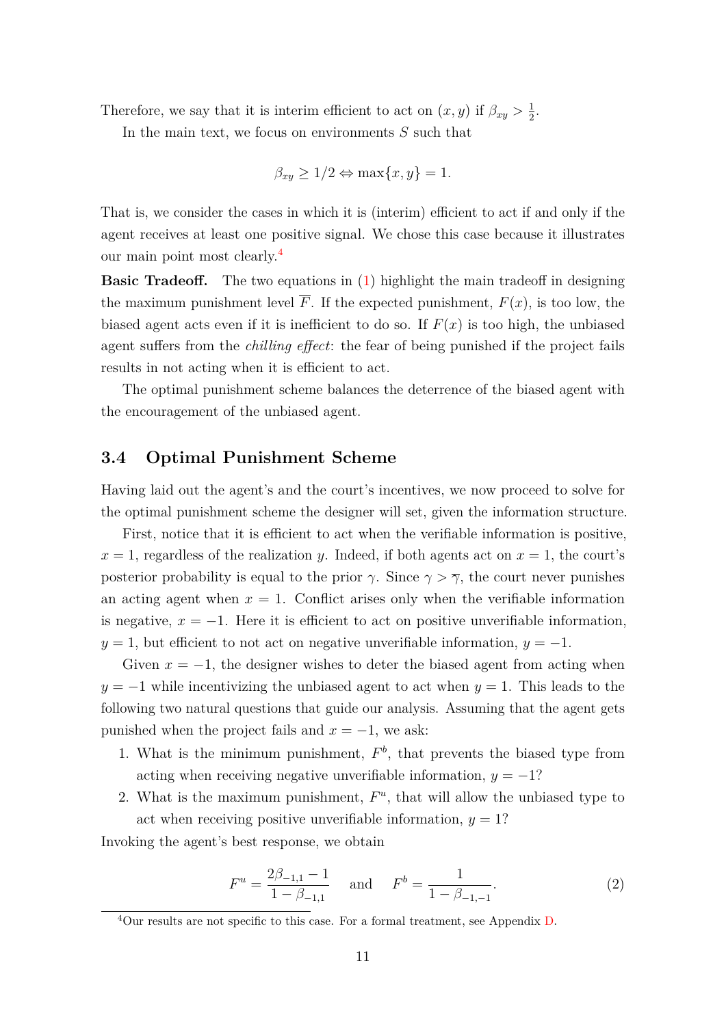Therefore, we say that it is interim efficient to act on  $(x, y)$  if  $\beta_{xy} > \frac{1}{2}$  $rac{1}{2}$ .

In the main text, we focus on environments *S* such that

$$
\beta_{xy} \ge 1/2 \Leftrightarrow \max\{x, y\} = 1.
$$

That is, we consider the cases in which it is (interim) efficient to act if and only if the agent receives at least one positive signal. We chose this case because it illustrates our main point most clearly.[4](#page-10-0)

**Basic Tradeoff.** The two equations in [\(1\)](#page-9-0) highlight the main tradeoff in designing the maximum punishment level  $\overline{F}$ . If the expected punishment,  $F(x)$ , is too low, the biased agent acts even if it is inefficient to do so. If  $F(x)$  is too high, the unbiased agent suffers from the *chilling effect*: the fear of being punished if the project fails results in not acting when it is efficient to act.

The optimal punishment scheme balances the deterrence of the biased agent with the encouragement of the unbiased agent.

### **3.4 Optimal Punishment Scheme**

Having laid out the agent's and the court's incentives, we now proceed to solve for the optimal punishment scheme the designer will set, given the information structure.

First, notice that it is efficient to act when the verifiable information is positive,  $x = 1$ , regardless of the realization *y*. Indeed, if both agents act on  $x = 1$ , the court's posterior probability is equal to the prior  $\gamma$ . Since  $\gamma > \overline{\gamma}$ , the court never punishes an acting agent when  $x = 1$ . Conflict arises only when the verifiable information is negative,  $x = -1$ . Here it is efficient to act on positive unverifiable information,  $y = 1$ , but efficient to not act on negative unverifiable information,  $y = -1$ .

Given  $x = -1$ , the designer wishes to deter the biased agent from acting when  $y = -1$  while incentivizing the unbiased agent to act when  $y = 1$ . This leads to the following two natural questions that guide our analysis. Assuming that the agent gets punished when the project fails and  $x = -1$ , we ask:

- 1. What is the minimum punishment,  $F<sup>b</sup>$ , that prevents the biased type from acting when receiving negative unverifiable information,  $y = -1$ ?
- 2. What is the maximum punishment,  $F^u$ , that will allow the unbiased type to act when receiving positive unverifiable information,  $y = 1$ ?

Invoking the agent's best response, we obtain

<span id="page-10-1"></span>
$$
F^{u} = \frac{2\beta_{-1,1} - 1}{1 - \beta_{-1,1}} \quad \text{and} \quad F^{b} = \frac{1}{1 - \beta_{-1,-1}}.
$$
 (2)

<span id="page-10-0"></span><sup>4</sup>Our results are not specific to this case. For a formal treatment, see Appendix [D.](#page-39-0)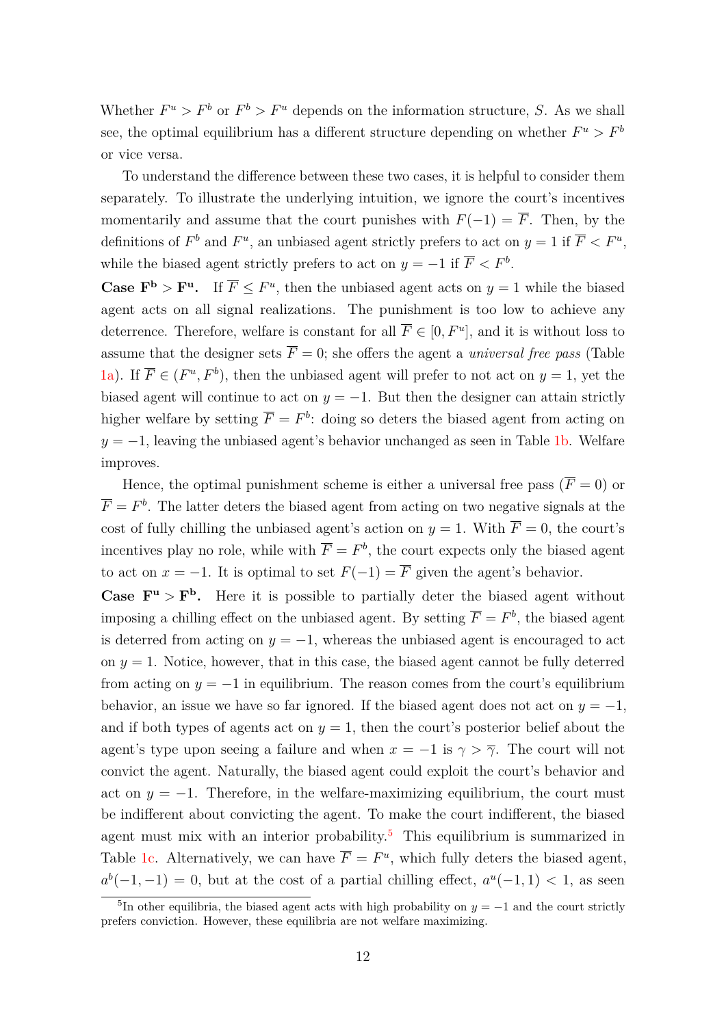Whether  $F^u > F^b$  or  $F^b > F^u$  depends on the information structure, *S*. As we shall see, the optimal equilibrium has a different structure depending on whether  $F^u > F^b$ or vice versa.

To understand the difference between these two cases, it is helpful to consider them separately. To illustrate the underlying intuition, we ignore the court's incentives momentarily and assume that the court punishes with  $F(-1) = \overline{F}$ . Then, by the definitions of  $F^b$  and  $F^u$ , an unbiased agent strictly prefers to act on  $y = 1$  if  $\overline{F} < F^u$ , while the biased agent strictly prefers to act on  $y = -1$  if  $\overline{F} < F^b$ .

**Case**  $\mathbf{F}^{\mathbf{b}} > \mathbf{F}^{\mathbf{u}}$ . If  $\overline{F} \leq F^u$ , then the unbiased agent acts on  $y = 1$  while the biased agent acts on all signal realizations. The punishment is too low to achieve any deterrence. Therefore, welfare is constant for all  $\overline{F} \in [0, F^u]$ , and it is without loss to assume that the designer sets  $\overline{F} = 0$ ; she offers the agent a *universal free pass* (Table [1a\)](#page-12-1). If  $\overline{F} \in (F^u, F^b)$ , then the unbiased agent will prefer to not act on  $y = 1$ , yet the biased agent will continue to act on  $y = -1$ . But then the designer can attain strictly higher welfare by setting  $\overline{F} = F^b$ : doing so deters the biased agent from acting on  $y = -1$ , leaving the unbiased agent's behavior unchanged as seen in Table [1b.](#page-12-1) Welfare improves.

Hence, the optimal punishment scheme is either a universal free pass ( $\overline{F} = 0$ ) or  $\overline{F} = F^b$ . The latter deters the biased agent from acting on two negative signals at the cost of fully chilling the unbiased agent's action on  $y = 1$ . With  $\overline{F} = 0$ , the court's incentives play no role, while with  $\overline{F} = F^b$ , the court expects only the biased agent to act on  $x = -1$ . It is optimal to set  $F(-1) = \overline{F}$  given the agent's behavior.

**Case**  $\mathbf{F}^{\mathbf{u}} > \mathbf{F}^{\mathbf{b}}$ . Here it is possible to partially deter the biased agent without imposing a chilling effect on the unbiased agent. By setting  $\overline{F} = F^b$ , the biased agent is deterred from acting on  $y = -1$ , whereas the unbiased agent is encouraged to act on  $y = 1$ . Notice, however, that in this case, the biased agent cannot be fully deterred from acting on  $y = -1$  in equilibrium. The reason comes from the court's equilibrium behavior, an issue we have so far ignored. If the biased agent does not act on  $y = -1$ , and if both types of agents act on  $y = 1$ , then the court's posterior belief about the agent's type upon seeing a failure and when  $x = -1$  is  $\gamma > \overline{\gamma}$ . The court will not convict the agent. Naturally, the biased agent could exploit the court's behavior and act on  $y = -1$ . Therefore, in the welfare-maximizing equilibrium, the court must be indifferent about convicting the agent. To make the court indifferent, the biased agent must mix with an interior probability.<sup>[5](#page-11-0)</sup> This equilibrium is summarized in Table [1c.](#page-12-1) Alternatively, we can have  $\overline{F} = F^u$ , which fully deters the biased agent,  $a^b(-1,-1) = 0$ , but at the cost of a partial chilling effect,  $a^u(-1,1) < 1$ , as seen

<span id="page-11-0"></span><sup>&</sup>lt;sup>5</sup>In other equilibria, the biased agent acts with high probability on  $y = -1$  and the court strictly prefers conviction. However, these equilibria are not welfare maximizing.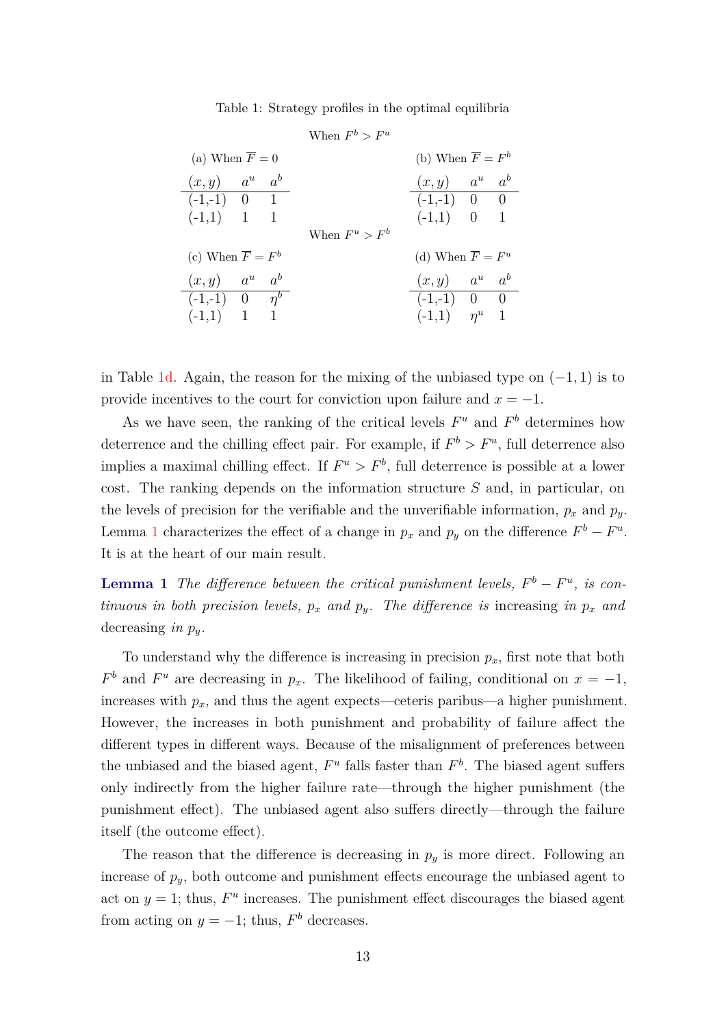Table 1: Strategy profiles in the optimal equilibria

<span id="page-12-1"></span>

|                                 |  |  | When $F^b > F^u$ |                               |  |  |
|---------------------------------|--|--|------------------|-------------------------------|--|--|
| (a) When $\overline{F} = 0$     |  |  |                  | (b) When $\overline{F} = F^b$ |  |  |
| $(x, y)$ $a^u$ $a^b$            |  |  |                  | $(x, y)$ $a^u$ $a^b$          |  |  |
| $(-1,-1)$ 0 1                   |  |  |                  | $(-1,-1)$ 0 0                 |  |  |
| $(-1,1)$ 1 1                    |  |  |                  | $(-1,1)$ 0 1                  |  |  |
|                                 |  |  | When $F^u > F^b$ |                               |  |  |
| (c) When $\overline{F} = F^b$   |  |  |                  | (d) When $\overline{F} = F^u$ |  |  |
| $(x, y)$ $a^u$ $a^b$            |  |  |                  | $(x, y)$ $a^u$ $a^b$          |  |  |
| $\overline{(-1,-1)}$ 0 $\eta^b$ |  |  |                  | $(-1,-1)$ 0 0                 |  |  |
| $(-1,1)$ 1 1                    |  |  |                  | $(-1,1)$ $\eta^u$ 1           |  |  |

in Table [1d.](#page-12-1) Again, the reason for the mixing of the unbiased type on (−1*,* 1) is to provide incentives to the court for conviction upon failure and  $x = -1$ .

As we have seen, the ranking of the critical levels  $F^u$  and  $F^b$  determines how deterrence and the chilling effect pair. For example, if  $F^b > F^u$ , full deterrence also implies a maximal chilling effect. If  $F^u > F^b$ , full deterrence is possible at a lower cost. The ranking depends on the information structure *S* and, in particular, on the levels of precision for the verifiable and the unverifiable information,  $p_x$  and  $p_y$ . Lemma [1](#page-12-2) characterizes the effect of a change in  $p_x$  and  $p_y$  on the difference  $F^b - F^u$ . It is at the heart of our main result.

<span id="page-12-2"></span>**Lemma 1** *The difference between the critical punishment levels,*  $F^b - F^u$ , *is continuous in both precision levels,*  $p_x$  *and*  $p_y$ *. The difference is* increasing *in*  $p_x$  *and* decreasing *in py.*

To understand why the difference is increasing in precision  $p_x$ , first note that both  $F<sup>b</sup>$  and  $F<sup>u</sup>$  are decreasing in  $p_x$ . The likelihood of failing, conditional on  $x = -1$ , increases with  $p_x$ , and thus the agent expects—ceteris paribus—a higher punishment. However, the increases in both punishment and probability of failure affect the different types in different ways. Because of the misalignment of preferences between the unbiased and the biased agent,  $F^u$  falls faster than  $F^b$ . The biased agent suffers only indirectly from the higher failure rate—through the higher punishment (the punishment effect). The unbiased agent also suffers directly—through the failure itself (the outcome effect).

<span id="page-12-0"></span>The reason that the difference is decreasing in  $p_y$  is more direct. Following an increase of  $p_y$ , both outcome and punishment effects encourage the unbiased agent to act on  $y = 1$ ; thus,  $F^u$  increases. The punishment effect discourages the biased agent from acting on  $y = -1$ ; thus,  $F<sup>b</sup>$  decreases.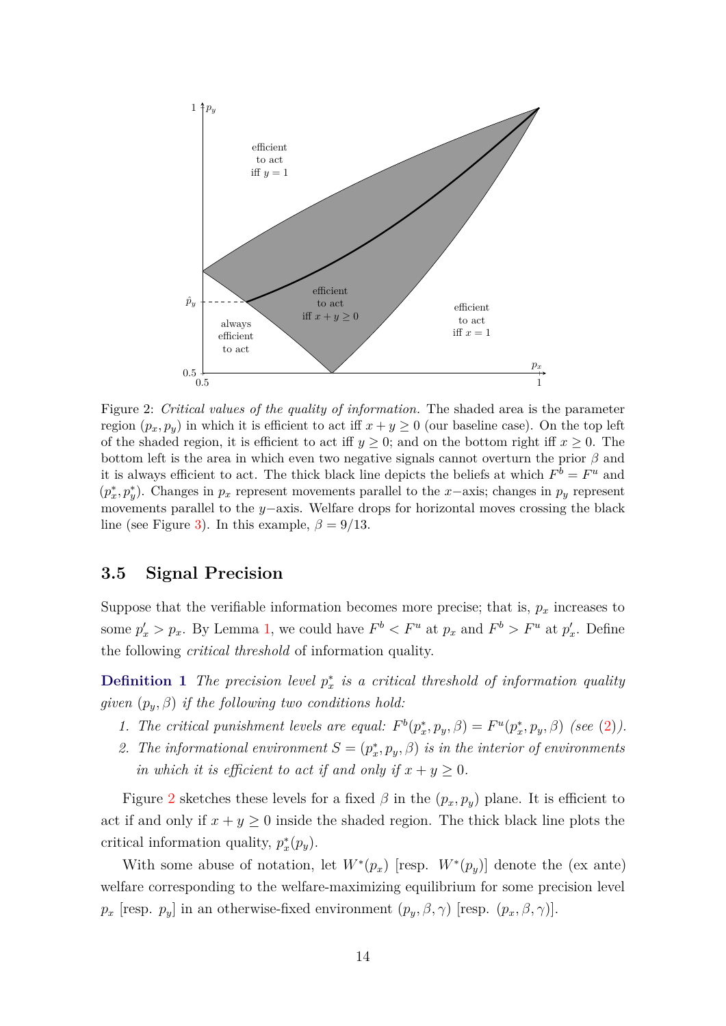<span id="page-13-0"></span>

Figure 2: *Critical values of the quality of information.* The shaded area is the parameter region  $(p_x, p_y)$  in which it is efficient to act iff  $x + y \ge 0$  (our baseline case). On the top left of the shaded region, it is efficient to act iff  $y \geq 0$ ; and on the bottom right iff  $x \geq 0$ . The bottom left is the area in which even two negative signals cannot overturn the prior *β* and it is always efficient to act. The thick black line depicts the beliefs at which  $F^b = F^u$  and  $(p_x^*, p_y^*)$ . Changes in  $p_x$  represent movements parallel to the *x*−axis; changes in  $p_y$  represent movements parallel to the *y*−axis. Welfare drops for horizontal moves crossing the black line (see Figure [3\)](#page-15-0). In this example,  $\beta = 9/13$ .

### **3.5 Signal Precision**

Suppose that the verifiable information becomes more precise; that is,  $p_x$  increases to some  $p'_x > p_x$ . By Lemma [1,](#page-12-2) we could have  $F^b < F^u$  at  $p_x$  and  $F^b > F^u$  at  $p'_x$ . Define the following *critical threshold* of information quality.

**Definition 1** *The precision level*  $p_x^*$  *is a critical threshold of information quality given* (*py, β*) *if the following two conditions hold:*

- *1. The critical punishment levels are equal:*  $F^b(p_x^*, p_y, \beta) = F^u(p_x^*, p_y, \beta)$  (see [\(2\)](#page-10-1)).
- 2. The informational environment  $S = (p_x^*, p_y, \beta)$  is in the interior of environments *in which it is efficient to act if and only if*  $x + y \geq 0$ *.*

Figure [2](#page-13-0) sketches these levels for a fixed  $\beta$  in the  $(p_x, p_y)$  plane. It is efficient to act if and only if  $x + y \geq 0$  inside the shaded region. The thick black line plots the critical information quality,  $p_x^*(p_y)$ .

With some abuse of notation, let  $W^*(p_x)$  [resp.  $W^*(p_y)$ ] denote the (ex ante) welfare corresponding to the welfare-maximizing equilibrium for some precision level *p<sub>x</sub>* [resp. *p<sub>y</sub>*] in an otherwise-fixed environment  $(p_y, \beta, \gamma)$  [resp.  $(p_x, \beta, \gamma)$ ].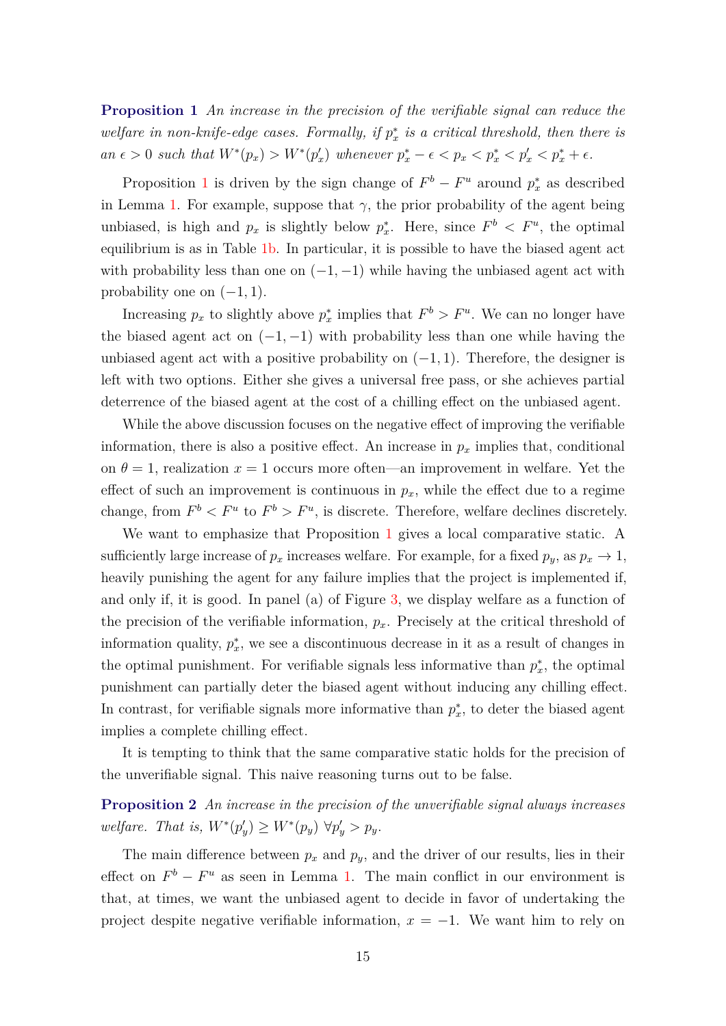<span id="page-14-0"></span>**Proposition 1** *An increase in the precision of the verifiable signal can reduce the*  $w$ *elfare in non-knife-edge cases. Formally, if*  $p_x^*$  *is a critical threshold, then there is* an  $\epsilon > 0$  such that  $W^*(p_x) > W^*(p'_x)$  whenever  $p_x^* - \epsilon < p_x < p_x^* < p'_x < p_x^* + \epsilon$ .

Proposition [1](#page-14-0) is driven by the sign change of  $F^b - F^u$  around  $p_x^*$  as described in Lemma [1.](#page-12-2) For example, suppose that  $\gamma$ , the prior probability of the agent being unbiased, is high and  $p_x$  is slightly below  $p_x^*$ . Here, since  $F^b \leq F^u$ , the optimal equilibrium is as in Table [1b.](#page-12-1) In particular, it is possible to have the biased agent act with probability less than one on  $(-1, -1)$  while having the unbiased agent act with probability one on  $(-1, 1)$ .

Increasing  $p_x$  to slightly above  $p_x^*$  implies that  $F^b > F^u$ . We can no longer have the biased agent act on  $(-1, -1)$  with probability less than one while having the unbiased agent act with a positive probability on  $(-1, 1)$ . Therefore, the designer is left with two options. Either she gives a universal free pass, or she achieves partial deterrence of the biased agent at the cost of a chilling effect on the unbiased agent.

While the above discussion focuses on the negative effect of improving the verifiable information, there is also a positive effect. An increase in  $p_x$  implies that, conditional on  $\theta = 1$ , realization  $x = 1$  occurs more often—an improvement in welfare. Yet the effect of such an improvement is continuous in  $p_x$ , while the effect due to a regime change, from  $F^b < F^u$  to  $F^b > F^u$ , is discrete. Therefore, welfare declines discretely.

We want to emphasize that Proposition [1](#page-14-0) gives a local comparative static. A sufficiently large increase of  $p_x$  increases welfare. For example, for a fixed  $p_y$ , as  $p_x \to 1$ , heavily punishing the agent for any failure implies that the project is implemented if, and only if, it is good. In panel (a) of Figure [3,](#page-15-0) we display welfare as a function of the precision of the verifiable information, *px*. Precisely at the critical threshold of information quality,  $p_x^*$ , we see a discontinuous decrease in it as a result of changes in the optimal punishment. For verifiable signals less informative than  $p_x^*$ , the optimal punishment can partially deter the biased agent without inducing any chilling effect. In contrast, for verifiable signals more informative than  $p_x^*$ , to deter the biased agent implies a complete chilling effect.

It is tempting to think that the same comparative static holds for the precision of the unverifiable signal. This naive reasoning turns out to be false.

<span id="page-14-1"></span>**Proposition 2** *An increase in the precision of the unverifiable signal always increases*  $w$ *elfare. That is,*  $W^*(p'_y) \ge W^*(p_y) \,\,\forall p'_y > p_y$ .

The main difference between  $p_x$  and  $p_y$ , and the driver of our results, lies in their effect on  $F^b - F^u$  as seen in Lemma [1.](#page-12-2) The main conflict in our environment is that, at times, we want the unbiased agent to decide in favor of undertaking the project despite negative verifiable information,  $x = -1$ . We want him to rely on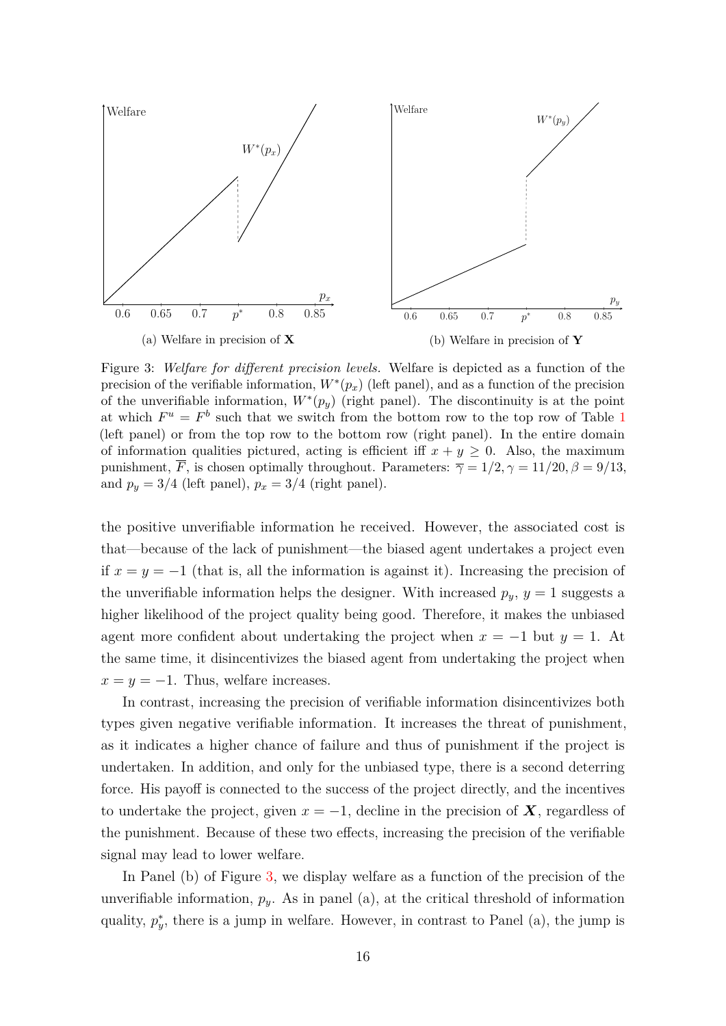<span id="page-15-0"></span>

Figure 3: *Welfare for different precision levels.* Welfare is depicted as a function of the precision of the verifiable information,  $W^*(p_x)$  (left panel), and as a function of the precision of the unverifiable information,  $W^*(p_y)$  (right panel). The discontinuity is at the point at which  $F^u = F^b$  such that we switch from the bottom row to the top row of Table [1](#page-12-1) (left panel) or from the top row to the bottom row (right panel). In the entire domain of information qualities pictured, acting is efficient iff  $x + y \geq 0$ . Also, the maximum punishment,  $\overline{F}$ , is chosen optimally throughout. Parameters:  $\overline{\gamma} = 1/2, \gamma = 11/20, \beta = 9/13,$ and  $p_y = 3/4$  (left panel),  $p_x = 3/4$  (right panel).

the positive unverifiable information he received. However, the associated cost is that—because of the lack of punishment—the biased agent undertakes a project even if  $x = y = -1$  (that is, all the information is against it). Increasing the precision of the unverifiable information helps the designer. With increased  $p_y$ ,  $y = 1$  suggests a higher likelihood of the project quality being good. Therefore, it makes the unbiased agent more confident about undertaking the project when  $x = -1$  but  $y = 1$ . At the same time, it disincentivizes the biased agent from undertaking the project when  $x = y = -1$ . Thus, welfare increases.

In contrast, increasing the precision of verifiable information disincentivizes both types given negative verifiable information. It increases the threat of punishment, as it indicates a higher chance of failure and thus of punishment if the project is undertaken. In addition, and only for the unbiased type, there is a second deterring force. His payoff is connected to the success of the project directly, and the incentives to undertake the project, given  $x = -1$ , decline in the precision of **X**, regardless of the punishment. Because of these two effects, increasing the precision of the verifiable signal may lead to lower welfare.

In Panel (b) of Figure [3,](#page-15-0) we display welfare as a function of the precision of the unverifiable information,  $p_y$ . As in panel (a), at the critical threshold of information quality,  $p_{y}^{*}$ , there is a jump in welfare. However, in contrast to Panel (a), the jump is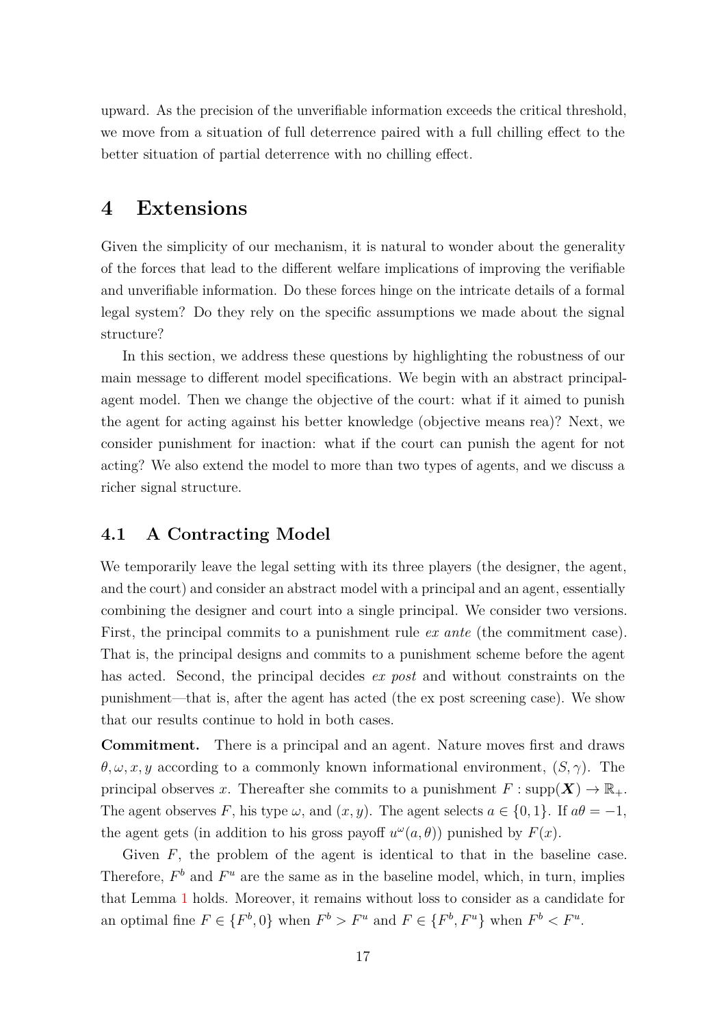upward. As the precision of the unverifiable information exceeds the critical threshold, we move from a situation of full deterrence paired with a full chilling effect to the better situation of partial deterrence with no chilling effect.

# <span id="page-16-0"></span>**4 Extensions**

Given the simplicity of our mechanism, it is natural to wonder about the generality of the forces that lead to the different welfare implications of improving the verifiable and unverifiable information. Do these forces hinge on the intricate details of a formal legal system? Do they rely on the specific assumptions we made about the signal structure?

In this section, we address these questions by highlighting the robustness of our main message to different model specifications. We begin with an abstract principalagent model. Then we change the objective of the court: what if it aimed to punish the agent for acting against his better knowledge (objective means rea)? Next, we consider punishment for inaction: what if the court can punish the agent for not acting? We also extend the model to more than two types of agents, and we discuss a richer signal structure.

### **4.1 A Contracting Model**

We temporarily leave the legal setting with its three players (the designer, the agent, and the court) and consider an abstract model with a principal and an agent, essentially combining the designer and court into a single principal. We consider two versions. First, the principal commits to a punishment rule *ex ante* (the commitment case). That is, the principal designs and commits to a punishment scheme before the agent has acted. Second, the principal decides *ex post* and without constraints on the punishment—that is, after the agent has acted (the ex post screening case). We show that our results continue to hold in both cases.

**Commitment.** There is a principal and an agent. Nature moves first and draws  $\theta, \omega, x, y$  according to a commonly known informational environment,  $(S, \gamma)$ . The principal observes *x*. Thereafter she commits to a punishment  $F: \text{supp}(\boldsymbol{X}) \to \mathbb{R}_+$ . The agent observes *F*, his type  $\omega$ , and  $(x, y)$ . The agent selects  $a \in \{0, 1\}$ . If  $a\theta = -1$ , the agent gets (in addition to his gross payoff  $u^{\omega}(a, \theta)$ ) punished by  $F(x)$ .

Given *F*, the problem of the agent is identical to that in the baseline case. Therefore,  $F^b$  and  $F^u$  are the same as in the baseline model, which, in turn, implies that Lemma [1](#page-12-2) holds. Moreover, it remains without loss to consider as a candidate for an optimal fine  $F \in \{F^b, 0\}$  when  $F^b > F^u$  and  $F \in \{F^b, F^u\}$  when  $F^b < F^u$ .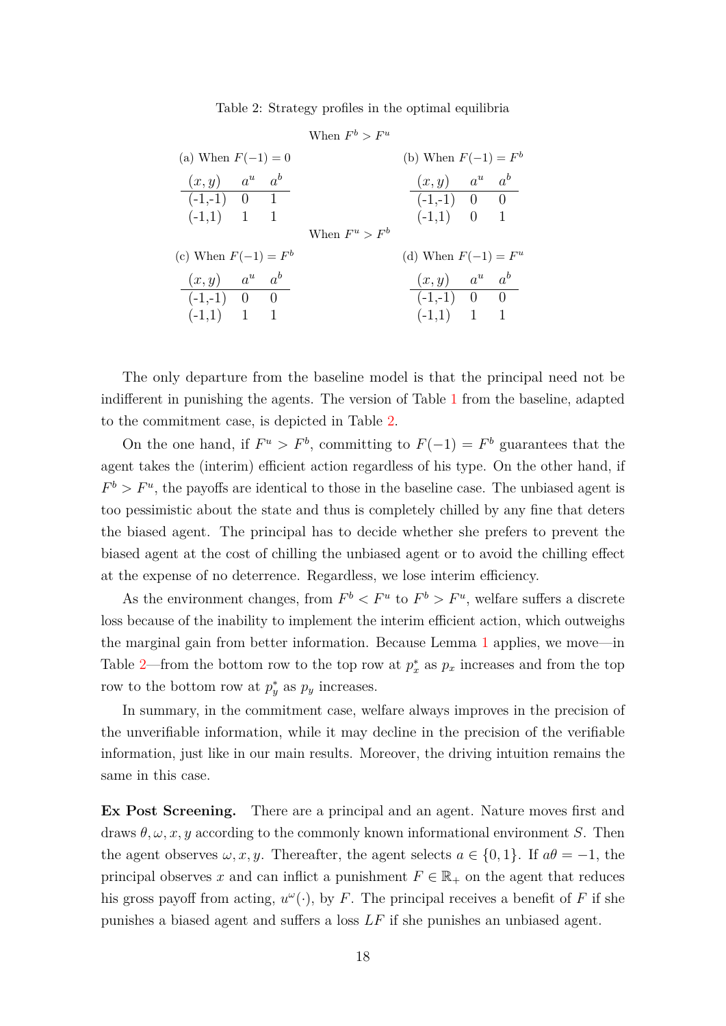Table 2: Strategy profiles in the optimal equilibria

<span id="page-17-0"></span>

|                                                                  |  |  | When $F^b > F^u$ |                                                       |  |
|------------------------------------------------------------------|--|--|------------------|-------------------------------------------------------|--|
| (a) When $F(-1) = 0$                                             |  |  |                  | (b) When $F(-1) = F^b$                                |  |
| $(x, y)$ $a^u$ $a^b$<br>$\left(-1,-1\right)$ 0 1<br>$(-1,1)$ 1 1 |  |  |                  | $(x, y)$ $a^u$ $a^b$<br>$(-1,-1)$ 0 0<br>$(-1,1)$ 0 1 |  |
| (c) When $F(-1) = F^b$                                           |  |  | When $F^u > F^b$ | (d) When $F(-1) = F^u$                                |  |
| $(x, y)$ $a^u$ $a^b$<br>$(-1,-1)$ 0 0<br>$(-1,1)$ 1 1            |  |  |                  | $(x, y)$ $a^u$ $a^b$<br>$(-1,-1)$ 0 0<br>$(-1,1)$ 1 1 |  |

The only departure from the baseline model is that the principal need not be indifferent in punishing the agents. The version of Table [1](#page-12-1) from the baseline, adapted to the commitment case, is depicted in Table [2.](#page-17-0)

On the one hand, if  $F^u > F^b$ , committing to  $F(-1) = F^b$  guarantees that the agent takes the (interim) efficient action regardless of his type. On the other hand, if  $F^b > F^u$ , the payoffs are identical to those in the baseline case. The unbiased agent is too pessimistic about the state and thus is completely chilled by any fine that deters the biased agent. The principal has to decide whether she prefers to prevent the biased agent at the cost of chilling the unbiased agent or to avoid the chilling effect at the expense of no deterrence. Regardless, we lose interim efficiency.

As the environment changes, from  $F^b < F^u$  to  $F^b > F^u$ , welfare suffers a discrete loss because of the inability to implement the interim efficient action, which outweighs the marginal gain from better information. Because Lemma [1](#page-12-2) applies, we move—in Table [2—](#page-17-0)from the bottom row to the top row at  $p_x^*$  as  $p_x$  increases and from the top row to the bottom row at  $p_y^*$  as  $p_y$  increases.

In summary, in the commitment case, welfare always improves in the precision of the unverifiable information, while it may decline in the precision of the verifiable information, just like in our main results. Moreover, the driving intuition remains the same in this case.

**Ex Post Screening.** There are a principal and an agent. Nature moves first and draws  $\theta, \omega, x, y$  according to the commonly known informational environment *S*. Then the agent observes  $\omega, x, y$ . Thereafter, the agent selects  $a \in \{0, 1\}$ . If  $a\theta = -1$ , the principal observes *x* and can inflict a punishment  $F \in \mathbb{R}_+$  on the agent that reduces his gross payoff from acting,  $u^{\omega}(\cdot)$ , by *F*. The principal receives a benefit of *F* if she punishes a biased agent and suffers a loss *LF* if she punishes an unbiased agent.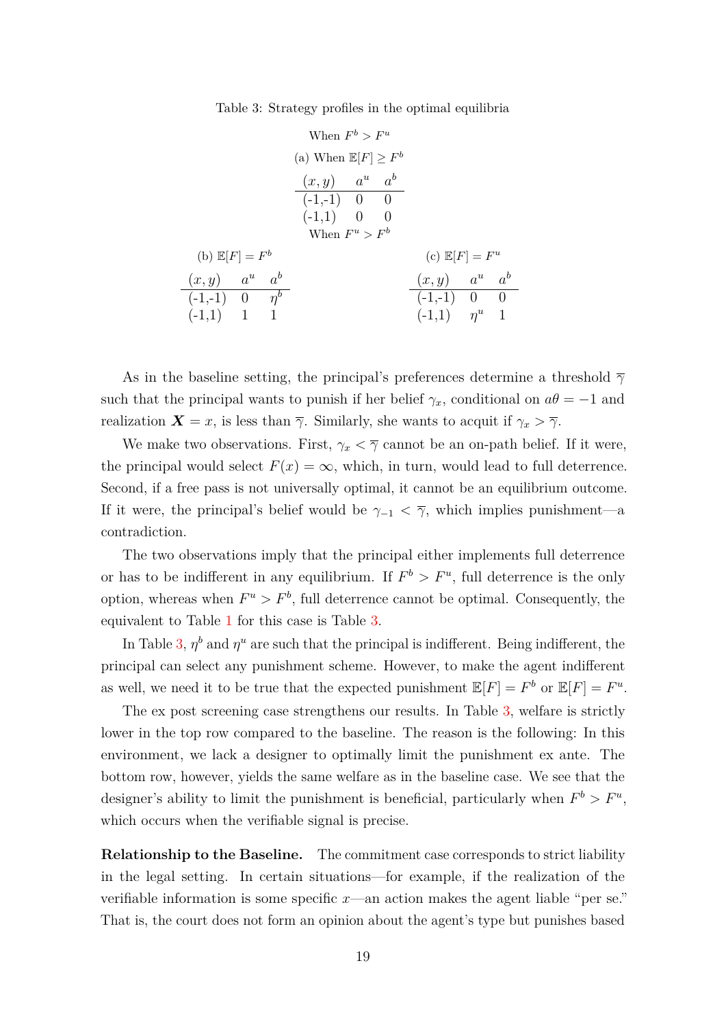Table 3: Strategy profiles in the optimal equilibria

<span id="page-18-0"></span>

| When $F^b > F^u$                             |  |  |                                                                         |  |                    |                                                 |  |  |  |
|----------------------------------------------|--|--|-------------------------------------------------------------------------|--|--------------------|-------------------------------------------------|--|--|--|
|                                              |  |  |                                                                         |  |                    |                                                 |  |  |  |
|                                              |  |  | $(x, y)$ $a^u$ $a^b$<br>$(-1,-1)$ 0 0<br>$(-1,1)$ 0<br>When $F^u > F^b$ |  | $\hspace{1.6cm} 0$ |                                                 |  |  |  |
| (b) $\mathbb{E}[F] = F^b$                    |  |  |                                                                         |  |                    | (c) $\mathbb{E}[F] = F^u$                       |  |  |  |
| $(x, y)$ $a^u$ $a^b$                         |  |  |                                                                         |  |                    | $(x, y)$ $a^u$ $a^b$                            |  |  |  |
| $(-1,-1)$ 0 $\boxed{\eta^b}$<br>$(-1,1)$ 1 1 |  |  |                                                                         |  |                    | $\overline{(-1,-1)}$ 0 0<br>$(-1,1)$ $\eta^u$ 1 |  |  |  |
|                                              |  |  |                                                                         |  |                    |                                                 |  |  |  |

As in the baseline setting, the principal's preferences determine a threshold *γ* such that the principal wants to punish if her belief  $\gamma_x$ , conditional on  $a\theta = -1$  and realization  $\mathbf{X} = x$ , is less than  $\overline{\gamma}$ . Similarly, she wants to acquit if  $\gamma_x > \overline{\gamma}$ .

We make two observations. First,  $\gamma_x < \overline{\gamma}$  cannot be an on-path belief. If it were, the principal would select  $F(x) = \infty$ , which, in turn, would lead to full deterrence. Second, if a free pass is not universally optimal, it cannot be an equilibrium outcome. If it were, the principal's belief would be  $\gamma_{-1} < \overline{\gamma}$ , which implies punishment—a contradiction.

The two observations imply that the principal either implements full deterrence or has to be indifferent in any equilibrium. If  $F^b > F^u$ , full deterrence is the only option, whereas when  $F^u > F^b$ , full deterrence cannot be optimal. Consequently, the equivalent to Table [1](#page-12-1) for this case is Table [3.](#page-18-0)

In Table [3,](#page-18-0)  $\eta^b$  and  $\eta^u$  are such that the principal is indifferent. Being indifferent, the principal can select any punishment scheme. However, to make the agent indifferent as well, we need it to be true that the expected punishment  $\mathbb{E}[F] = F^b$  or  $\mathbb{E}[F] = F^u$ .

The ex post screening case strengthens our results. In Table [3,](#page-18-0) welfare is strictly lower in the top row compared to the baseline. The reason is the following: In this environment, we lack a designer to optimally limit the punishment ex ante. The bottom row, however, yields the same welfare as in the baseline case. We see that the designer's ability to limit the punishment is beneficial, particularly when  $F^b > F^u$ , which occurs when the verifiable signal is precise.

**Relationship to the Baseline.** The commitment case corresponds to strict liability in the legal setting. In certain situations—for example, if the realization of the verifiable information is some specific *x*—an action makes the agent liable "per se." That is, the court does not form an opinion about the agent's type but punishes based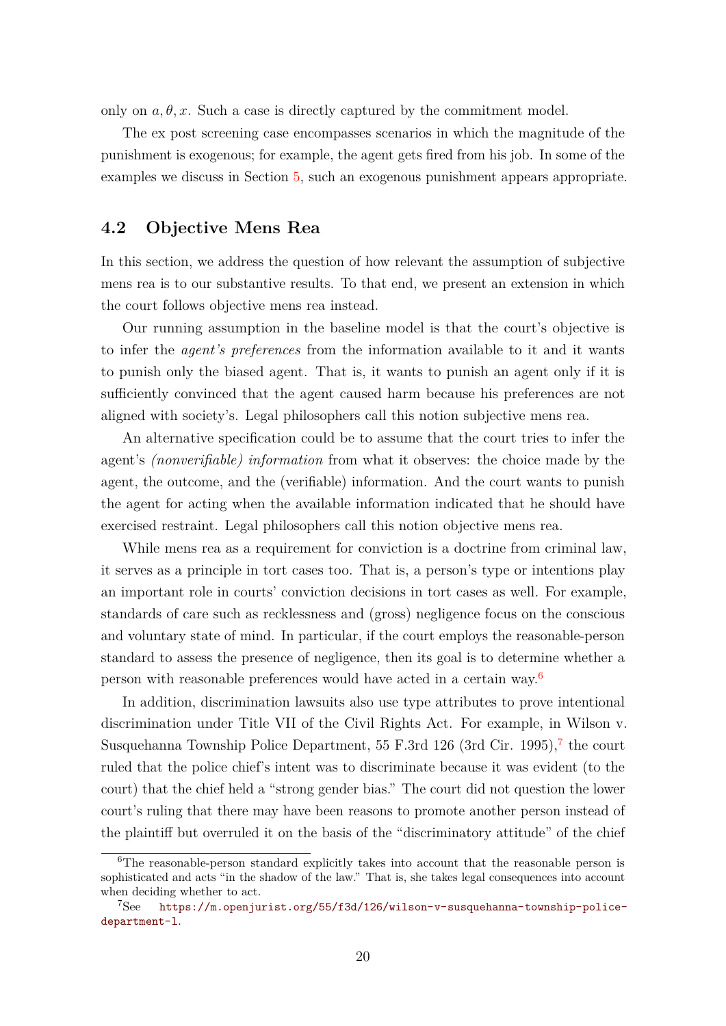only on  $a, \theta, x$ . Such a case is directly captured by the commitment model.

The ex post screening case encompasses scenarios in which the magnitude of the punishment is exogenous; for example, the agent gets fired from his job. In some of the examples we discuss in Section [5,](#page-24-0) such an exogenous punishment appears appropriate.

### <span id="page-19-0"></span>**4.2 Objective Mens Rea**

In this section, we address the question of how relevant the assumption of subjective mens rea is to our substantive results. To that end, we present an extension in which the court follows objective mens rea instead.

Our running assumption in the baseline model is that the court's objective is to infer the *agent's preferences* from the information available to it and it wants to punish only the biased agent. That is, it wants to punish an agent only if it is sufficiently convinced that the agent caused harm because his preferences are not aligned with society's. Legal philosophers call this notion subjective mens rea.

An alternative specification could be to assume that the court tries to infer the agent's *(nonverifiable) information* from what it observes: the choice made by the agent, the outcome, and the (verifiable) information. And the court wants to punish the agent for acting when the available information indicated that he should have exercised restraint. Legal philosophers call this notion objective mens rea.

While mens rea as a requirement for conviction is a doctrine from criminal law, it serves as a principle in tort cases too. That is, a person's type or intentions play an important role in courts' conviction decisions in tort cases as well. For example, standards of care such as recklessness and (gross) negligence focus on the conscious and voluntary state of mind. In particular, if the court employs the reasonable-person standard to assess the presence of negligence, then its goal is to determine whether a person with reasonable preferences would have acted in a certain way.[6](#page-19-1)

In addition, discrimination lawsuits also use type attributes to prove intentional discrimination under Title VII of the Civil Rights Act. For example, in Wilson v. Susquehanna Township Police Department, 55 F.3rd 126 (3rd Cir. 1995),<sup>[7](#page-19-2)</sup> the court ruled that the police chief's intent was to discriminate because it was evident (to the court) that the chief held a "strong gender bias." The court did not question the lower court's ruling that there may have been reasons to promote another person instead of the plaintiff but overruled it on the basis of the "discriminatory attitude" of the chief

<span id="page-19-1"></span><sup>6</sup>The reasonable-person standard explicitly takes into account that the reasonable person is sophisticated and acts "in the shadow of the law." That is, she takes legal consequences into account when deciding whether to act.

<span id="page-19-2"></span><sup>7</sup>See [https://m.openjurist.org/55/f3d/126/wilson-v-susquehanna-township-police](https://m.openjurist.org/55/f3d/126/wilson-v-susquehanna-township-police-department-l)[department-l](https://m.openjurist.org/55/f3d/126/wilson-v-susquehanna-township-police-department-l).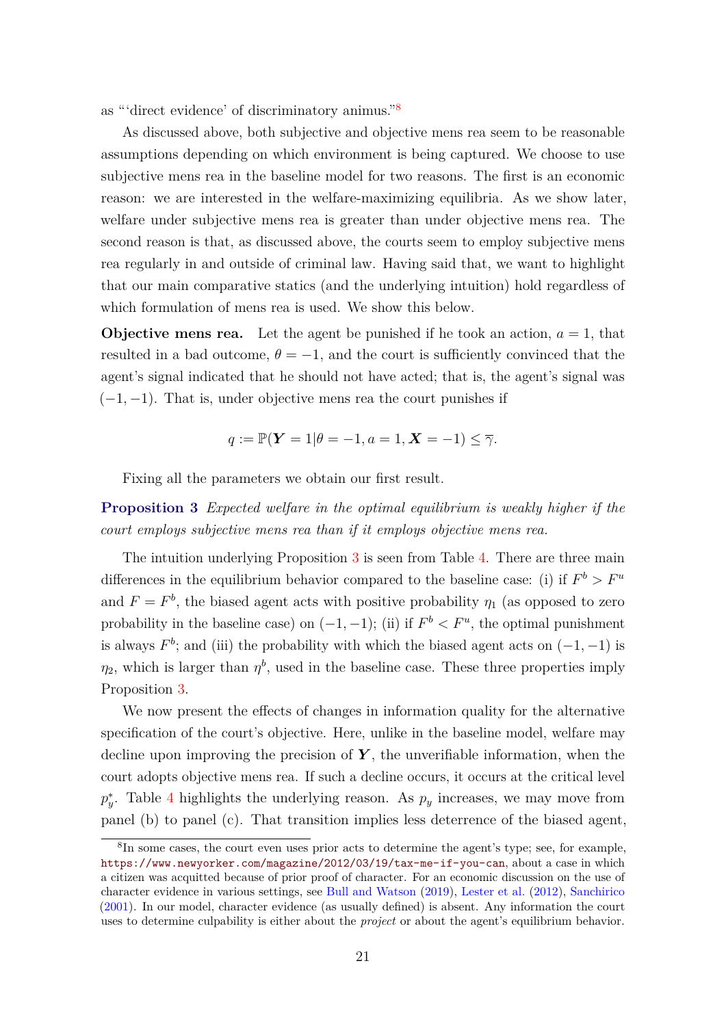<span id="page-20-2"></span>as "'direct evidence' of discriminatory animus."[8](#page-20-0)

As discussed above, both subjective and objective mens rea seem to be reasonable assumptions depending on which environment is being captured. We choose to use subjective mens rea in the baseline model for two reasons. The first is an economic reason: we are interested in the welfare-maximizing equilibria. As we show later, welfare under subjective mens rea is greater than under objective mens rea. The second reason is that, as discussed above, the courts seem to employ subjective mens rea regularly in and outside of criminal law. Having said that, we want to highlight that our main comparative statics (and the underlying intuition) hold regardless of which formulation of mens rea is used. We show this below.

**Objective mens rea.** Let the agent be punished if he took an action,  $a = 1$ , that resulted in a bad outcome,  $\theta = -1$ , and the court is sufficiently convinced that the agent's signal indicated that he should not have acted; that is, the agent's signal was (−1*,* −1). That is, under objective mens rea the court punishes if

$$
q := \mathbb{P}(\mathbf{Y} = 1 | \theta = -1, a = 1, \mathbf{X} = -1) \leq \overline{\gamma}.
$$

Fixing all the parameters we obtain our first result.

<span id="page-20-1"></span>**Proposition 3** *Expected welfare in the optimal equilibrium is weakly higher if the court employs subjective mens rea than if it employs objective mens rea.*

The intuition underlying Proposition [3](#page-20-1) is seen from Table [4.](#page-21-0) There are three main differences in the equilibrium behavior compared to the baseline case: (i) if  $F^b > F^u$ and  $F = F<sup>b</sup>$ , the biased agent acts with positive probability  $\eta_1$  (as opposed to zero probability in the baseline case) on  $(-1, -1)$ ; (ii) if  $F^b \leq F^u$ , the optimal punishment is always  $F^b$ ; and (iii) the probability with which the biased agent acts on  $(-1, -1)$  is  $\eta_2$ , which is larger than  $\eta^b$ , used in the baseline case. These three properties imply Proposition [3.](#page-20-1)

We now present the effects of changes in information quality for the alternative specification of the court's objective. Here, unlike in the baseline model, welfare may decline upon improving the precision of  $Y$ , the unverifiable information, when the court adopts objective mens rea. If such a decline occurs, it occurs at the critical level  $p_y^*$ . Table [4](#page-21-0) highlights the underlying reason. As  $p_y$  increases, we may move from panel (b) to panel (c). That transition implies less deterrence of the biased agent,

<span id="page-20-0"></span><sup>&</sup>lt;sup>8</sup>In some cases, the court even uses prior acts to determine the agent's type; see, for example, <https://www.newyorker.com/magazine/2012/03/19/tax-me-if-you-can>, about a case in which a citizen was acquitted because of prior proof of character. For an economic discussion on the use of character evidence in various settings, see [Bull and Watson](#page-43-0) [\(2019\)](#page-43-0), [Lester et al.](#page-44-0) [\(2012\)](#page-44-0), [Sanchirico](#page-44-1) [\(2001\)](#page-44-1). In our model, character evidence (as usually defined) is absent. Any information the court uses to determine culpability is either about the *project* or about the agent's equilibrium behavior.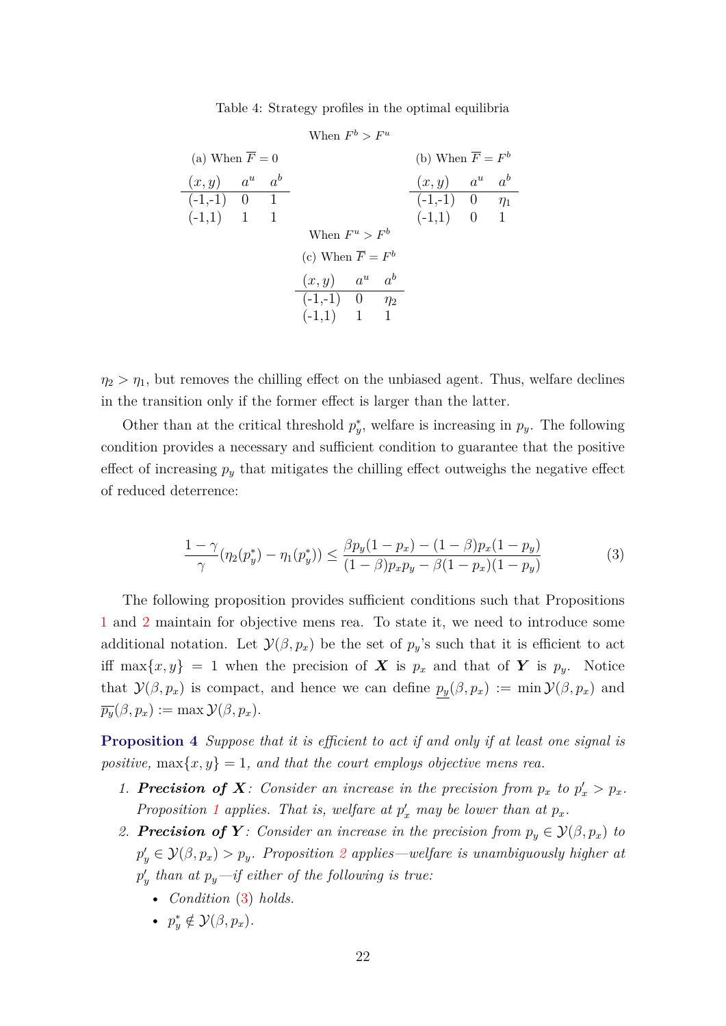Table 4: Strategy profiles in the optimal equilibria

<span id="page-21-0"></span>

| When $F^b > F^u$            |  |  |                                                                    |  |  |                                 |  |  |  |  |
|-----------------------------|--|--|--------------------------------------------------------------------|--|--|---------------------------------|--|--|--|--|
| (a) When $\overline{F} = 0$ |  |  |                                                                    |  |  | (b) When $\overline{F} = F^b$   |  |  |  |  |
| $(x, y)$ $a^u$ $a^b$        |  |  |                                                                    |  |  | $(x, y)$ $a^u$ $a^b$            |  |  |  |  |
| $(-1,-1)$ 0 1               |  |  |                                                                    |  |  | $\overline{(-1,-1)}$ 0 $\eta_1$ |  |  |  |  |
| $(-1,1)$ 1 1                |  |  |                                                                    |  |  | $(-1,1)$ 0 1                    |  |  |  |  |
|                             |  |  | When $F^u > F^b$                                                   |  |  |                                 |  |  |  |  |
|                             |  |  | (c) When $\overline{F} = F^b$                                      |  |  |                                 |  |  |  |  |
|                             |  |  | $\frac{(x, y) \quad a^u \quad a^b}{(-1, -1) \quad 0 \quad \eta_2}$ |  |  |                                 |  |  |  |  |
|                             |  |  |                                                                    |  |  |                                 |  |  |  |  |
|                             |  |  | $(-1,1)$ 1 1                                                       |  |  |                                 |  |  |  |  |

 $\eta_2 > \eta_1$ , but removes the chilling effect on the unbiased agent. Thus, welfare declines in the transition only if the former effect is larger than the latter.

Other than at the critical threshold  $p_y^*$ , welfare is increasing in  $p_y$ . The following condition provides a necessary and sufficient condition to guarantee that the positive effect of increasing  $p_y$  that mitigates the chilling effect outweighs the negative effect of reduced deterrence:

<span id="page-21-1"></span>
$$
\frac{1-\gamma}{\gamma}(\eta_2(p_y^*) - \eta_1(p_y^*)) \le \frac{\beta p_y(1-p_x) - (1-\beta)p_x(1-p_y)}{(1-\beta)p_xp_y - \beta(1-p_x)(1-p_y)}
$$
(3)

The following proposition provides sufficient conditions such that Propositions [1](#page-14-0) and [2](#page-14-1) maintain for objective mens rea. To state it, we need to introduce some additional notation. Let  $\mathcal{Y}(\beta, p_x)$  be the set of  $p_y$ 's such that it is efficient to act iff max $\{x, y\} = 1$  when the precision of **X** is  $p_x$  and that of **Y** is  $p_y$ . Notice that  $\mathcal{Y}(\beta, p_x)$  is compact, and hence we can define  $p_y(\beta, p_x) := \min \mathcal{Y}(\beta, p_x)$  and  $\overline{p_y}(\beta, p_x) := \max \mathcal{Y}(\beta, p_x).$ 

<span id="page-21-2"></span>**Proposition 4** *Suppose that it is efficient to act if and only if at least one signal is positive,*  $\max\{x, y\} = 1$ *, and that the court employs objective mens rea.* 

- 1. **Precision of X**: Consider an increase in the precision from  $p_x$  to  $p'_x > p_x$ . *Proposition* [1](#page-14-0) applies. That is, welfare at  $p'_x$  may be lower than at  $p_x$ .
- 2. **Precision of Y**: Consider an increase in the precision from  $p_y \in \mathcal{Y}(\beta, p_x)$  to  $p'_{y} \in \mathcal{Y}(\beta, p_{x}) > p_{y}$ *. Proposition* [2](#page-14-1) *applies—welfare is unambiguously higher at*  $p'_y$  than at  $p_y$ —if either of the following is true:
	- *Condition* [\(3\)](#page-21-1) *holds.*
	- $p_y^* \notin \mathcal{Y}(\beta, p_x)$ .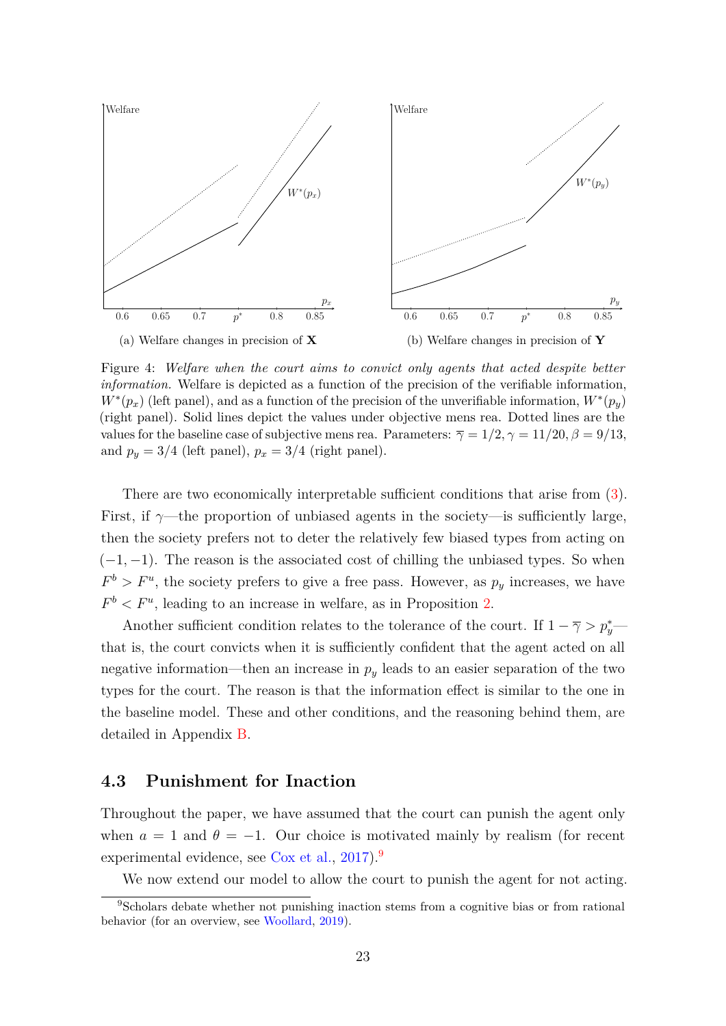<span id="page-22-2"></span>

Figure 4: *Welfare when the court aims to convict only agents that acted despite better information.* Welfare is depicted as a function of the precision of the verifiable information,  $W^*(p_x)$  (left panel), and as a function of the precision of the unverifiable information,  $W^*(p_y)$ (right panel). Solid lines depict the values under objective mens rea. Dotted lines are the values for the baseline case of subjective mens rea. Parameters:  $\overline{\gamma} = 1/2, \gamma = 11/20, \beta = 9/13,$ and  $p_y = 3/4$  (left panel),  $p_x = 3/4$  (right panel).

There are two economically interpretable sufficient conditions that arise from [\(3\)](#page-21-1). First, if  $\gamma$ —the proportion of unbiased agents in the society—is sufficiently large, then the society prefers not to deter the relatively few biased types from acting on (−1*,* −1). The reason is the associated cost of chilling the unbiased types. So when  $F^b > F^u$ , the society prefers to give a free pass. However, as  $p_y$  increases, we have  $F<sup>b</sup> < F<sup>u</sup>$ , leading to an increase in welfare, as in Proposition [2.](#page-14-1)

Another sufficient condition relates to the tolerance of the court. If  $1 - \overline{\gamma} > p_y^*$ that is, the court convicts when it is sufficiently confident that the agent acted on all negative information—then an increase in *p<sup>y</sup>* leads to an easier separation of the two types for the court. The reason is that the information effect is similar to the one in the baseline model. These and other conditions, and the reasoning behind them, are detailed in Appendix [B.](#page-30-0)

### <span id="page-22-0"></span>**4.3 Punishment for Inaction**

Throughout the paper, we have assumed that the court can punish the agent only when  $a = 1$  and  $\theta = -1$ . Our choice is motivated mainly by realism (for recent experimental evidence, see [Cox et al.,](#page-43-4) [2017\)](#page-43-4).<sup>[9](#page-22-1)</sup>

<span id="page-22-1"></span>We now extend our model to allow the court to punish the agent for not acting.

<sup>9</sup>Scholars debate whether not punishing inaction stems from a cognitive bias or from rational behavior (for an overview, see [Woollard,](#page-44-12) [2019\)](#page-44-12).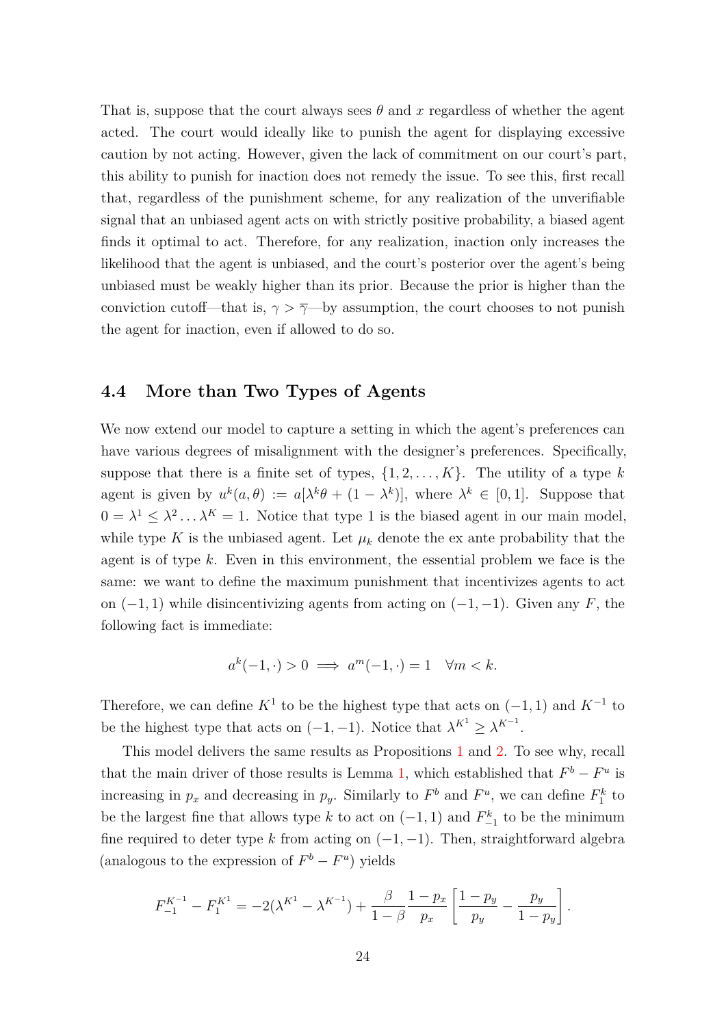That is, suppose that the court always sees  $\theta$  and  $x$  regardless of whether the agent acted. The court would ideally like to punish the agent for displaying excessive caution by not acting. However, given the lack of commitment on our court's part, this ability to punish for inaction does not remedy the issue. To see this, first recall that, regardless of the punishment scheme, for any realization of the unverifiable signal that an unbiased agent acts on with strictly positive probability, a biased agent finds it optimal to act. Therefore, for any realization, inaction only increases the likelihood that the agent is unbiased, and the court's posterior over the agent's being unbiased must be weakly higher than its prior. Because the prior is higher than the conviction cutoff—that is,  $\gamma > \overline{\gamma}$ —by assumption, the court chooses to not punish the agent for inaction, even if allowed to do so.

### **4.4 More than Two Types of Agents**

We now extend our model to capture a setting in which the agent's preferences can have various degrees of misalignment with the designer's preferences. Specifically, suppose that there is a finite set of types,  $\{1, 2, \ldots, K\}$ . The utility of a type k agent is given by  $u^k(a,\theta) := a[\lambda^k\theta + (1-\lambda^k)],$  where  $\lambda^k \in [0,1].$  Suppose that  $0 = \lambda^1 \leq \lambda^2 \ldots \lambda^K = 1$ . Notice that type 1 is the biased agent in our main model, while type K is the unbiased agent. Let  $\mu_k$  denote the ex ante probability that the agent is of type *k*. Even in this environment, the essential problem we face is the same: we want to define the maximum punishment that incentivizes agents to act on  $(-1, 1)$  while disincentivizing agents from acting on  $(-1, -1)$ . Given any *F*, the following fact is immediate:

$$
a^k(-1, \cdot) > 0 \implies a^m(-1, \cdot) = 1 \quad \forall m < k.
$$

Therefore, we can define  $K^1$  to be the highest type that acts on  $(-1, 1)$  and  $K^{-1}$  to be the highest type that acts on  $(-1, -1)$ . Notice that  $\lambda^{K^1} \geq \lambda^{K^{-1}}$ .

This model delivers the same results as Propositions [1](#page-14-0) and [2.](#page-14-1) To see why, recall that the main driver of those results is Lemma [1,](#page-12-2) which established that  $F^b - F^u$  is increasing in  $p_x$  and decreasing in  $p_y$ . Similarly to  $F^b$  and  $F^u$ , we can define  $F_1^k$  to be the largest fine that allows type *k* to act on  $(-1, 1)$  and  $F_{-1}^k$  to be the minimum fine required to deter type  $k$  from acting on  $(-1, -1)$ . Then, straightforward algebra (analogous to the expression of  $F^b - F^u$ ) yields

$$
F_{-1}^{K^{-1}} - F_1^{K^1} = -2(\lambda^{K^1} - \lambda^{K^{-1}}) + \frac{\beta}{1-\beta} \frac{1-p_x}{p_x} \left[ \frac{1-p_y}{p_y} - \frac{p_y}{1-p_y} \right].
$$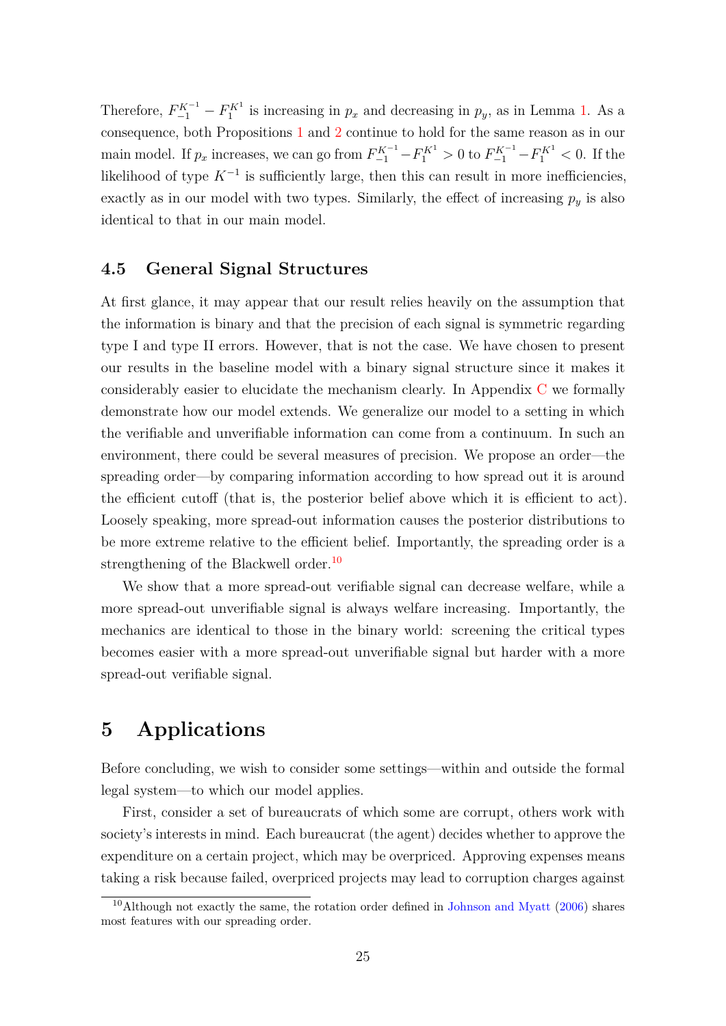<span id="page-24-2"></span>Therefore,  $F_{-1}^{K^{-1}} - F_1^{K^1}$  is increasing in  $p_x$  and decreasing in  $p_y$ , as in Lemma [1.](#page-12-2) As a consequence, both Propositions [1](#page-14-0) and [2](#page-14-1) continue to hold for the same reason as in our main model. If  $p_x$  increases, we can go from  $F_{-1}^{K^{-1}} - F_1^{K^1} > 0$  to  $F_{-1}^{K^{-1}} - F_1^{K^1} < 0$ . If the likelihood of type  $K^{-1}$  is sufficiently large, then this can result in more inefficiencies, exactly as in our model with two types. Similarly, the effect of increasing  $p_y$  is also identical to that in our main model.

### **4.5 General Signal Structures**

At first glance, it may appear that our result relies heavily on the assumption that the information is binary and that the precision of each signal is symmetric regarding type I and type II errors. However, that is not the case. We have chosen to present our results in the baseline model with a binary signal structure since it makes it considerably easier to elucidate the mechanism clearly. In Appendix [C](#page-33-0) we formally demonstrate how our model extends. We generalize our model to a setting in which the verifiable and unverifiable information can come from a continuum. In such an environment, there could be several measures of precision. We propose an order—the spreading order—by comparing information according to how spread out it is around the efficient cutoff (that is, the posterior belief above which it is efficient to act). Loosely speaking, more spread-out information causes the posterior distributions to be more extreme relative to the efficient belief. Importantly, the spreading order is a strengthening of the Blackwell order.<sup>[10](#page-24-1)</sup>

We show that a more spread-out verifiable signal can decrease welfare, while a more spread-out unverifiable signal is always welfare increasing. Importantly, the mechanics are identical to those in the binary world: screening the critical types becomes easier with a more spread-out unverifiable signal but harder with a more spread-out verifiable signal.

## <span id="page-24-0"></span>**5 Applications**

Before concluding, we wish to consider some settings—within and outside the formal legal system—to which our model applies.

First, consider a set of bureaucrats of which some are corrupt, others work with society's interests in mind. Each bureaucrat (the agent) decides whether to approve the expenditure on a certain project, which may be overpriced. Approving expenses means taking a risk because failed, overpriced projects may lead to corruption charges against

<span id="page-24-1"></span><sup>&</sup>lt;sup>10</sup>Although not exactly the same, the rotation order defined in [Johnson and Myatt](#page-43-5)  $(2006)$  shares most features with our spreading order.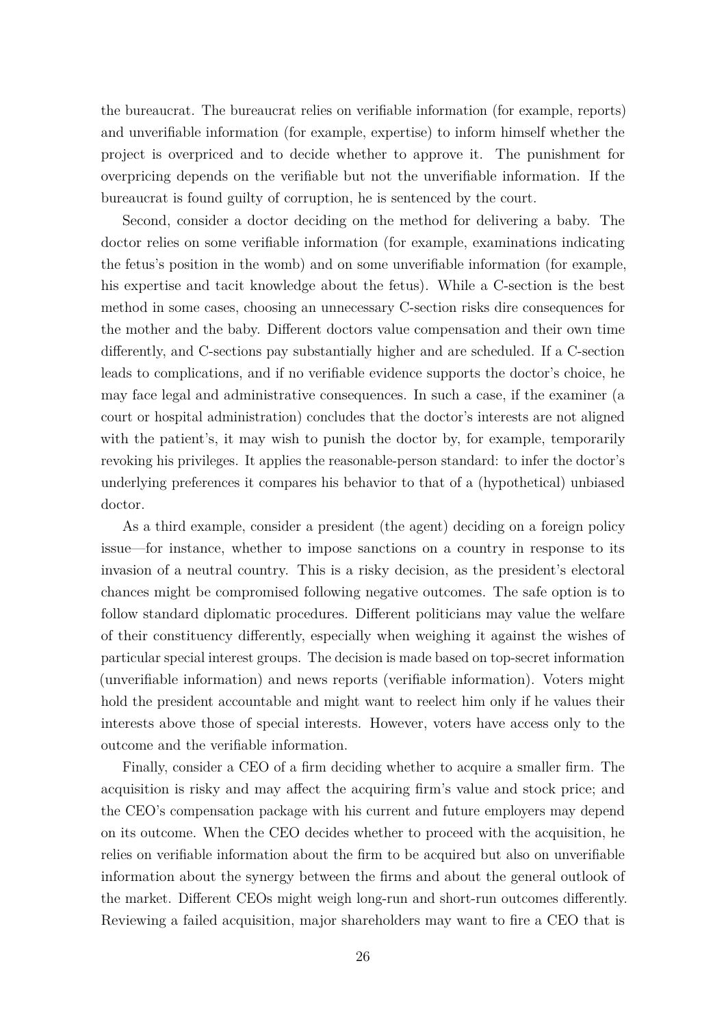the bureaucrat. The bureaucrat relies on verifiable information (for example, reports) and unverifiable information (for example, expertise) to inform himself whether the project is overpriced and to decide whether to approve it. The punishment for overpricing depends on the verifiable but not the unverifiable information. If the bureaucrat is found guilty of corruption, he is sentenced by the court.

Second, consider a doctor deciding on the method for delivering a baby. The doctor relies on some verifiable information (for example, examinations indicating the fetus's position in the womb) and on some unverifiable information (for example, his expertise and tacit knowledge about the fetus). While a C-section is the best method in some cases, choosing an unnecessary C-section risks dire consequences for the mother and the baby. Different doctors value compensation and their own time differently, and C-sections pay substantially higher and are scheduled. If a C-section leads to complications, and if no verifiable evidence supports the doctor's choice, he may face legal and administrative consequences. In such a case, if the examiner (a court or hospital administration) concludes that the doctor's interests are not aligned with the patient's, it may wish to punish the doctor by, for example, temporarily revoking his privileges. It applies the reasonable-person standard: to infer the doctor's underlying preferences it compares his behavior to that of a (hypothetical) unbiased doctor.

As a third example, consider a president (the agent) deciding on a foreign policy issue—for instance, whether to impose sanctions on a country in response to its invasion of a neutral country. This is a risky decision, as the president's electoral chances might be compromised following negative outcomes. The safe option is to follow standard diplomatic procedures. Different politicians may value the welfare of their constituency differently, especially when weighing it against the wishes of particular special interest groups. The decision is made based on top-secret information (unverifiable information) and news reports (verifiable information). Voters might hold the president accountable and might want to reelect him only if he values their interests above those of special interests. However, voters have access only to the outcome and the verifiable information.

Finally, consider a CEO of a firm deciding whether to acquire a smaller firm. The acquisition is risky and may affect the acquiring firm's value and stock price; and the CEO's compensation package with his current and future employers may depend on its outcome. When the CEO decides whether to proceed with the acquisition, he relies on verifiable information about the firm to be acquired but also on unverifiable information about the synergy between the firms and about the general outlook of the market. Different CEOs might weigh long-run and short-run outcomes differently. Reviewing a failed acquisition, major shareholders may want to fire a CEO that is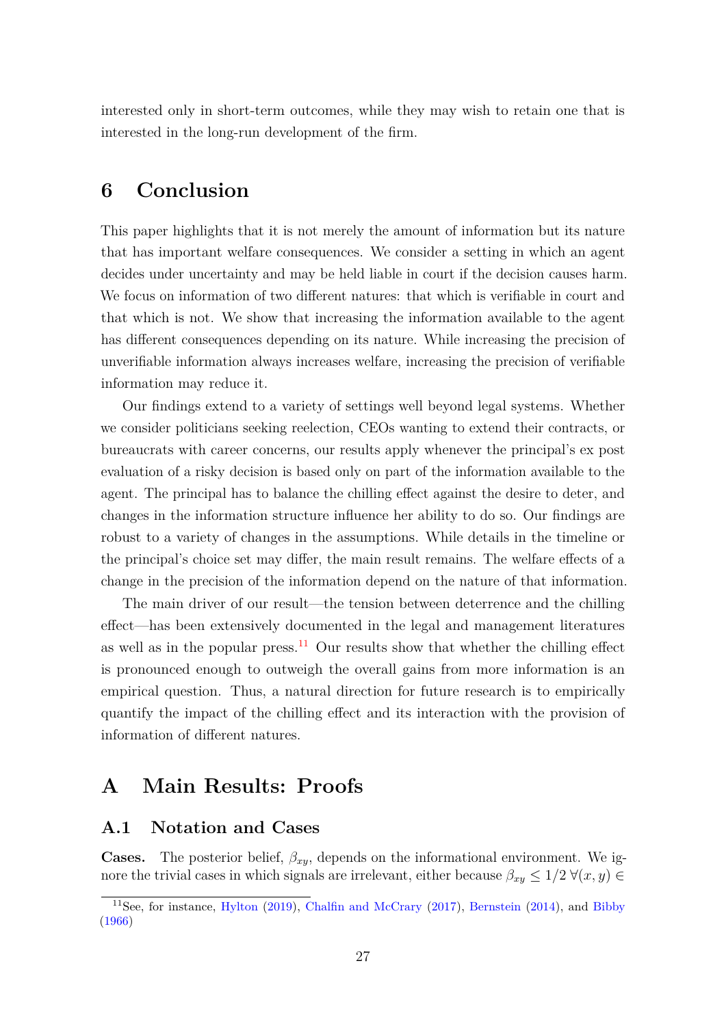<span id="page-26-1"></span>interested only in short-term outcomes, while they may wish to retain one that is interested in the long-run development of the firm.

# **6 Conclusion**

This paper highlights that it is not merely the amount of information but its nature that has important welfare consequences. We consider a setting in which an agent decides under uncertainty and may be held liable in court if the decision causes harm. We focus on information of two different natures: that which is verifiable in court and that which is not. We show that increasing the information available to the agent has different consequences depending on its nature. While increasing the precision of unverifiable information always increases welfare, increasing the precision of verifiable information may reduce it.

Our findings extend to a variety of settings well beyond legal systems. Whether we consider politicians seeking reelection, CEOs wanting to extend their contracts, or bureaucrats with career concerns, our results apply whenever the principal's ex post evaluation of a risky decision is based only on part of the information available to the agent. The principal has to balance the chilling effect against the desire to deter, and changes in the information structure influence her ability to do so. Our findings are robust to a variety of changes in the assumptions. While details in the timeline or the principal's choice set may differ, the main result remains. The welfare effects of a change in the precision of the information depend on the nature of that information.

The main driver of our result—the tension between deterrence and the chilling effect—has been extensively documented in the legal and management literatures as well as in the popular press.<sup>[11](#page-26-0)</sup> Our results show that whether the chilling effect is pronounced enough to outweigh the overall gains from more information is an empirical question. Thus, a natural direction for future research is to empirically quantify the impact of the chilling effect and its interaction with the provision of information of different natures.

# **A Main Results: Proofs**

### **A.1 Notation and Cases**

**Cases.** The posterior belief,  $\beta_{xy}$ , depends on the informational environment. We ignore the trivial cases in which signals are irrelevant, either because  $\beta_{xy} \leq 1/2 \; \forall (x, y) \in$ 

<span id="page-26-0"></span><sup>11</sup>See, for instance, [Hylton](#page-43-6) [\(2019\)](#page-43-6), [Chalfin and McCrary](#page-43-7) [\(2017\)](#page-43-7), [Bernstein](#page-43-8) [\(2014\)](#page-43-8), and [Bibby](#page-43-9) [\(1966\)](#page-43-9)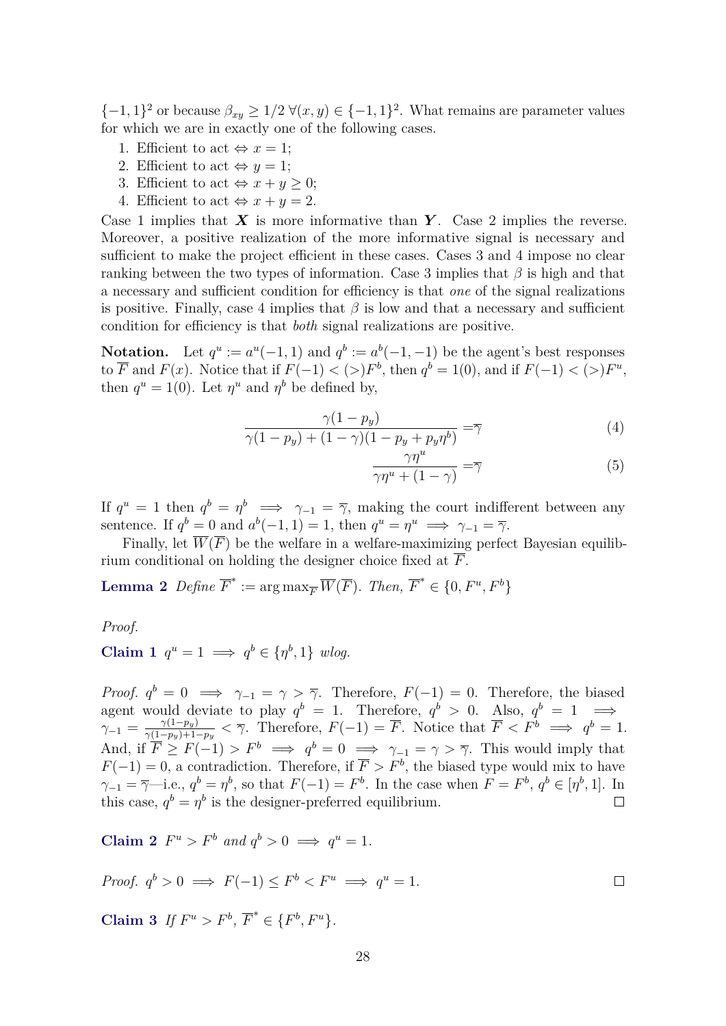$\{-1,1\}^2$  or because  $\beta_{xy} \geq 1/2 \ \forall (x,y) \in \{-1,1\}^2$ . What remains are parameter values for which we are in exactly one of the following cases.

- 1. Efficient to act  $\Leftrightarrow x=1$ ;
- 2. Efficient to act  $\Leftrightarrow$   $y = 1$ ;
- 3. Efficient to act  $\Leftrightarrow x+y\geq 0$ ;
- 4. Efficient to act  $\Leftrightarrow x+y=2$ .

Case 1 implies that *X* is more informative than *Y* . Case 2 implies the reverse. Moreover, a positive realization of the more informative signal is necessary and sufficient to make the project efficient in these cases. Cases 3 and 4 impose no clear ranking between the two types of information. Case 3 implies that *β* is high and that a necessary and sufficient condition for efficiency is that *one* of the signal realizations is positive. Finally, case 4 implies that  $\beta$  is low and that a necessary and sufficient condition for efficiency is that *both* signal realizations are positive.

**Notation.** Let  $q^u := a^u(-1, 1)$  and  $q^b := a^b(-1, -1)$  be the agent's best responses to  $\overline{F}$  and  $F(x)$ . Notice that if  $F(-1) < (>)F<sup>b</sup>$ , then  $q<sup>b</sup> = 1(0)$ , and if  $F(-1) < (>)F<sup>u</sup>$ , then  $q^u = 1(0)$ . Let  $\eta^u$  and  $\eta^b$  be defined by,

$$
\frac{\gamma(1-p_y)}{\gamma(1-p_y) + (1-\gamma)(1-p_y+p_y\eta^b)} = \overline{\gamma}
$$
\n(4)

<span id="page-27-1"></span>
$$
\frac{\gamma \eta^u}{\gamma \eta^u + (1 - \gamma)} = \overline{\gamma}
$$
\n(5)

 $\Box$ 

If  $q^u = 1$  then  $q^b = \eta^b \implies \gamma_{-1} = \overline{\gamma}$ , making the court indifferent between any sentence. If  $q^b = 0$  and  $a^b(-1, 1) = 1$ , then  $q^u = \eta^u \implies \gamma_{-1} = \overline{\gamma}$ .

Finally, let  $\overline{W}(\overline{F})$  be the welfare in a welfare-maximizing perfect Bayesian equilibrium conditional on holding the designer choice fixed at *F*.

**Lemma 2** *Define*  $\overline{F}^* := \arg \max_{\overline{F}} \overline{W}(\overline{F})$ *. Then,*  $\overline{F}^* \in \{0, F^u, F^b\}$ 

*Proof.*

Claim 1 
$$
q^u = 1 \implies q^b \in \{\eta^b, 1\}
$$
 wlog.

*Proof.*  $q^b = 0 \implies \gamma_{-1} = \gamma > \overline{\gamma}$ . Therefore,  $F(-1) = 0$ . Therefore, the biased agent would deviate to play  $q^b = 1$ . Therefore,  $q^b > 0$ . Also,  $q^b = 1 \implies$  $\gamma_{-1} = \frac{\gamma(1-p_y)}{\gamma(1-p_y)+1}$  $\frac{\gamma(1-p_y)}{\gamma(1-p_y)+1-p_y} < \overline{\gamma}$ . Therefore,  $F(-1) = \overline{F}$ . Notice that  $\overline{F} < F^b \implies q^b = 1$ . And, if  $\overline{F} \geq F(-1) > F^b \implies q^b = 0 \implies \gamma_{-1} = \gamma > \overline{\gamma}$ . This would imply that  $F(-1) = 0$ , a contradiction. Therefore, if  $\overline{F} > F<sup>b</sup>$ , the biased type would mix to have *γ*<sub>−1</sub> =  $\overline{\gamma}$ −i.e.,  $q^b = \eta^b$ , so that  $F(-1) = F^b$ . In the case when  $F = F^b$ ,  $q^b \in [\eta^b, 1]$ . In this case,  $q^b = \eta^b$  is the designer-preferred equilibrium.  $\Box$ 

**Claim 2**  $F^u > F^b$  and  $q^b > 0 \implies q^u = 1$ .

*Proof.* 
$$
q^b > 0 \implies F(-1) \leq F^b < F^u \implies q^u = 1.
$$

<span id="page-27-0"></span>**Claim 3** *If*  $F^u > F^b$ ,  $\overline{F}^* \in \{F^b, F^u\}$ *.*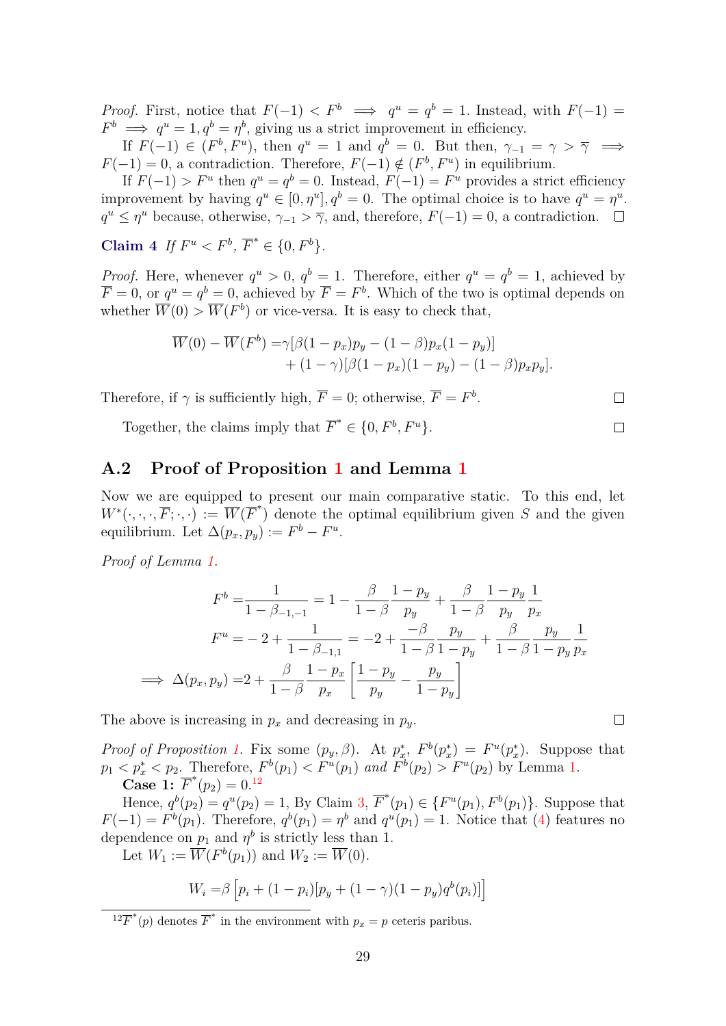*Proof.* First, notice that  $F(-1) < F^b \implies q^u = q^b = 1$ . Instead, with  $F(-1) =$  $F^b \implies q^u = 1, q^b = \eta^b$ , giving us a strict improvement in efficiency.

If  $F(-1) \in (F^b, F^u)$ , then  $q^u = 1$  and  $q^b = 0$ . But then,  $\gamma_{-1} = \gamma > \overline{\gamma} \implies$ *F*(−1) = 0, a contradiction. Therefore,  $F(-1) \notin (F^b, F^u)$  in equilibrium.

If  $F(-1) > F^u$  then  $q^u = q^b = 0$ . Instead,  $F(-1) = F^u$  provides a strict efficiency improvement by having  $q^u \in [0, \eta^u], q^b = 0$ . The optimal choice is to have  $q^u = \eta^u$ .  $q^u \leq \eta^u$  because, otherwise,  $\gamma_{-1} > \overline{\gamma}$ , and, therefore,  $F(-1) = 0$ , a contradiction.

**Claim** 4 *If*  $F^u < F^b$ ,  $\overline{F}^* \in \{0, F^b\}.$ 

*Proof.* Here, whenever  $q^u > 0$ ,  $q^b = 1$ . Therefore, either  $q^u = q^b = 1$ , achieved by  $\overline{F} = 0$ , or  $q^u = q^b = 0$ , achieved by  $\overline{F} = F^b$ . Which of the two is optimal depends on whether  $\overline{W}(0) > \overline{W}(F^b)$  or vice-versa. It is easy to check that,

$$
\overline{W}(0) - \overline{W}(F^{b}) = \gamma[\beta(1 - p_x)p_y - (1 - \beta)p_x(1 - p_y)] + (1 - \gamma)[\beta(1 - p_x)(1 - p_y) - (1 - \beta)p_xp_y].
$$

Therefore, if  $\gamma$  is sufficiently high,  $\overline{F} = 0$ ; otherwise,  $\overline{F} = F^b$ .

Together, the claims imply that  $\overline{F}^* \in \{0, F^b, F^u\}.$ 

### **A.2 Proof of Proposition [1](#page-14-0) and Lemma [1](#page-12-2)**

Now we are equipped to present our main comparative static. To this end, let  $W^*(\cdot,\cdot,\cdot,\overline{F};\cdot,\cdot) := \overline{W}(\overline{F}^*)$  denote the optimal equilibrium given *S* and the given equilibrium. Let  $\Delta(p_x, p_y) := F^b - F^u$ .

*Proof of Lemma [1.](#page-12-2)*

$$
F^{b} = \frac{1}{1 - \beta_{-1,-1}} = 1 - \frac{\beta}{1 - \beta} \frac{1 - p_{y}}{p_{y}} + \frac{\beta}{1 - \beta} \frac{1 - p_{y}}{p_{y}} \frac{1}{p_{x}}
$$

$$
F^{u} = -2 + \frac{1}{1 - \beta_{-1,1}} = -2 + \frac{-\beta}{1 - \beta} \frac{p_{y}}{1 - p_{y}} + \frac{\beta}{1 - \beta} \frac{p_{y}}{1 - p_{y}} \frac{1}{p_{x}}
$$

$$
\implies \Delta(p_{x}, p_{y}) = 2 + \frac{\beta}{1 - \beta} \frac{1 - p_{x}}{p_{x}} \left[ \frac{1 - p_{y}}{p_{y}} - \frac{p_{y}}{1 - p_{y}} \right]
$$

The above is increasing in  $p_x$  and decreasing in  $p_y$ .

*Proof of Proposition [1.](#page-14-0)* Fix some  $(p_y, \beta)$ . At  $p_x^*, F^b(p_x^*) = F^u(p_x^*)$ . Suppose that  $p_1 < p_x^* < p_2$ . Therefore,  $F^b(p_1) < F^u(p_1)$  and  $F^b(p_2) > F^u(p_2)$  by Lemma [1.](#page-12-2) **Case 1:**  $\overline{F}^*(p_2) = 0.12$  $\overline{F}^*(p_2) = 0.12$ 

Hence,  $q^{b}(p_2) = q^{u}(p_2) = 1$ , By Claim [3,](#page-27-0)  $\overline{F}^{*}(p_1) \in \{F^{u}(p_1), F^{b}(p_1)\}$ . Suppose that  $F(-1) = F<sup>b</sup>(p_1)$ . Therefore,  $q<sup>b</sup>(p_1) = \eta<sup>b</sup>$  and  $q<sup>u</sup>(p_1) = 1$ . Notice that [\(4\)](#page-27-1) features no dependence on  $p_1$  and  $\eta^b$  is strictly less than 1.

Let  $W_1 := \overline{W}(F^b(p_1))$  and  $W_2 := \overline{W}(0)$ .

$$
W_i = \beta \left[ p_i + (1 - p_i) [p_y + (1 - \gamma)(1 - p_y) q^b(p_i)] \right]
$$

 $\Box$ 

 $\Box$ 

 $\Box$ 

<span id="page-28-0"></span><sup>&</sup>lt;sup>12</sup> $\overline{F}^*(p)$  denotes  $\overline{F}^*$  in the environment with  $p_x = p$  ceteris paribus.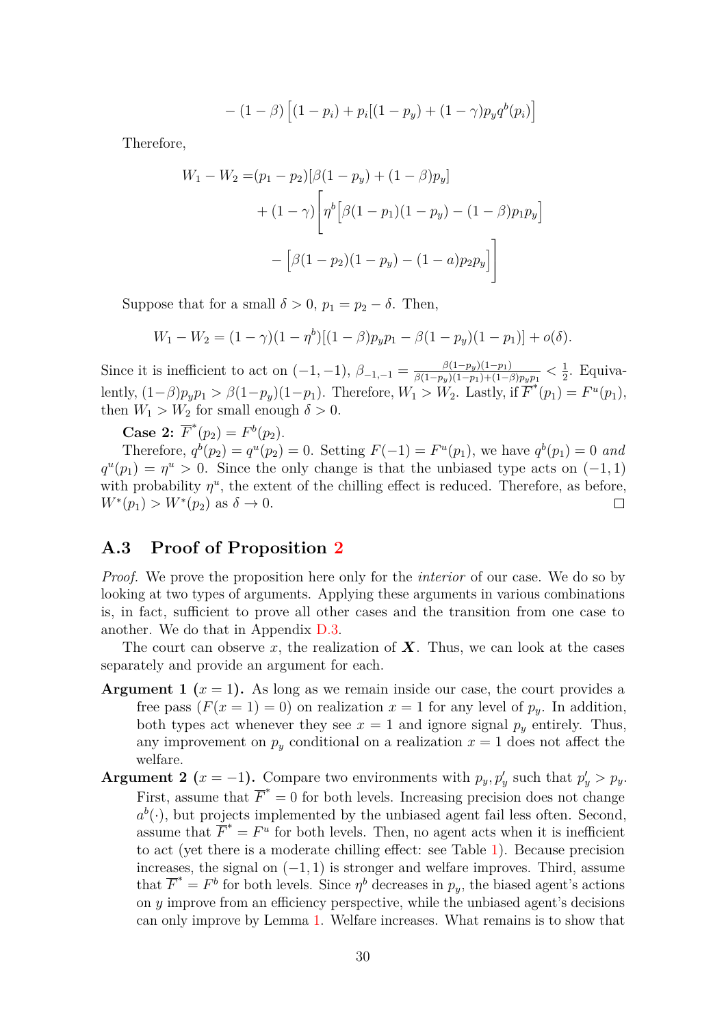$$
- (1 - \beta) [(1 - p_i) + p_i [(1 - p_y) + (1 - \gamma) p_y q^b(p_i)]
$$

Therefore,

$$
W_1 - W_2 = (p_1 - p_2)[\beta(1 - p_y) + (1 - \beta)p_y]
$$
  
+  $(1 - \gamma)\left[\eta^b[\beta(1 - p_1)(1 - p_y) - (1 - \beta)p_1p_y]\right]$   
-  $[\beta(1 - p_2)(1 - p_y) - (1 - a)p_2p_y]$ 

Suppose that for a small  $\delta > 0$ ,  $p_1 = p_2 - \delta$ . Then,

$$
W_1 - W_2 = (1 - \gamma)(1 - \eta^b)[(1 - \beta)p_y p_1 - \beta(1 - p_y)(1 - p_1)] + o(\delta).
$$

Since it is inefficient to act on  $(-1, -1)$ ,  $\beta_{-1,-1} = \frac{\beta(1-p_y)(1-p_1)}{\beta(1-p_y)(1-p_1)+(1-p_1)}$  $\frac{\beta(1-p_y)(1-p_1)}{\beta(1-p_y)(1-p_1)+(1-\beta)p_yp_1} < \frac{1}{2}$  $\frac{1}{2}$ . Equivalently,  $(1-\beta)p_yp_1 > \beta(1-p_y)(1-p_1)$ . Therefore,  $W_1 > W_2$ . Lastly, if  $\overline{F}^*(p_1) = F^u(p_1)$ , then  $W_1 > W_2$  for small enough  $\delta > 0$ .

**Case 2:**  $\overline{F}^*(p_2) = F^b(p_2)$ .

Therefore,  $q^{b}(p_2) = q^{u}(p_2) = 0$ . Setting  $F(-1) = F^{u}(p_1)$ , we have  $q^{b}(p_1) = 0$  and  $q^u(p_1) = \eta^u > 0$ . Since the only change is that the unbiased type acts on (−1*,* 1) with probability  $\eta^u$ , the extent of the chilling effect is reduced. Therefore, as before,  $W^*(p_1) > W^*(p_2)$  as  $\delta \to 0$ .  $\Box$ 

### <span id="page-29-0"></span>**A.3 Proof of Proposition [2](#page-14-1)**

*Proof.* We prove the proposition here only for the *interior* of our case. We do so by looking at two types of arguments. Applying these arguments in various combinations is, in fact, sufficient to prove all other cases and the transition from one case to another. We do that in Appendix [D.3.](#page-41-0)

The court can observe x, the realization of  $X$ . Thus, we can look at the cases separately and provide an argument for each.

- **Argument 1**  $(x = 1)$ . As long as we remain inside our case, the court provides a free pass  $(F(x = 1) = 0)$  on realization  $x = 1$  for any level of  $p_y$ . In addition, both types act whenever they see  $x = 1$  and ignore signal  $p_y$  entirely. Thus, any improvement on  $p_y$  conditional on a realization  $x = 1$  does not affect the welfare.
- **Argument 2** (*x* = -1). Compare two environments with  $p_y, p'_y$  such that  $p'_y > p_y$ . First, assume that  $\overline{F}^* = 0$  for both levels. Increasing precision does not change  $a^b(\cdot)$ , but projects implemented by the unbiased agent fail less often. Second, assume that  $\overline{F}^* = F^u$  for both levels. Then, no agent acts when it is inefficient to act (yet there is a moderate chilling effect: see Table [1\)](#page-12-1). Because precision increases, the signal on  $(-1, 1)$  is stronger and welfare improves. Third, assume that  $\overline{F}^* = F^b$  for both levels. Since  $\eta^b$  decreases in  $p_y$ , the biased agent's actions on *y* improve from an efficiency perspective, while the unbiased agent's decisions can only improve by Lemma [1.](#page-12-2) Welfare increases. What remains is to show that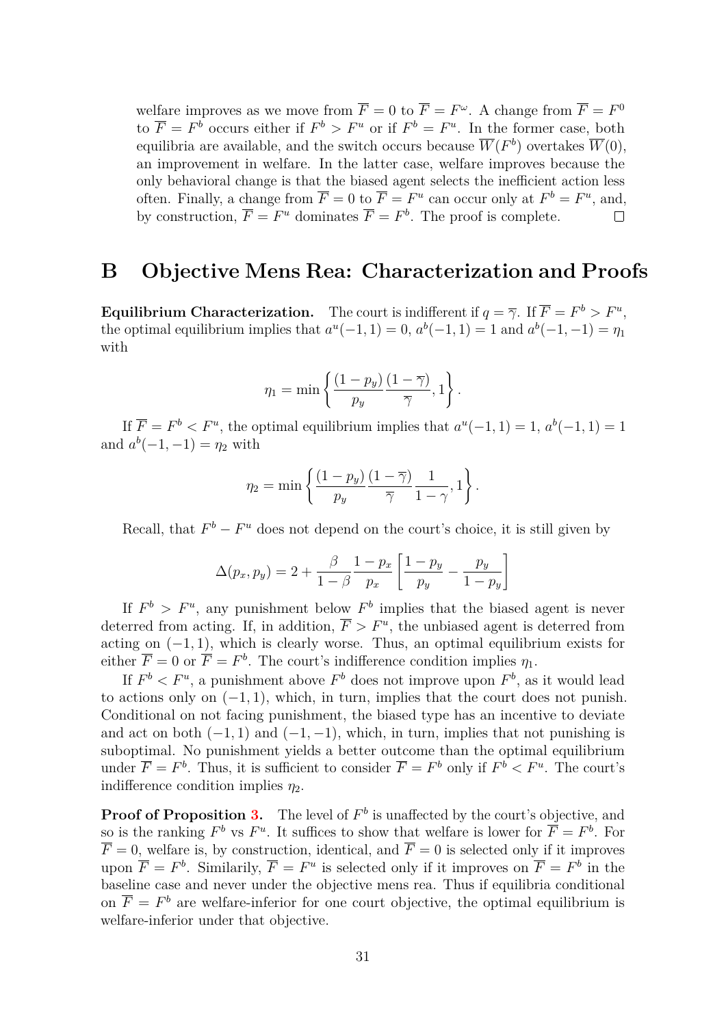welfare improves as we move from  $\overline{F} = 0$  to  $\overline{F} = F^{\omega}$ . A change from  $\overline{F} = F^0$ to  $\overline{F} = F^b$  occurs either if  $F^b > F^u$  or if  $F^b = F^u$ . In the former case, both equilibria are available, and the switch occurs because  $\overline{W}(F^b)$  overtakes  $\overline{W}(0)$ , an improvement in welfare. In the latter case, welfare improves because the only behavioral change is that the biased agent selects the inefficient action less often. Finally, a change from  $\overline{F} = 0$  to  $\overline{F} = F^u$  can occur only at  $F^b = F^u$ , and, by construction,  $\overline{F} = F^u$  dominates  $\overline{F} = F^b$ . The proof is complete.  $\Box$ 

## <span id="page-30-0"></span>**B Objective Mens Rea: Characterization and Proofs**

**Equilibrium Characterization.** The court is indifferent if  $q = \overline{\gamma}$ . If  $\overline{F} = F^b > F^u$ , the optimal equilibrium implies that  $a^{u}(-1, 1) = 0$ ,  $a^{b}(-1, 1) = 1$  and  $a^{b}(-1, -1) = \eta_1$ with

$$
\eta_1 = \min \left\{ \frac{(1-p_y)}{p_y} \frac{(1-\overline{\gamma})}{\overline{\gamma}}, 1 \right\}.
$$

If  $\overline{F} = F^b \lt F^u$ , the optimal equilibrium implies that  $a^u(-1, 1) = 1$ ,  $a^b(-1, 1) = 1$ and  $a^b(-1, -1) = \eta_2$  with

$$
\eta_2 = \min \left\{ \frac{(1-p_y)}{p_y} \frac{(1-\overline{\gamma})}{\overline{\gamma}} \frac{1}{1-\gamma}, 1 \right\}.
$$

Recall, that  $F^b - F^u$  does not depend on the court's choice, it is still given by

$$
\Delta(p_x, p_y) = 2 + \frac{\beta}{1 - \beta} \frac{1 - p_x}{p_x} \left[ \frac{1 - p_y}{p_y} - \frac{p_y}{1 - p_y} \right]
$$

If  $F^b > F^u$ , any punishment below  $F^b$  implies that the biased agent is never deterred from acting. If, in addition,  $\overline{F} > F^u$ , the unbiased agent is deterred from acting on  $(-1, 1)$ , which is clearly worse. Thus, an optimal equilibrium exists for either  $\overline{F} = 0$  or  $\overline{F} = F^b$ . The court's indifference condition implies  $\eta_1$ .

If  $F^b < F^u$ , a punishment above  $F^b$  does not improve upon  $F^b$ , as it would lead to actions only on  $(-1, 1)$ , which, in turn, implies that the court does not punish. Conditional on not facing punishment, the biased type has an incentive to deviate and act on both  $(-1, 1)$  and  $(-1, -1)$ , which, in turn, implies that not punishing is suboptimal. No punishment yields a better outcome than the optimal equilibrium under  $\overline{F} = F^b$ . Thus, it is sufficient to consider  $\overline{F} = F^b$  only if  $F^b < F^u$ . The court's indifference condition implies  $\eta_2$ .

**Proof of Proposition [3.](#page-20-1)** The level of  $F^b$  is unaffected by the court's objective, and so is the ranking  $F^b$  vs  $F^u$ . It suffices to show that welfare is lower for  $\overline{F} = F^b$ . For  $\overline{F} = 0$ , welfare is, by construction, identical, and  $\overline{F} = 0$  is selected only if it improves upon  $\overline{F} = F^b$ . Similarily,  $\overline{F} = F^u$  is selected only if it improves on  $\overline{F} = F^b$  in the baseline case and never under the objective mens rea. Thus if equilibria conditional on  $\overline{F} = F^b$  are welfare-inferior for one court objective, the optimal equilibrium is welfare-inferior under that objective.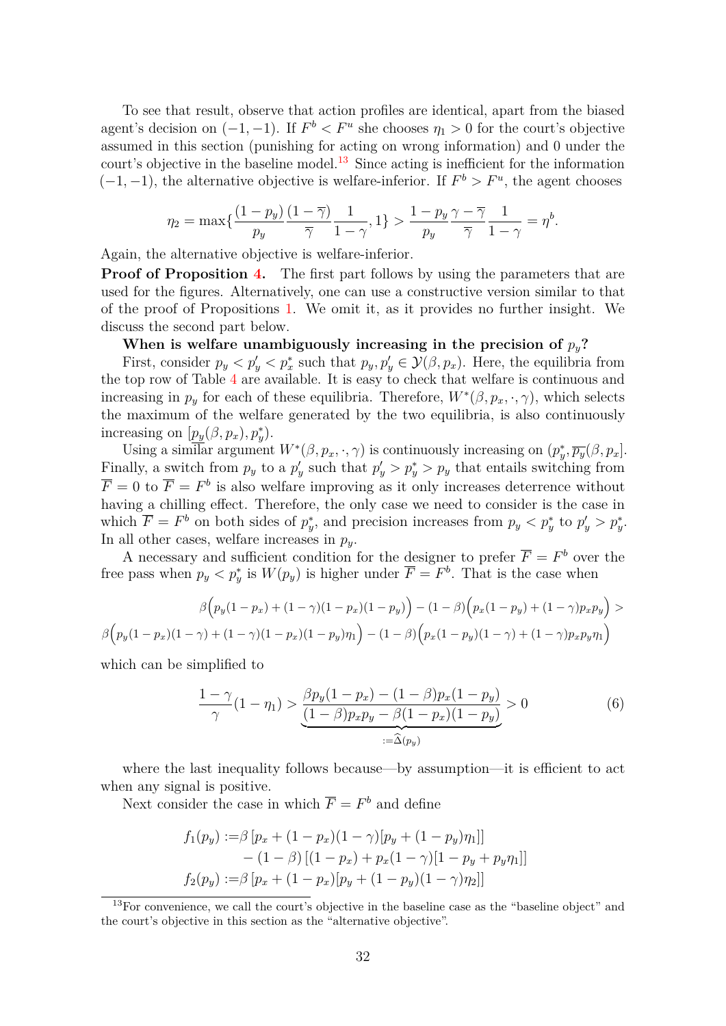To see that result, observe that action profiles are identical, apart from the biased agent's decision on  $(-1, -1)$ . If  $F^b < F^u$  she chooses  $\eta_1 > 0$  for the court's objective assumed in this section (punishing for acting on wrong information) and 0 under the court's objective in the baseline model.<sup>[13](#page-31-0)</sup> Since acting is inefficient for the information  $(-1, -1)$ , the alternative objective is welfare-inferior. If  $F^b > F^u$ , the agent chooses

$$
\eta_2 = \max\{\frac{(1-p_y)}{p_y}\frac{(1-\overline{\gamma})}{\overline{\gamma}}\frac{1}{1-\gamma},1\} > \frac{1-p_y}{p_y}\frac{\gamma-\overline{\gamma}}{\overline{\gamma}}\frac{1}{1-\gamma} = \eta^b.
$$

Again, the alternative objective is welfare-inferior.

**Proof of Proposition [4.](#page-21-2)** The first part follows by using the parameters that are used for the figures. Alternatively, one can use a constructive version similar to that of the proof of Propositions [1.](#page-14-0) We omit it, as it provides no further insight. We discuss the second part below.

#### When is welfare unambiguously increasing in the precision of  $p_y$ ?

First, consider  $p_y < p'_x < p_x^*$  such that  $p_y, p'_y \in \mathcal{Y}(\beta, p_x)$ . Here, the equilibria from the top row of Table [4](#page-21-0) are available. It is easy to check that welfare is continuous and increasing in  $p_y$  for each of these equilibria. Therefore,  $W^*(\beta, p_x, \cdot, \gamma)$ , which selects the maximum of the welfare generated by the two equilibria, is also continuously increasing on  $[p_y(\beta, p_x), p_y^*]$ .

Using a similar argument  $W^*(\beta, p_x, \cdot, \gamma)$  is continuously increasing on  $(p_y^*, \overline{p_y}(\beta, p_x])$ . Finally, a switch from  $p_y$  to a  $p'_y$  such that  $p'_y > p^*_y > p_y$  that entails switching from  $\overline{F} = 0$  to  $\overline{F} = F^b$  is also welfare improving as it only increases deterrence without having a chilling effect. Therefore, the only case we need to consider is the case in which  $\overline{F} = F^b$  on both sides of  $p_y^*$ , and precision increases from  $p_y < p_y^*$  to  $p_y' > p_y^*$ . In all other cases, welfare increases in  $p_y$ .

A necessary and sufficient condition for the designer to prefer  $\overline{F} = F^b$  over the free pass when  $p_y < p_y^*$  is  $W(p_y)$  is higher under  $\overline{F} = F^b$ . That is the case when

$$
\beta\Big(p_y(1-p_x) + (1-\gamma)(1-p_x)(1-p_y)\Big) - (1-\beta)\Big(p_x(1-p_y) + (1-\gamma)p_xp_y\Big) > \beta\Big(p_y(1-p_x)(1-\gamma) + (1-\gamma)(1-p_x)(1-p_y)\eta_1\Big) - (1-\beta)\Big(p_x(1-p_y)(1-\gamma) + (1-\gamma)p_xp_y\eta_1\Big)
$$

which can be simplified to

<span id="page-31-1"></span>
$$
\frac{1-\gamma}{\gamma}(1-\eta_1) > \underbrace{\frac{\beta p_y(1-p_x) - (1-\beta)p_x(1-p_y)}{(1-\beta)p_x p_y - \beta(1-p_x)(1-p_y)}}_{:=\widehat{\Delta}(p_y)} > 0 \tag{6}
$$

where the last inequality follows because—by assumption—it is efficient to act when any signal is positive.

Next consider the case in which  $\overline{F} = F^b$  and define

$$
f_1(p_y) := \beta [p_x + (1 - p_x)(1 - \gamma)[p_y + (1 - p_y)\eta_1]]
$$
  
- (1 - \beta) [(1 - p\_x) + p\_x(1 - \gamma)[1 - p\_y + p\_y\eta\_1]]  

$$
f_2(p_y) := \beta [p_x + (1 - p_x)[p_y + (1 - p_y)(1 - \gamma)\eta_2]]
$$

<span id="page-31-0"></span><sup>&</sup>lt;sup>13</sup>For convenience, we call the court's objective in the baseline case as the "baseline object" and the court's objective in this section as the "alternative objective".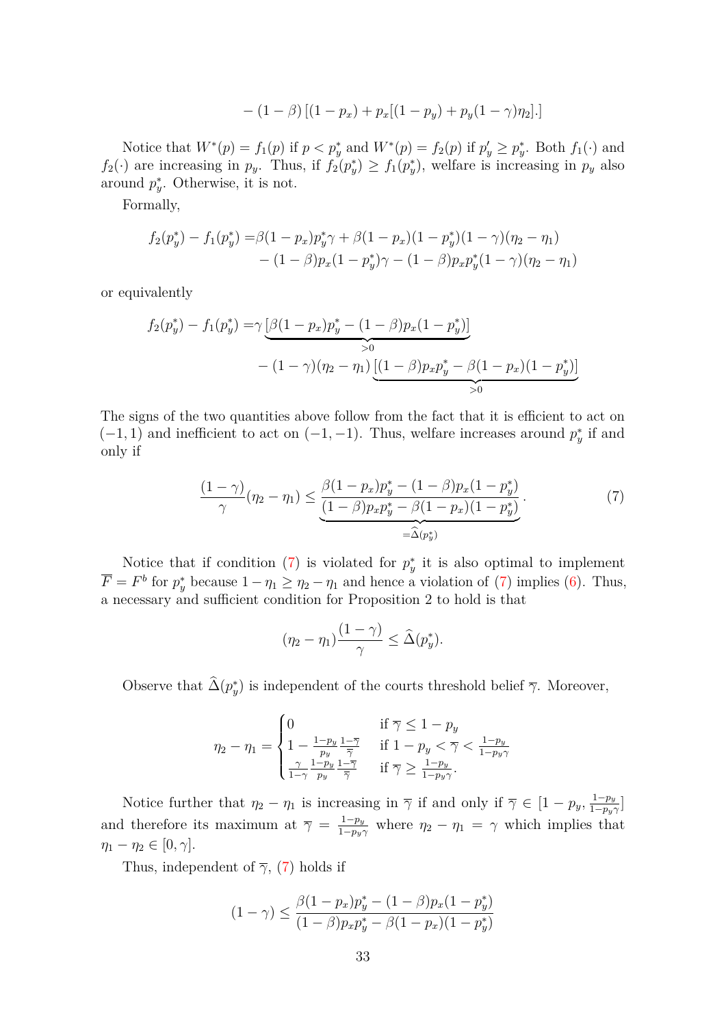$$
- (1 - \beta) [(1 - p_x) + p_x[(1 - p_y) + p_y(1 - \gamma)\eta_2].]
$$

Notice that  $W^*(p) = f_1(p)$  if  $p < p_y^*$  and  $W^*(p) = f_2(p)$  if  $p_y' \geq p_y^*$ . Both  $f_1(\cdot)$  and  $f_2(\cdot)$  are increasing in  $p_y$ . Thus, if  $f_2(p_y^*) \ge f_1(p_y^*)$ , welfare is increasing in  $p_y$  also around  $p_y^*$ . Otherwise, it is not.

Formally,

$$
f_2(p_y^*) - f_1(p_y^*) = \beta(1 - p_x)p_y^* \gamma + \beta(1 - p_x)(1 - p_y^*)(1 - \gamma)(\eta_2 - \eta_1) - (1 - \beta)p_x(1 - p_y^*) \gamma - (1 - \beta)p_x p_y^*(1 - \gamma)(\eta_2 - \eta_1)
$$

or equivalently

$$
f_2(p_y^*) - f_1(p_y^*) = \gamma \underbrace{\left[\beta(1-p_x)p_y^* - (1-\beta)p_x(1-p_y^*)\right]}_{>0}
$$
  
 
$$
- (1-\gamma)(\eta_2 - \eta_1) \underbrace{\left[(1-\beta)p_xp_y^* - \beta(1-p_x)(1-p_y^*)\right]}_{>0}
$$

The signs of the two quantities above follow from the fact that it is efficient to act on  $(-1, 1)$  and inefficient to act on  $(-1, -1)$ . Thus, welfare increases around  $p_y^*$  if and only if

<span id="page-32-0"></span>
$$
\frac{(1-\gamma)}{\gamma}(\eta_2 - \eta_1) \leq \underbrace{\frac{\beta(1-p_x)p_y^* - (1-\beta)p_x(1-p_y^*)}{(1-\beta)p_xp_y^* - \beta(1-p_x)(1-p_y^*)}}_{=\widehat{\Delta}(p_y^*)}.
$$
\n(7)

Notice that if condition [\(7\)](#page-32-0) is violated for  $p_y^*$  it is also optimal to implement  $\overline{F} = F^b$  for  $p_y^*$  because  $1 - \eta_1 \ge \eta_2 - \eta_1$  and hence a violation of [\(7\)](#page-32-0) implies [\(6\)](#page-31-1). Thus, a necessary and sufficient condition for Proposition 2 to hold is that

$$
(\eta_2 - \eta_1) \frac{(1 - \gamma)}{\gamma} \leq \widehat{\Delta}(p_y^*).
$$

Observe that  $\widehat{\Delta}(p_{y}^{*})$  is independent of the courts threshold belief  $\overline{\gamma}$ . Moreover,

$$
\eta_2 - \eta_1 = \begin{cases} 0 & \text{if } \overline{\gamma} \le 1 - p_y \\ 1 - \frac{1 - p_y}{p_y} \frac{1 - \overline{\gamma}}{\overline{\gamma}} & \text{if } 1 - p_y < \overline{\gamma} < \frac{1 - p_y}{1 - p_y \gamma} \\ \frac{\gamma}{1 - \gamma} \frac{1 - p_y}{p_y} \frac{1 - \overline{\gamma}}{\overline{\gamma}} & \text{if } \overline{\gamma} \ge \frac{1 - p_y}{1 - p_y \gamma}. \end{cases}
$$

Notice further that  $\eta_2 - \eta_1$  is increasing in  $\overline{\gamma}$  if and only if  $\overline{\gamma} \in [1 - p_y, \frac{1-p_y}{1-p_y}]$  $\frac{1-p_y}{1-p_y\gamma}$ and therefore its maximum at  $\overline{\gamma} = \frac{1-p_y}{1-p_y}$  $\frac{1-p_y}{1-p_y\gamma}$  where  $\eta_2 - \eta_1 = \gamma$  which implies that  $\eta_1 - \eta_2 \in [0, \gamma].$ 

Thus, independent of  $\overline{\gamma}$ , [\(7\)](#page-32-0) holds if

$$
(1 - \gamma) \le \frac{\beta (1 - p_x) p_y^* - (1 - \beta) p_x (1 - p_y^*)}{(1 - \beta) p_x p_y^* - \beta (1 - p_x)(1 - p_y^*)}
$$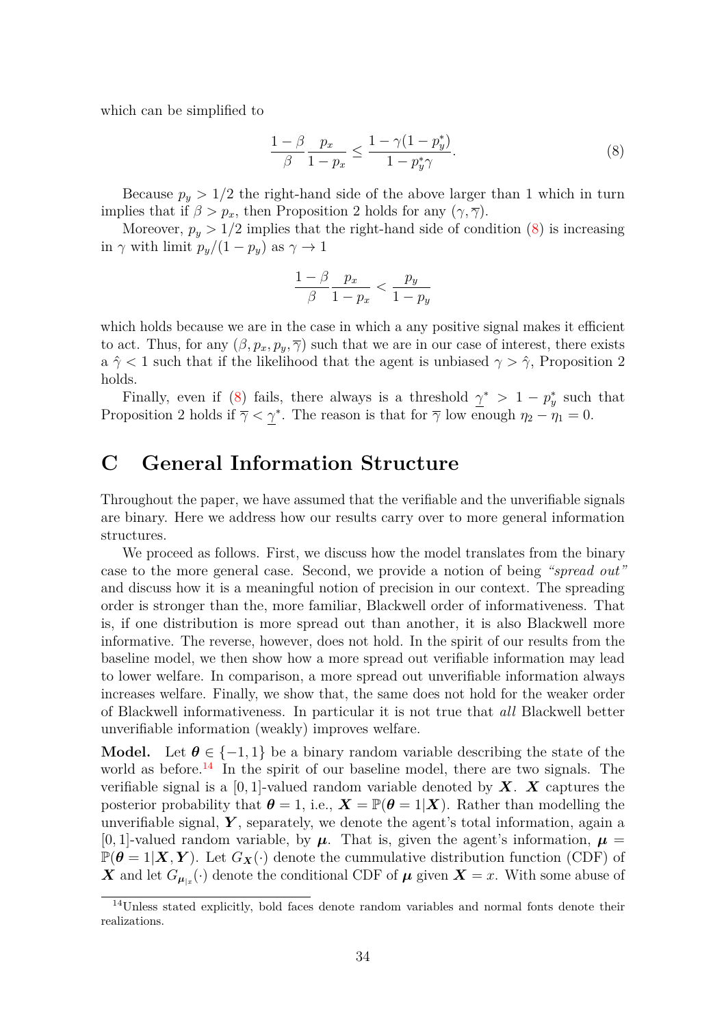which can be simplified to

<span id="page-33-1"></span>
$$
\frac{1-\beta}{\beta} \frac{p_x}{1-p_x} \le \frac{1-\gamma(1-p_y^*)}{1-p_y^*\gamma}.
$$
\n
$$
(8)
$$

Because  $p_y > 1/2$  the right-hand side of the above larger than 1 which in turn implies that if  $\beta > p_x$ , then Proposition 2 holds for any  $(\gamma, \overline{\gamma})$ .

Moreover,  $p_y > 1/2$  implies that the right-hand side of condition [\(8\)](#page-33-1) is increasing in  $\gamma$  with limit  $p_y/(1-p_y)$  as  $\gamma \to 1$ 

$$
\frac{1-\beta}{\beta} \frac{p_x}{1-p_x} < \frac{p_y}{1-p_y}
$$

which holds because we are in the case in which a any positive signal makes it efficient to act. Thus, for any  $(\beta, p_x, p_y, \overline{\gamma})$  such that we are in our case of interest, there exists a  $\hat{\gamma}$  < 1 such that if the likelihood that the agent is unbiased  $\gamma > \hat{\gamma}$ , Proposition 2 holds.

Finally, even if [\(8\)](#page-33-1) fails, there always is a threshold  $\gamma^* > 1 - p_y^*$  such that Proposition 2 holds if  $\overline{\gamma} < \gamma^*$ . The reason is that for  $\overline{\gamma}$  low enough  $\eta_2 - \eta_1 = 0$ .

# <span id="page-33-0"></span>**C General Information Structure**

Throughout the paper, we have assumed that the verifiable and the unverifiable signals are binary. Here we address how our results carry over to more general information structures.

We proceed as follows. First, we discuss how the model translates from the binary case to the more general case. Second, we provide a notion of being *"spread out"* and discuss how it is a meaningful notion of precision in our context. The spreading order is stronger than the, more familiar, Blackwell order of informativeness. That is, if one distribution is more spread out than another, it is also Blackwell more informative. The reverse, however, does not hold. In the spirit of our results from the baseline model, we then show how a more spread out verifiable information may lead to lower welfare. In comparison, a more spread out unverifiable information always increases welfare. Finally, we show that, the same does not hold for the weaker order of Blackwell informativeness. In particular it is not true that *all* Blackwell better unverifiable information (weakly) improves welfare.

**Model.** Let  $\theta \in \{-1, 1\}$  be a binary random variable describing the state of the world as before.<sup>[14](#page-33-2)</sup> In the spirit of our baseline model, there are two signals. The verifiable signal is a  $[0, 1]$ -valued random variable denoted by  $\boldsymbol{X}$ .  $\boldsymbol{X}$  captures the posterior probability that  $\theta = 1$ , i.e.,  $X = \mathbb{P}(\theta = 1 | X)$ . Rather than modelling the unverifiable signal,  $\boldsymbol{Y}$ , separately, we denote the agent's total information, again a [0, 1]-valued random variable, by  $\mu$ . That is, given the agent's information,  $\mu$  $\mathbb{P}(\boldsymbol{\theta} = 1|\boldsymbol{X}, \boldsymbol{Y})$ . Let  $G_{\boldsymbol{X}}(\cdot)$  denote the cummulative distribution function (CDF) of X and let  $G_{\mu|x}(\cdot)$  denote the conditional CDF of  $\mu$  given  $X = x$ . With some abuse of

<span id="page-33-2"></span><sup>14</sup>Unless stated explicitly, bold faces denote random variables and normal fonts denote their realizations.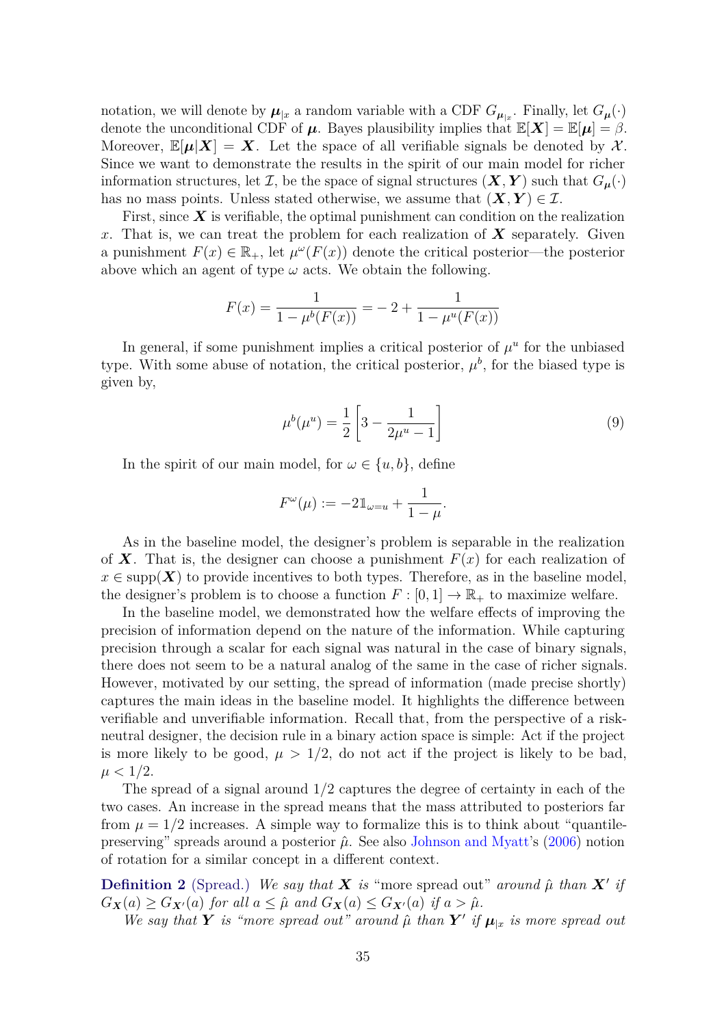<span id="page-34-1"></span>notation, we will denote by  $\mu_{|x}$  a random variable with a CDF  $G_{\mu_{|x}}$ . Finally, let  $G_{\mu}(\cdot)$ denote the unconditional CDF of  $\mu$ . Bayes plausibility implies that  $\mathbb{E}[X] = \mathbb{E}[\mu] = \beta$ . Moreover,  $\mathbb{E}[\mu|X] = X$ . Let the space of all verifiable signals be denoted by X. Since we want to demonstrate the results in the spirit of our main model for richer information structures, let  $\mathcal{I}$ , be the space of signal structures  $(\mathbf{X}, \mathbf{Y})$  such that  $G_{\mu}(\cdot)$ has no mass points. Unless stated otherwise, we assume that  $(X, Y) \in \mathcal{I}$ .

First, since *X* is verifiable, the optimal punishment can condition on the realization *x*. That is, we can treat the problem for each realization of *X* separately. Given a punishment  $F(x) \in \mathbb{R}_+$ , let  $\mu^{\omega}(F(x))$  denote the critical posterior—the posterior above which an agent of type  $\omega$  acts. We obtain the following.

$$
F(x) = \frac{1}{1 - \mu^{b}(F(x))} = -2 + \frac{1}{1 - \mu^{u}(F(x))}
$$

In general, if some punishment implies a critical posterior of  $\mu^u$  for the unbiased type. With some abuse of notation, the critical posterior,  $\mu^b$ , for the biased type is given by,

<span id="page-34-0"></span>
$$
\mu^{b}(\mu^{u}) = \frac{1}{2} \left[ 3 - \frac{1}{2\mu^{u} - 1} \right]
$$
\n(9)

In the spirit of our main model, for  $\omega \in \{u, b\}$ , define

$$
F^{\omega}(\mu) := -2\mathbb{1}_{\omega=u} + \frac{1}{1-\mu}.
$$

As in the baseline model, the designer's problem is separable in the realization of **X**. That is, the designer can choose a punishment  $F(x)$  for each realization of  $x \in \text{supp}(\boldsymbol{X})$  to provide incentives to both types. Therefore, as in the baseline model, the designer's problem is to choose a function  $F : [0,1] \to \mathbb{R}_+$  to maximize welfare.

In the baseline model, we demonstrated how the welfare effects of improving the precision of information depend on the nature of the information. While capturing precision through a scalar for each signal was natural in the case of binary signals, there does not seem to be a natural analog of the same in the case of richer signals. However, motivated by our setting, the spread of information (made precise shortly) captures the main ideas in the baseline model. It highlights the difference between verifiable and unverifiable information. Recall that, from the perspective of a riskneutral designer, the decision rule in a binary action space is simple: Act if the project is more likely to be good,  $\mu > 1/2$ , do not act if the project is likely to be bad,  $\mu < 1/2$ .

The spread of a signal around 1*/*2 captures the degree of certainty in each of the two cases. An increase in the spread means that the mass attributed to posteriors far from  $\mu = 1/2$  increases. A simple way to formalize this is to think about "quantilepreserving" spreads around a posterior  $\hat{\mu}$ . See also [Johnson and Myatt'](#page-43-5)s [\(2006\)](#page-43-5) notion of rotation for a similar concept in a different context.

**Definition 2** (Spread.) We say that *X* is "more spread out" around  $\hat{\mu}$  than *X*<sup> $\prime$ </sup> if  $G_{\mathbf{X}}(a) \geq G_{\mathbf{X}'}(a)$  *for all*  $a \leq \hat{\mu}$  *and*  $G_{\mathbf{X}}(a) \leq G_{\mathbf{X}'}(a)$  *if*  $a > \hat{\mu}$ *.* 

*We say that Y is "more spread out" around*  $\hat{\mu}$  *than Y' if*  $\mu_{|x}$  *is more spread out*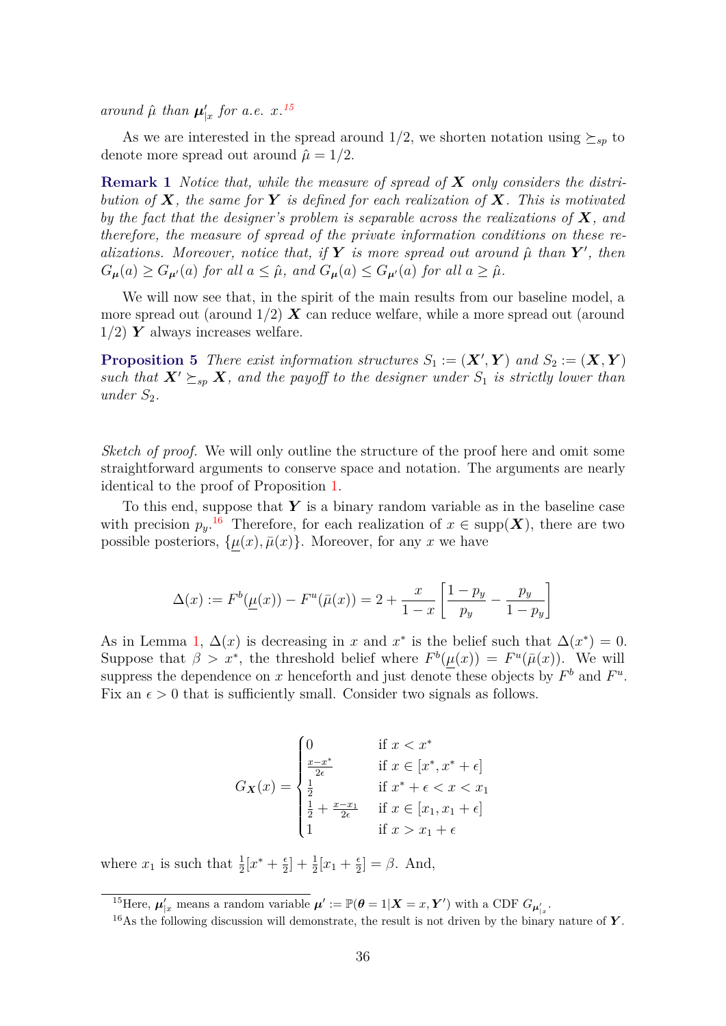*around*  $\hat{\mu}$  *than*  $\mu'_{|x}$  *for a.e.*  $x^{15}$  $x^{15}$  $x^{15}$ 

As we are interested in the spread around  $1/2$ , we shorten notation using  $\succeq_{sp}$  to denote more spread out around  $\hat{\mu} = 1/2$ .

**Remark 1** *Notice that, while the measure of spread of X only considers the distribution of X, the same for Y is defined for each realization of X. This is motivated by the fact that the designer's problem is separable across the realizations of X, and therefore, the measure of spread of the private information conditions on these realizations. Moreover, notice that, if*  $Y$  *is more spread out around*  $\hat{\mu}$  *than*  $Y'$ *, then*  $G_{\mu}(a) \geq G_{\mu}(a)$  *for all*  $a \leq \hat{\mu}$ *, and*  $G_{\mu}(a) \leq G_{\mu}(a)$  *for all*  $a \geq \hat{\mu}$ *.* 

We will now see that, in the spirit of the main results from our baseline model, a more spread out (around  $1/2$ )  $\boldsymbol{X}$  can reduce welfare, while a more spread out (around  $1/2$ )  $\boldsymbol{Y}$  always increases welfare.

<span id="page-35-2"></span>**Proposition 5** There exist information structures  $S_1 := (\mathbf{X}', \mathbf{Y})$  and  $S_2 := (\mathbf{X}, \mathbf{Y})$ *such that*  $X' \succeq_{sp} X$ *, and the payoff to the designer under*  $S_1$  *is strictly lower than*  $under S_2$ .

*Sketch of proof.* We will only outline the structure of the proof here and omit some straightforward arguments to conserve space and notation. The arguments are nearly identical to the proof of Proposition [1.](#page-14-0)

To this end, suppose that *Y* is a binary random variable as in the baseline case with precision  $p_y$ <sup>[16](#page-35-1)</sup> Therefore, for each realization of  $x \in \text{supp}(\boldsymbol{X})$ , there are two possible posteriors,  $\{\mu(x), \bar{\mu}(x)\}\$ . Moreover, for any *x* we have

$$
\Delta(x) := F^{b}(\underline{\mu}(x)) - F^{u}(\bar{\mu}(x)) = 2 + \frac{x}{1-x} \left[ \frac{1-p_y}{p_y} - \frac{p_y}{1-p_y} \right]
$$

As in Lemma [1,](#page-12-2)  $\Delta(x)$  is decreasing in *x* and *x*<sup>\*</sup> is the belief such that  $\Delta(x^*) = 0$ . Suppose that  $\beta > x^*$ , the threshold belief where  $F^b(\mu(x)) = F^u(\bar{\mu}(x))$ . We will suppress the dependence on *x* henceforth and just denote these objects by  $F^b$  and  $F^u$ . Fix an  $\epsilon > 0$  that is sufficiently small. Consider two signals as follows.

$$
G_{\mathbf{X}}(x) = \begin{cases} 0 & \text{if } x < x^* \\ \frac{x - x^*}{2\epsilon} & \text{if } x \in [x^*, x^* + \epsilon] \\ \frac{1}{2} & \text{if } x^* + \epsilon < x < x_1 \\ \frac{1}{2} + \frac{x - x_1}{2\epsilon} & \text{if } x \in [x_1, x_1 + \epsilon] \\ 1 & \text{if } x > x_1 + \epsilon \end{cases}
$$

where  $x_1$  is such that  $\frac{1}{2}[x^* + \frac{\epsilon}{2}]$  $\frac{\epsilon}{2}$  +  $\frac{1}{2}$   $[x_1 + \frac{\epsilon}{2}]$  $\left[\frac{\epsilon}{2}\right] = \beta$ . And,

<span id="page-35-0"></span><sup>&</sup>lt;sup>15</sup>Here,  $\mu'_{|x}$  means a random variable  $\mu' := \mathbb{P}(\theta = 1 | \mathbf{X} = x, \mathbf{Y}')$  with a CDF  $G_{\mu'_{|x}}$ .

<span id="page-35-1"></span><sup>16</sup>As the following discussion will demonstrate, the result is not driven by the binary nature of *Y* .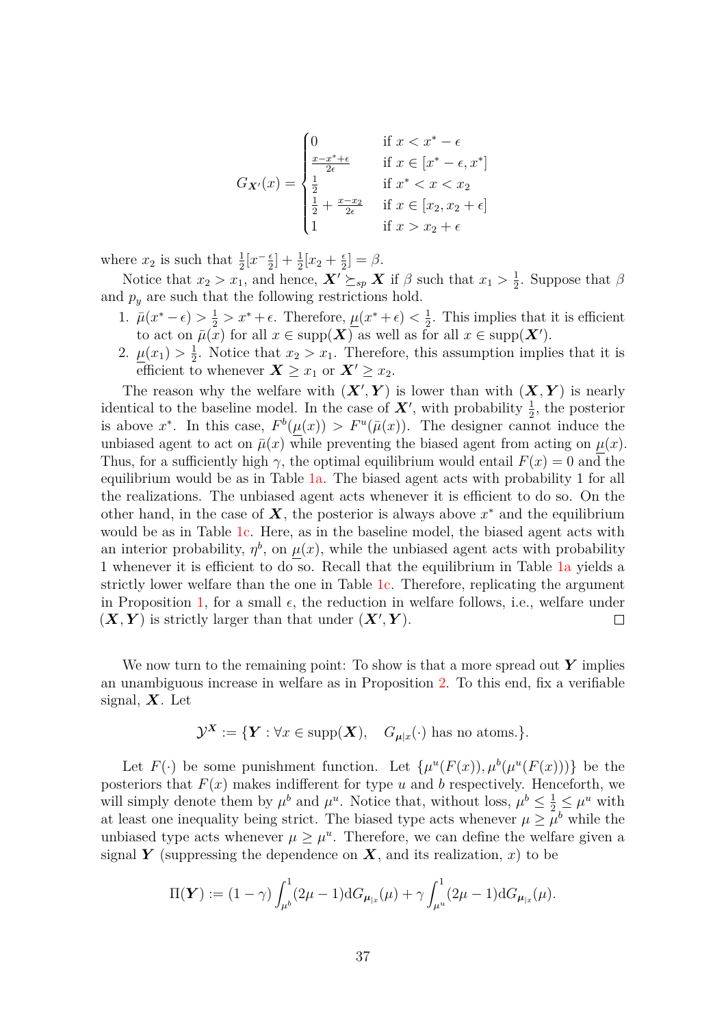$$
G_{\mathbf{X}'}(x) = \begin{cases} 0 & \text{if } x < x^* - \epsilon \\ \frac{x - x^* + \epsilon}{2\epsilon} & \text{if } x \in [x^* - \epsilon, x^*] \\ \frac{1}{2} & \text{if } x^* < x < x_2 \\ \frac{1}{2} + \frac{x - x_2}{2\epsilon} & \text{if } x \in [x_2, x_2 + \epsilon] \\ 1 & \text{if } x > x_2 + \epsilon \end{cases}
$$

where  $x_2$  is such that  $\frac{1}{2}$ [ $x^{-\frac{e}{2}}$  $\frac{\epsilon}{2}$  +  $\frac{1}{2}$   $[x_2 + \frac{\epsilon}{2}$  $\frac{\epsilon}{2}$ ] =  $\beta$ .

Notice that  $x_2 > x_1$ , and hence,  $\mathbf{X}' \succeq_{sp} \mathbf{X}$  if  $\beta$  such that  $x_1 > \frac{1}{2}$  $\frac{1}{2}$ . Suppose that  $\beta$ and  $p_y$  are such that the following restrictions hold.

- 1.  $\bar{\mu}(x^* \epsilon) > \frac{1}{2} > x^* + \epsilon$ . Therefore,  $\underline{\mu}(x^* + \epsilon) < \frac{1}{2}$  $\frac{1}{2}$ . This implies that it is efficient to act on  $\bar{\mu}(x)$  for all  $x \in \text{supp}(\boldsymbol{X})$  as well as for all  $x \in \text{supp}(\boldsymbol{X}')$ .
- 2.  $\mu(x_1) > \frac{1}{2}$  $\frac{1}{2}$ . Notice that  $x_2 > x_1$ . Therefore, this assumption implies that it is efficient to whenever  $\boldsymbol{X} \geq x_1$  or  $\boldsymbol{X}' \geq x_2$ .

The reason why the welfare with  $(X', Y)$  is lower than with  $(X, Y)$  is nearly identical to the baseline model. In the case of  $\boldsymbol{X}'$ , with probability  $\frac{1}{2}$ , the posterior is above  $x^*$ . In this case,  $F^b(\mu(x)) > F^u(\bar{\mu}(x))$ . The designer cannot induce the unbiased agent to act on  $\bar{\mu}(x)$  while preventing the biased agent from acting on  $\mu(x)$ . Thus, for a sufficiently high  $\gamma$ , the optimal equilibrium would entail  $F(x) = 0$  and the equilibrium would be as in Table [1a.](#page-12-1) The biased agent acts with probability 1 for all the realizations. The unbiased agent acts whenever it is efficient to do so. On the other hand, in the case of  $\boldsymbol{X}$ , the posterior is always above  $x^*$  and the equilibrium would be as in Table [1c.](#page-12-1) Here, as in the baseline model, the biased agent acts with an interior probability,  $\eta^b$ , on  $\mu(x)$ , while the unbiased agent acts with probability 1 whenever it is efficient to do so. Recall that the equilibrium in Table [1a](#page-12-1) yields a strictly lower welfare than the one in Table [1c.](#page-12-1) Therefore, replicating the argument in Proposition [1,](#page-14-0) for a small  $\epsilon$ , the reduction in welfare follows, i.e., welfare under  $(X, Y)$  is strictly larger than that under  $(X', Y)$ .  $\Box$ 

We now turn to the remaining point: To show is that a more spread out *Y* implies an unambiguous increase in welfare as in Proposition [2.](#page-14-1) To this end, fix a verifiable signal, *X*. Let

$$
\mathcal{Y}^{\mathbf{X}} := \{ \mathbf{Y} : \forall x \in \text{supp}(\mathbf{X}), \quad G_{\mu|x}(\cdot) \text{ has no atoms.} \}.
$$

Let  $F(\cdot)$  be some punishment function. Let  $\{\mu^u(F(x)), \mu^b(\mu^u(F(x)))\}$  be the posteriors that  $F(x)$  makes indifferent for type *u* and *b* respectively. Henceforth, we will simply denote them by  $\mu^b$  and  $\mu^u$ . Notice that, without loss,  $\mu^b \leq \frac{1}{2} \leq \mu^u$  with at least one inequality being strict. The biased type acts whenever  $\mu \geq \mu^b$  while the unbiased type acts whenever  $\mu \geq \mu^u$ . Therefore, we can define the welfare given a signal *Y* (suppressing the dependence on *X*, and its realization, *x*) to be

$$
\Pi(\boldsymbol{Y}) := (1 - \gamma) \int_{\mu^b}^1 (2\mu - 1) \mathrm{d}G_{\mu_{|x}}(\mu) + \gamma \int_{\mu^u}^1 (2\mu - 1) \mathrm{d}G_{\mu_{|x}}(\mu).
$$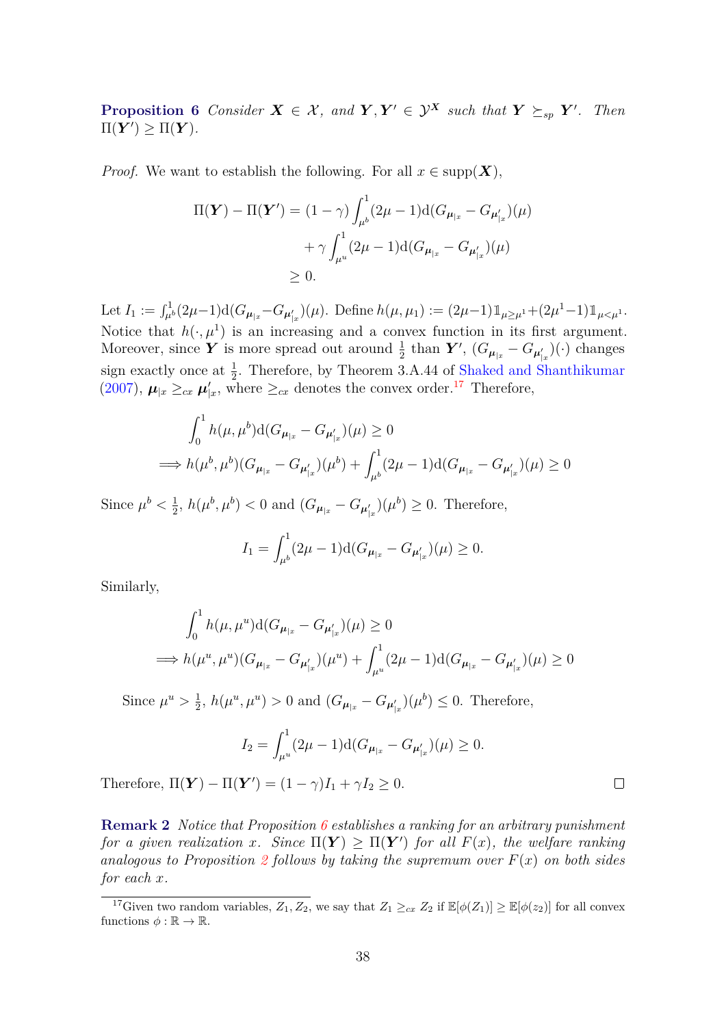<span id="page-37-2"></span><span id="page-37-1"></span>**Proposition 6** Consider  $X \in \mathcal{X}$ , and  $Y, Y' \in \mathcal{Y}^X$  such that  $Y \succeq_{sp} Y'$ . Then  $\Pi(\boldsymbol{Y}') \geq \Pi(\boldsymbol{Y})$ *.* 

*Proof.* We want to establish the following. For all  $x \in \text{supp}(\boldsymbol{X})$ ,

$$
\Pi(\mathbf{Y}) - \Pi(\mathbf{Y}') = (1 - \gamma) \int_{\mu^b}^1 (2\mu - 1) d(G_{\mu_{|x}} - G_{\mu'_{|x}})(\mu)
$$

$$
+ \gamma \int_{\mu^u}^1 (2\mu - 1) d(G_{\mu_{|x}} - G_{\mu'_{|x}})(\mu)
$$

$$
\geq 0.
$$

Let  $I_1 := \int_{\mu^b}^1 (2\mu - 1) d(G_{\mu_{|x}} - G_{\mu'_{|x}})(\mu)$ . Define  $h(\mu, \mu_1) := (2\mu - 1) \mathbb{1}_{\mu \ge \mu^1} + (2\mu^1 - 1) \mathbb{1}_{\mu < \mu^1}$ . Notice that  $h(\cdot,\mu^1)$  is an increasing and a convex function in its first argument. Moreover, since *Y* is more spread out around  $\frac{1}{2}$  than *Y'*,  $(G_{\mu|x} - G_{\mu}'_x)(\cdot)$  changes sign exactly once at  $\frac{1}{2}$ . Therefore, by Theorem 3.A.44 of [Shaked and Shanthikumar](#page-44-13) [\(2007\)](#page-44-13),  $\mu_{|x} \geq_{cx} \mu'_{|x}$ , where  $\geq_{cx}$  denotes the convex order.<sup>[17](#page-37-0)</sup> Therefore,

$$
\int_0^1 h(\mu, \mu^b) d(G_{\mu_{|x}} - G_{\mu'_{|x}})(\mu) \ge 0
$$
  
\n
$$
\implies h(\mu^b, \mu^b)(G_{\mu_{|x}} - G_{\mu'_{|x}})(\mu^b) + \int_{\mu^b}^1 (2\mu - 1) d(G_{\mu_{|x}} - G_{\mu'_{|x}})(\mu) \ge 0
$$

Since  $\mu^b < \frac{1}{2}$  $\frac{1}{2}$ ,  $h(\mu^{b}, \mu^{b}) < 0$  and  $(G_{\mu_{|x}} - G_{\mu'_{|x}})(\mu^{b}) \geq 0$ . Therefore,

$$
I_1 = \int_{\mu^b}^1 (2\mu - 1) \mathrm{d} (G_{\mu_{|x}} - G_{\mu'_{|x}})(\mu) \ge 0.
$$

Similarly,

$$
\int_0^1 h(\mu, \mu^u) d(G_{\mu_{|x}} - G_{\mu'_{|x}})(\mu) \ge 0
$$
  
\n
$$
\implies h(\mu^u, \mu^u) (G_{\mu_{|x}} - G_{\mu'_{|x}})(\mu^u) + \int_{\mu^u}^1 (2\mu - 1) d(G_{\mu_{|x}} - G_{\mu'_{|x}})(\mu) \ge 0
$$

Since  $\mu^u > \frac{1}{2}$  $\frac{1}{2}$ ,  $h(\mu^u, \mu^u) > 0$  and  $(G_{\mu_{|x}} - G_{\mu'_{|x}})(\mu^b) \leq 0$ . Therefore,

$$
I_2 = \int_{\mu^u}^1 (2\mu - 1) \mathrm{d} (G_{\mu_{|x}} - G_{\mu'_{|x}})(\mu) \ge 0.
$$

Therefore,  $\Pi(\boldsymbol{Y}) - \Pi(\boldsymbol{Y}') = (1 - \gamma)I_1 + \gamma I_2 \geq 0.$ 

**Remark 2** *Notice that Proposition [6](#page-37-1) establishes a ranking for an arbitrary punishment for a given realization x.* Since  $\Pi(Y) \ge \Pi(Y')$  *for all*  $F(x)$ *, the welfare ranking analogous to Proposition* [2](#page-14-1) *follows by taking the supremum over*  $F(x)$  *on both sides for each x.*

 $\Box$ 

<span id="page-37-0"></span><sup>&</sup>lt;sup>17</sup>Given two random variables,  $Z_1, Z_2$ , we say that  $Z_1 \geq_{cx} Z_2$  if  $\mathbb{E}[\phi(Z_1)] \geq \mathbb{E}[\phi(z_2)]$  for all convex functions  $\phi : \mathbb{R} \to \mathbb{R}$ .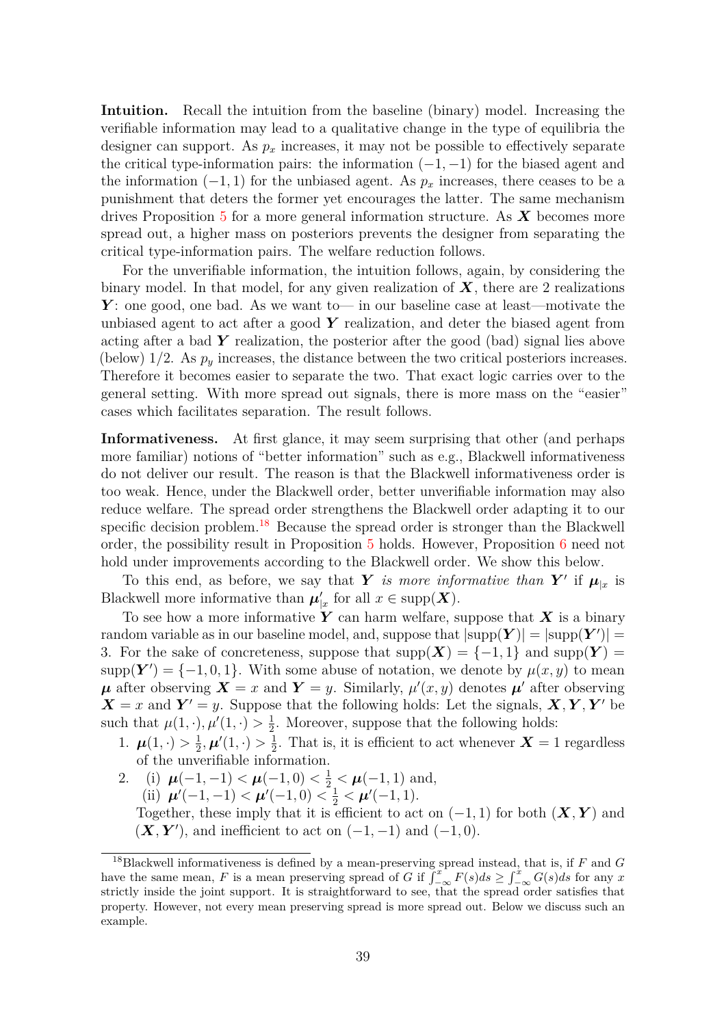**Intuition.** Recall the intuition from the baseline (binary) model. Increasing the verifiable information may lead to a qualitative change in the type of equilibria the designer can support. As  $p_x$  increases, it may not be possible to effectively separate the critical type-information pairs: the information (−1*,* −1) for the biased agent and the information  $(-1, 1)$  for the unbiased agent. As  $p_x$  increases, there ceases to be a punishment that deters the former yet encourages the latter. The same mechanism drives Proposition [5](#page-35-2) for a more general information structure. As *X* becomes more spread out, a higher mass on posteriors prevents the designer from separating the critical type-information pairs. The welfare reduction follows.

For the unverifiable information, the intuition follows, again, by considering the binary model. In that model, for any given realization of *X*, there are 2 realizations *Y*: one good, one bad. As we want to— in our baseline case at least—motivate the unbiased agent to act after a good *Y* realization, and deter the biased agent from acting after a bad  $\boldsymbol{Y}$  realization, the posterior after the good (bad) signal lies above (below)  $1/2$ . As  $p_y$  increases, the distance between the two critical posteriors increases. Therefore it becomes easier to separate the two. That exact logic carries over to the general setting. With more spread out signals, there is more mass on the "easier" cases which facilitates separation. The result follows.

**Informativeness.** At first glance, it may seem surprising that other (and perhaps more familiar) notions of "better information" such as e.g., Blackwell informativeness do not deliver our result. The reason is that the Blackwell informativeness order is too weak. Hence, under the Blackwell order, better unverifiable information may also reduce welfare. The spread order strengthens the Blackwell order adapting it to our specific decision problem.<sup>[18](#page-38-0)</sup> Because the spread order is stronger than the Blackwell order, the possibility result in Proposition [5](#page-35-2) holds. However, Proposition [6](#page-37-1) need not hold under improvements according to the Blackwell order. We show this below.

To this end, as before, we say that *Y is more informative than*  $Y'$  if  $\mu_{|x}$  is Blackwell more informative than  $\mu'_{|x}$  for all  $x \in \text{supp}(\boldsymbol{X})$ .

To see how a more informative *Y* can harm welfare, suppose that *X* is a binary random variable as in our baseline model, and, suppose that  $|\text{supp}(\boldsymbol{Y})| = |\text{supp}(\boldsymbol{Y}')|$ 3. For the sake of concreteness, suppose that  $\text{supp}(\boldsymbol{X}) = \{-1,1\}$  and  $\text{supp}(\boldsymbol{Y}) =$  $\text{supp}(\boldsymbol{Y}') = \{-1, 0, 1\}.$  With some abuse of notation, we denote by  $\mu(x, y)$  to mean  $\mu$  after observing  $\mathbf{X} = x$  and  $\mathbf{Y} = y$ . Similarly,  $\mu'(x, y)$  denotes  $\mu'$  after observing  $X = x$  and  $Y' = y$ . Suppose that the following holds: Let the signals,  $X, Y, Y'$  be such that  $\mu(1, \cdot), \mu'(1, \cdot) > \frac{1}{2}$  $\frac{1}{2}$ . Moreover, suppose that the following holds:

- 1.  $\mu(1, \cdot) > \frac{1}{2}$  $\frac{1}{2},\boldsymbol{\mu}'(1,\cdot)>\frac{1}{2}$  $\frac{1}{2}$ . That is, it is efficient to act whenever  $X = 1$  regardless of the unverifiable information.
- 2. (i)  $\mu(-1,-1) < \mu(-1,0) < \frac{1}{2} < \mu(-1,1)$  and, (ii)  $\mu'(-1,-1) < \mu'(-1,0) < \frac{1}{2} < \mu'(-1,1).$

Together, these imply that it is efficient to act on  $(-1, 1)$  for both  $(X, Y)$  and  $(X, Y')$ , and inefficient to act on  $(-1, -1)$  and  $(-1, 0)$ .

<span id="page-38-0"></span><sup>18</sup>Blackwell informativeness is defined by a mean-preserving spread instead, that is, if *F* and *G* have the same mean, *F* is a mean preserving spread of *G* if  $\int_{-\infty}^{x} F(s)ds \geq \int_{-\infty}^{x} G(s)ds$  for any *x* strictly inside the joint support. It is straightforward to see, that the spread order satisfies that property. However, not every mean preserving spread is more spread out. Below we discuss such an example.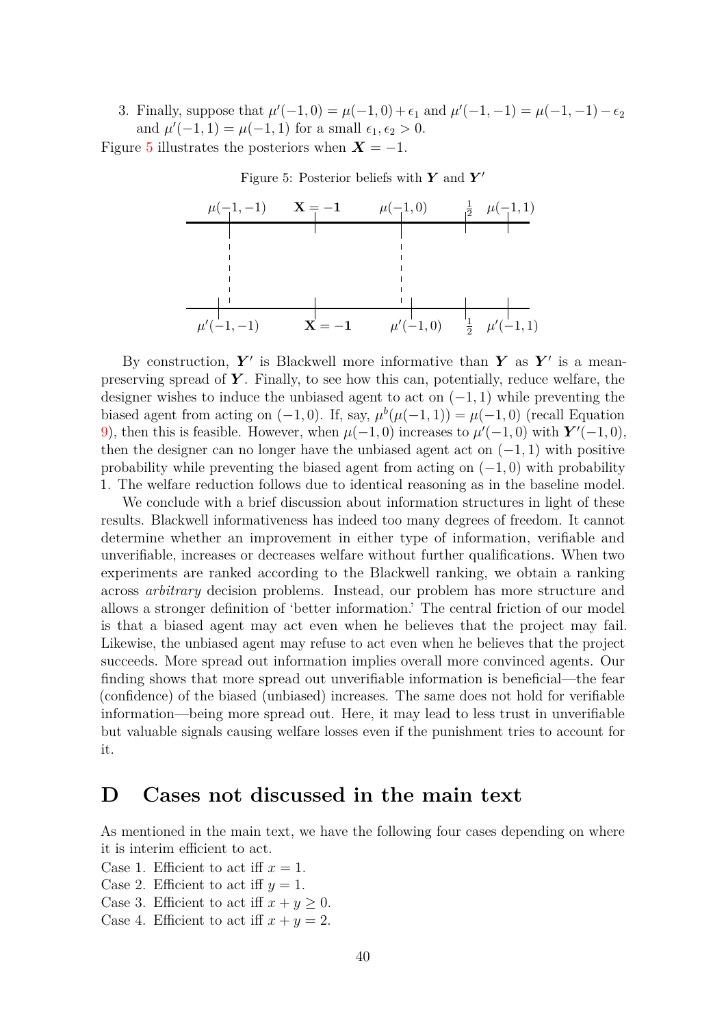3. Finally, suppose that  $\mu'(-1,0) = \mu(-1,0) + \epsilon_1$  and  $\mu'(-1,-1) = \mu(-1,-1) - \epsilon_2$ and  $\mu'(-1, 1) = \mu(-1, 1)$  for a small  $\epsilon_1, \epsilon_2 > 0$ .

<span id="page-39-1"></span>Figure [5](#page-39-1) illustrates the posteriors when  $X = -1$ .

 $\mu(-1,-1)$   $\mathbf{X} = -1$   $\mu(-1,0)$   $\frac{1}{2}$   $\mu(-1,1)$  $\begin{array}{c|cccc}\n\mu(-1,-1) & \mathbf{X} = -\mathbf{1} & \mu(-1,0) & \frac{1}{2} & \mu(-1,1) \\
\hline\n\vdots & \vdots & \vdots & \vdots \\
\mu'(-1,-1) & \mathbf{X} = -\mathbf{1} & \mu'(-1,0) & \frac{1}{2} & \mu'(-1,1)\n\end{array}$ 2

Figure 5: Posterior beliefs with **Y** and **Y'** 

By construction,  $Y'$  is Blackwell more informative than  $Y$  as  $Y'$  is a meanpreserving spread of *Y* . Finally, to see how this can, potentially, reduce welfare, the designer wishes to induce the unbiased agent to act on (−1*,* 1) while preventing the biased agent from acting on  $(-1, 0)$ . If, say,  $\mu^b(\mu(-1, 1)) = \mu(-1, 0)$  (recall Equation [9\)](#page-34-0), then this is feasible. However, when  $\mu(-1,0)$  increases to  $\mu'(-1,0)$  with  $Y'(-1,0)$ , then the designer can no longer have the unbiased agent act on  $(-1, 1)$  with positive probability while preventing the biased agent from acting on  $(-1,0)$  with probability 1. The welfare reduction follows due to identical reasoning as in the baseline model.

We conclude with a brief discussion about information structures in light of these results. Blackwell informativeness has indeed too many degrees of freedom. It cannot determine whether an improvement in either type of information, verifiable and unverifiable, increases or decreases welfare without further qualifications. When two experiments are ranked according to the Blackwell ranking, we obtain a ranking across *arbitrary* decision problems. Instead, our problem has more structure and allows a stronger definition of 'better information.' The central friction of our model is that a biased agent may act even when he believes that the project may fail. Likewise, the unbiased agent may refuse to act even when he believes that the project succeeds. More spread out information implies overall more convinced agents. Our finding shows that more spread out unverifiable information is beneficial—the fear (confidence) of the biased (unbiased) increases. The same does not hold for verifiable information—being more spread out. Here, it may lead to less trust in unverifiable but valuable signals causing welfare losses even if the punishment tries to account for it.

## <span id="page-39-0"></span>**D Cases not discussed in the main text**

As mentioned in the main text, we have the following four cases depending on where it is interim efficient to act.

Case 1. Efficient to act iff  $x = 1$ .

- Case 2. Efficient to act iff  $y = 1$ .
- Case 3. Efficient to act iff  $x + y \geq 0$ .
- Case 4. Efficient to act iff  $x + y = 2$ .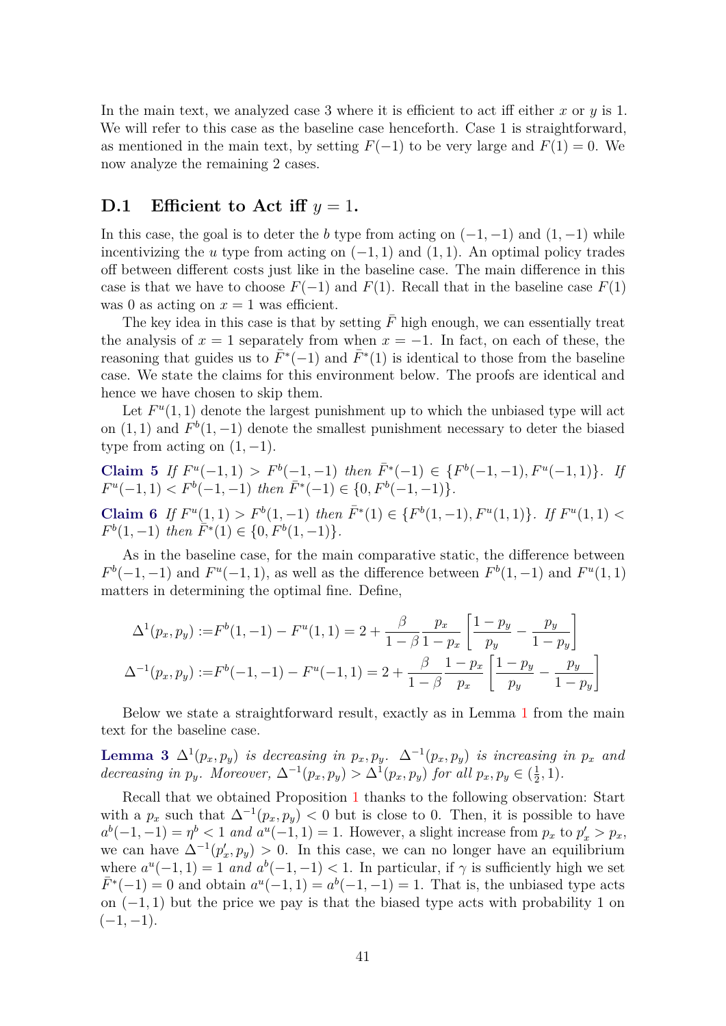In the main text, we analyzed case 3 where it is efficient to act iff either *x* or *y* is 1. We will refer to this case as the baseline case henceforth. Case 1 is straightforward, as mentioned in the main text, by setting  $F(-1)$  to be very large and  $F(1) = 0$ . We now analyze the remaining 2 cases.

### **D.1 Efficient to Act iff**  $y = 1$ .

In this case, the goal is to deter the *b* type from acting on  $(-1, -1)$  and  $(1, -1)$  while incentivizing the *u* type from acting on  $(-1, 1)$  and  $(1, 1)$ . An optimal policy trades off between different costs just like in the baseline case. The main difference in this case is that we have to choose  $F(-1)$  and  $F(1)$ . Recall that in the baseline case  $F(1)$ was 0 as acting on  $x = 1$  was efficient.

The key idea in this case is that by setting  $\bar{F}$  high enough, we can essentially treat the analysis of  $x = 1$  separately from when  $x = -1$ . In fact, on each of these, the reasoning that guides us to  $\bar{F}^*(-1)$  and  $\bar{F}^*(1)$  is identical to those from the baseline case. We state the claims for this environment below. The proofs are identical and hence we have chosen to skip them.

Let  $F^u(1,1)$  denote the largest punishment up to which the unbiased type will act on  $(1, 1)$  and  $F<sup>b</sup>(1, -1)$  denote the smallest punishment necessary to deter the biased type from acting on  $(1, -1)$ .

**Claim 5** If 
$$
F^u(-1, 1) > F^b(-1, -1)
$$
 then  $\overline{F}^*(-1) \in \{F^b(-1, -1), F^u(-1, 1)\}$ . If  $F^u(-1, 1) < F^b(-1, -1)$  then  $\overline{F}^*(-1) \in \{0, F^b(-1, -1)\}$ .

Claim 6 If  $F^u(1,1) > F^b(1,-1)$  then  $\bar{F}^*(1) \in \{F^b(1,-1), F^u(1,1)\}$ . If  $F^u(1,1)$  $F^{b}(1,-1)$  *then*  $\overline{F}^{*}(1) \in \{0, F^{b}(1,-1)\}.$ 

As in the baseline case, for the main comparative static, the difference between  $F^{b}(-1,-1)$  and  $F^{u}(-1,1)$ , as well as the difference between  $F^{b}(1,-1)$  and  $F^{u}(1,1)$ matters in determining the optimal fine. Define,

$$
\Delta^{1}(p_{x}, p_{y}) := F^{b}(1, -1) - F^{u}(1, 1) = 2 + \frac{\beta}{1 - \beta} \frac{p_{x}}{1 - p_{x}} \left[ \frac{1 - p_{y}}{p_{y}} - \frac{p_{y}}{1 - p_{y}} \right]
$$

$$
\Delta^{-1}(p_{x}, p_{y}) := F^{b}(-1, -1) - F^{u}(-1, 1) = 2 + \frac{\beta}{1 - \beta} \frac{1 - p_{x}}{p_{x}} \left[ \frac{1 - p_{y}}{p_{y}} - \frac{p_{y}}{1 - p_{y}} \right]
$$

Below we state a straightforward result, exactly as in Lemma [1](#page-12-2) from the main text for the baseline case.

<span id="page-40-0"></span>**Lemma 3**  $\Delta^1(p_x, p_y)$  *is decreasing in*  $p_x, p_y$ *.*  $\Delta^{-1}(p_x, p_y)$  *is increasing in*  $p_x$  *and* decreasing in  $p_y$ . Moreover,  $\Delta^{-1}(p_x, p_y) > \Delta^{1}(p_x, p_y)$  for all  $p_x, p_y \in (\frac{1}{2})$  $(\frac{1}{2}, 1)$ .

Recall that we obtained Proposition [1](#page-14-0) thanks to the following observation: Start with a  $p_x$  such that  $\Delta^{-1}(p_x, p_y) < 0$  but is close to 0. Then, it is possible to have  $a^b(-1,-1) = \eta^b < 1$  *and*  $a^u(-1,1) = 1$ . However, a slight increase from  $p_x$  to  $p'_x > p_x$ , we can have  $\Delta^{-1}(p'_x, p_y) > 0$ . In this case, we can no longer have an equilibrium where  $a^u(-1, 1) = 1$  *and*  $a^b(-1, -1) < 1$ . In particular, if  $\gamma$  is sufficiently high we set  $\bar{F}^*(-1) = 0$  and obtain  $a^u(-1, 1) = a^b(-1, -1) = 1$ . That is, the unbiased type acts on (−1*,* 1) but the price we pay is that the biased type acts with probability 1 on  $(-1, -1)$ .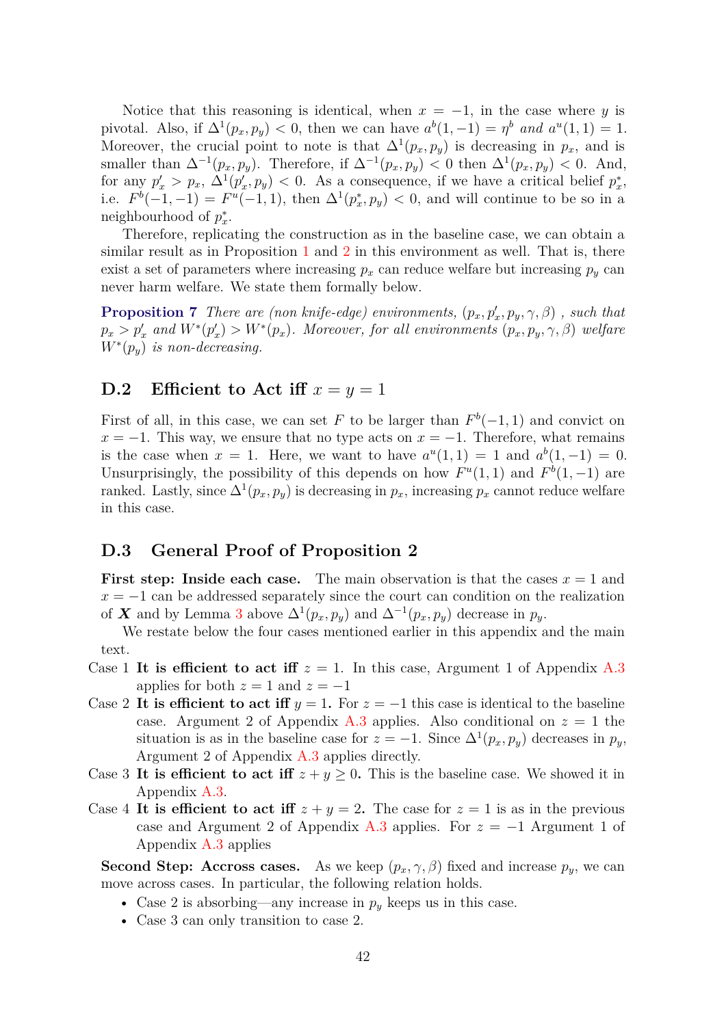Notice that this reasoning is identical, when  $x = -1$ , in the case where *y* is pivotal. Also, if  $\Delta^1(p_x, p_y) < 0$ , then we can have  $a^b(1, -1) = \eta^b$  and  $a^u(1, 1) = 1$ . Moreover, the crucial point to note is that  $\Delta^1(p_x, p_y)$  is decreasing in  $p_x$ , and is smaller than  $\Delta^{-1}(p_x, p_y)$ . Therefore, if  $\Delta^{-1}(p_x, p_y) < 0$  then  $\Delta^{1}(p_x, p_y) < 0$ . And, for any  $p'_x > p_x$ ,  $\Delta^1(p'_x, p_y) < 0$ . As a consequence, if we have a critical belief  $p_x^*$ , i.e.  $F^{b}(-1,-1) = F^{u}(-1,1)$ , then  $\Delta^{1}(p_{x}^{*},p_{y}) < 0$ , and will continue to be so in a neighbourhood of  $p_x^*$ .

Therefore, replicating the construction as in the baseline case, we can obtain a similar result as in Proposition [1](#page-14-0) and [2](#page-14-1) in this environment as well. That is, there exist a set of parameters where increasing  $p_x$  can reduce welfare but increasing  $p_y$  can never harm welfare. We state them formally below.

**Proposition 7** *There are (non knife-edge) environments,*  $(p_x, p'_x, p_y, \gamma, \beta)$ , such that  $p_x > p'_x$  and  $W^*(p'_x) > W^*(p_x)$ . Moreover, for all environments  $(p_x, p_y, \gamma, \beta)$  welfare *W*<sup>∗</sup> (*py*) *is non-decreasing.*

### **D.2 Efficient to Act iff**  $x = y = 1$

First of all, in this case, we can set *F* to be larger than  $F<sup>b</sup>(-1, 1)$  and convict on  $x = -1$ . This way, we ensure that no type acts on  $x = -1$ . Therefore, what remains is the case when  $x = 1$ . Here, we want to have  $a^u(1,1) = 1$  and  $a^b(1,-1) = 0$ . Unsurprisingly, the possibility of this depends on how  $F^u(1,1)$  and  $F^b(1,-1)$  are ranked. Lastly, since  $\Delta^1(p_x, p_y)$  is decreasing in  $p_x$ , increasing  $p_x$  cannot reduce welfare in this case.

### <span id="page-41-0"></span>**D.3 General Proof of Proposition 2**

**First step: Inside each case.** The main observation is that the cases  $x = 1$  and  $x = -1$  can be addressed separately since the court can condition on the realization of *X* and by Lemma [3](#page-40-0) above  $\Delta^1(p_x, p_y)$  and  $\Delta^{-1}(p_x, p_y)$  decrease in  $p_y$ .

We restate below the four cases mentioned earlier in this appendix and the main text.

- Case 1 It is efficient to act iff  $z = 1$ . In this case, Argument 1 of Appendix [A.3](#page-29-0) applies for both  $z = 1$  and  $z = -1$
- Case 2 It is efficient to act iff  $y = 1$ . For  $z = -1$  this case is identical to the baseline case. Argument 2 of Appendix [A.3](#page-29-0) applies. Also conditional on  $z = 1$  the situation is as in the baseline case for  $z = -1$ . Since  $\Delta^1(p_x, p_y)$  decreases in  $p_y$ , Argument 2 of Appendix [A.3](#page-29-0) applies directly.
- Case 3 It is efficient to act iff  $z + y \geq 0$ . This is the baseline case. We showed it in Appendix [A.3.](#page-29-0)
- Case 4 It is efficient to act iff  $z + y = 2$ . The case for  $z = 1$  is as in the previous case and Argument 2 of Appendix [A.3](#page-29-0) applies. For  $z = -1$  Argument 1 of Appendix [A.3](#page-29-0) applies

**Second Step: Accross cases.** As we keep  $(p_x, \gamma, \beta)$  fixed and increase  $p_y$ , we can move across cases. In particular, the following relation holds.

- Case 2 is absorbing—any increase in *p<sup>y</sup>* keeps us in this case.
- Case 3 can only transition to case 2.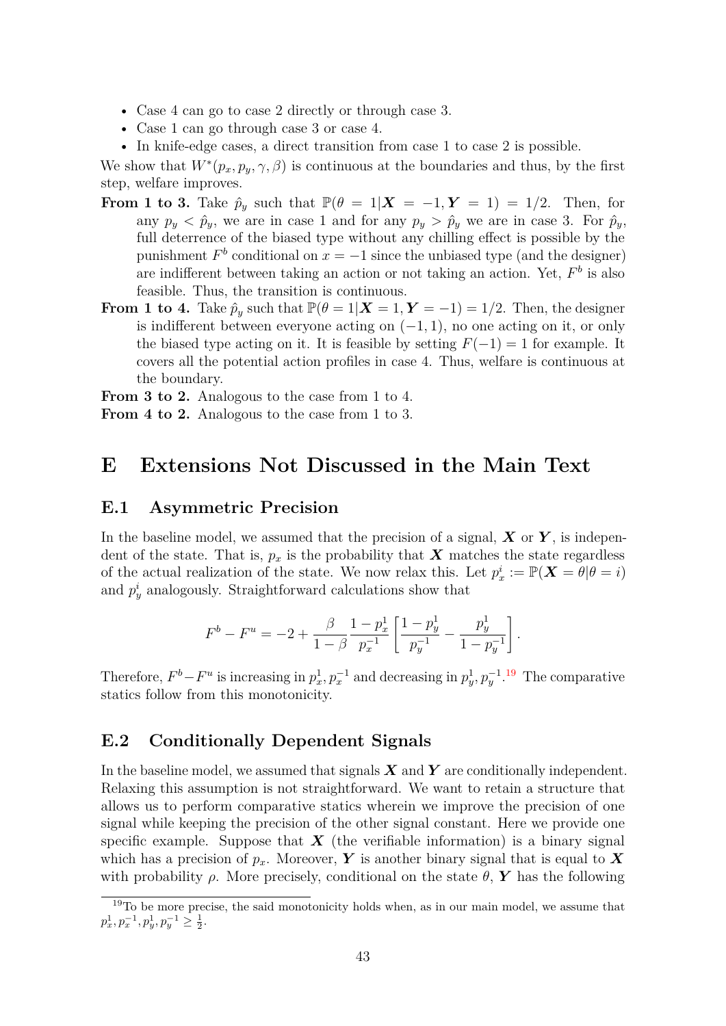- Case 4 can go to case 2 directly or through case 3.
- Case 1 can go through case 3 or case 4.
- In knife-edge cases, a direct transition from case 1 to case 2 is possible.

We show that  $W^*(p_x, p_y, \gamma, \beta)$  is continuous at the boundaries and thus, by the first step, welfare improves.

- **From 1 to 3.** Take  $\hat{p}_y$  such that  $\mathbb{P}(\theta = 1 | \mathbf{X} = -1, \mathbf{Y} = 1) = 1/2$ . Then, for any  $p_y < \hat{p}_y$ , we are in case 1 and for any  $p_y > \hat{p}_y$  we are in case 3. For  $\hat{p}_y$ , full deterrence of the biased type without any chilling effect is possible by the punishment  $F^b$  conditional on  $x = -1$  since the unbiased type (and the designer) are indifferent between taking an action or not taking an action. Yet, *F b* is also feasible. Thus, the transition is continuous.
- **From 1 to 4.** Take  $\hat{p}_y$  such that  $\mathbb{P}(\theta = 1 | \mathbf{X} = 1, \mathbf{Y} = -1) = 1/2$ . Then, the designer is indifferent between everyone acting on (−1*,* 1), no one acting on it, or only the biased type acting on it. It is feasible by setting  $F(-1) = 1$  for example. It covers all the potential action profiles in case 4. Thus, welfare is continuous at the boundary.

**From 3 to 2.** Analogous to the case from 1 to 4.

**From 4 to 2.** Analogous to the case from 1 to 3.

## **E Extensions Not Discussed in the Main Text**

### <span id="page-42-0"></span>**E.1 Asymmetric Precision**

In the baseline model, we assumed that the precision of a signal, *X* or *Y* , is independent of the state. That is,  $p_x$  is the probability that **X** matches the state regardless of the actual realization of the state. We now relax this. Let  $p_x^i := \mathbb{P}(\boldsymbol{X} = \theta | \theta = i)$ and  $p_y^i$  analogously. Straightforward calculations show that

$$
F^{b}-F^{u}=-2+\frac{\beta}{1-\beta}\frac{1-p_{x}^{1}}{p_{x}^{-1}}\left[\frac{1-p_{y}^{1}}{p_{y}^{-1}}-\frac{p_{y}^{1}}{1-p_{y}^{-1}}\right].
$$

Therefore,  $F^b - F^u$  is increasing in  $p_x^1, p_x^{-1}$  and decreasing in  $p_y^1, p_y^{-1}$ .<sup>[19](#page-42-2)</sup> The comparative statics follow from this monotonicity.

### <span id="page-42-1"></span>**E.2 Conditionally Dependent Signals**

In the baseline model, we assumed that signals *X* and *Y* are conditionally independent. Relaxing this assumption is not straightforward. We want to retain a structure that allows us to perform comparative statics wherein we improve the precision of one signal while keeping the precision of the other signal constant. Here we provide one specific example. Suppose that  $\boldsymbol{X}$  (the verifiable information) is a binary signal which has a precision of  $p_x$ . Moreover, **Y** is another binary signal that is equal to **X** with probability  $\rho$ . More precisely, conditional on the state  $\theta$ , **Y** has the following

<span id="page-42-2"></span><sup>&</sup>lt;sup>19</sup>To be more precise, the said monotonicity holds when, as in our main model, we assume that  $p_x^1, p_x^{-1}, p_y^1, p_y^{-1} \ge \frac{1}{2}.$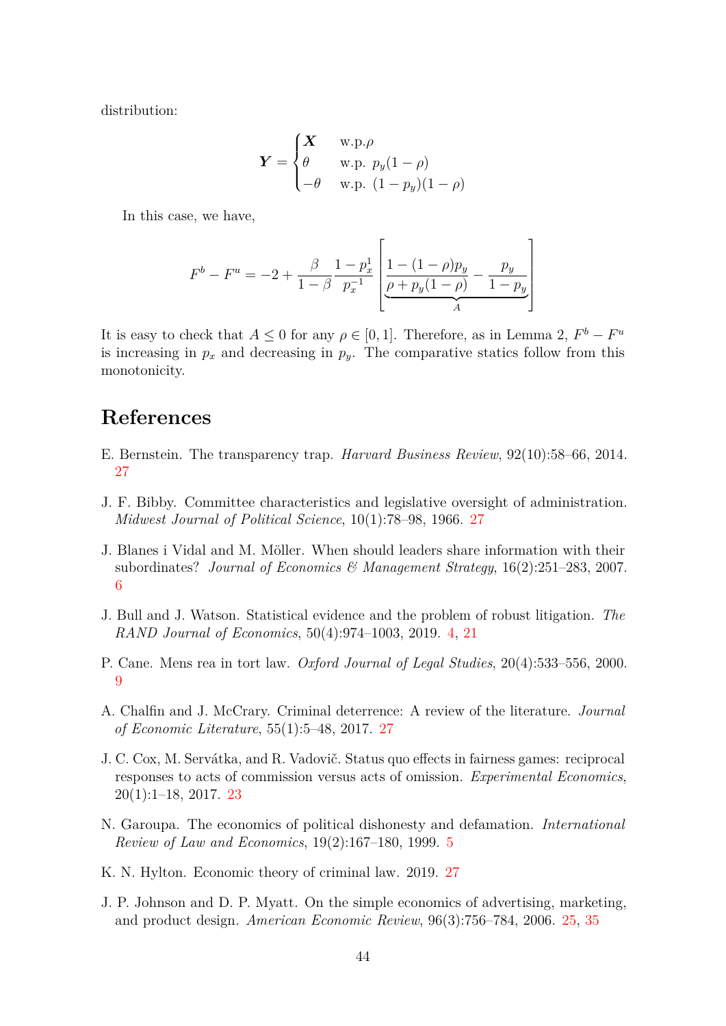distribution:

$$
\boldsymbol{Y} = \begin{cases} \boldsymbol{X} & \text{w.p.} \rho \\ \theta & \text{w.p. } p_y(1-\rho) \\ -\theta & \text{w.p. } (1-p_y)(1-\rho) \end{cases}
$$

In this case, we have,

$$
F^{b} - F^{u} = -2 + \frac{\beta}{1 - \beta} \frac{1 - p_x^{1}}{p_x^{-1}} \left[ \frac{1 - (1 - \rho)p_y}{\rho + p_y(1 - \rho)} - \frac{p_y}{1 - p_y} \right]
$$

It is easy to check that  $A \leq 0$  for any  $\rho \in [0,1]$ . Therefore, as in Lemma 2,  $F^b - F^u$ is increasing in  $p_x$  and decreasing in  $p_y$ . The comparative statics follow from this monotonicity.

# **References**

- <span id="page-43-8"></span>E. Bernstein. The transparency trap. *Harvard Business Review*, 92(10):58–66, 2014. [27](#page-26-1)
- <span id="page-43-9"></span>J. F. Bibby. Committee characteristics and legislative oversight of administration. *Midwest Journal of Political Science*, 10(1):78–98, 1966. [27](#page-26-1)
- <span id="page-43-2"></span>J. Blanes i Vidal and M. Möller. When should leaders share information with their subordinates? *Journal of Economics & Management Strategy*, 16(2):251–283, 2007. [6](#page-5-0)
- <span id="page-43-0"></span>J. Bull and J. Watson. Statistical evidence and the problem of robust litigation. *The RAND Journal of Economics*, 50(4):974–1003, 2019. [4,](#page-3-0) [21](#page-20-2)
- <span id="page-43-3"></span>P. Cane. Mens rea in tort law. *Oxford Journal of Legal Studies*, 20(4):533–556, 2000. [9](#page-8-0)
- <span id="page-43-7"></span>A. Chalfin and J. McCrary. Criminal deterrence: A review of the literature. *Journal of Economic Literature*, 55(1):5–48, 2017. [27](#page-26-1)
- <span id="page-43-4"></span>J. C. Cox, M. Servátka, and R. Vadovič. Status quo effects in fairness games: reciprocal responses to acts of commission versus acts of omission. *Experimental Economics*, 20(1):1–18, 2017. [23](#page-22-2)
- <span id="page-43-1"></span>N. Garoupa. The economics of political dishonesty and defamation. *International Review of Law and Economics*, 19(2):167–180, 1999. [5](#page-4-1)
- <span id="page-43-6"></span>K. N. Hylton. Economic theory of criminal law. 2019. [27](#page-26-1)
- <span id="page-43-5"></span>J. P. Johnson and D. P. Myatt. On the simple economics of advertising, marketing, and product design. *American Economic Review*, 96(3):756–784, 2006. [25,](#page-24-2) [35](#page-34-1)